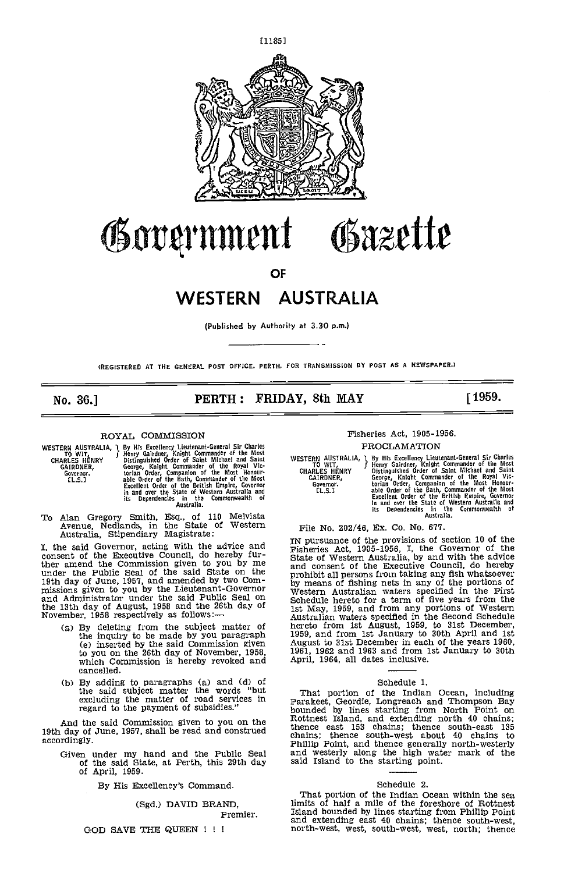

# Government Osazette

OF

# WESTERN AUSTRALIA

(Published by Authority at 3.30 p.m.)

(REGISTERED AT THE GeNERAL POST OFFICE. PERTH. FOR TRANSMISSION BY POST AS A NEWSPAPER.)

# No. 36.] **PERTH: FRIDAY, 8th MAY** [1959.

#### ROYAL COMMISSION

| TO WIT,       | WESTERN AUSTRALIA, I By His Excellency Lieutenant-General Sir Charles<br>Henry Gairdner, Knight Commander of the Most | W |
|---------------|-----------------------------------------------------------------------------------------------------------------------|---|
| CHARLES HENRY | Distinguished Order of Saint Michael and Saint                                                                        |   |
| GAIRDNER.     | George, Knight Commander of the Royal Vic-                                                                            |   |
| Governor.     | torian Order, Companion of the Most Honour-                                                                           |   |
| fl.s.1        | able Order of the Bath, Commander of the Most                                                                         |   |
|               | Excellent Order of the British Empire, Governor                                                                       |   |
|               | in and over the State of Western Australia and                                                                        |   |
|               | its Dependencies in the Commonwealth of                                                                               |   |
|               | Australia.                                                                                                            |   |

TO Alan Gregory Smith, Esq., of 110 Melvista Avenue, Nedlands, in the State of Western Australia, Stipendiary Magistrate:

I, the said Governor, acting with the advice and consent of the Executive Council, do hereby fur-ther amend the Commission given to you by me under the Public Seal of the said State on the 19th day of June, 1957, and amended by two Com-<br>missions given to you by the Lieutenant-Governor and Administrator under the said Public Seal on and Administrator under the said Public Seal on the 13th day of August, 1958 and the 26th day of State 13th day of August, 1958 and the 26th day of State November, 1958 respectively as follows:

- By deleting from the subject matter of her the inquiry to be made by you paragraph  $1959$ , (e) inserted by the said Commission given to you on the 26th day of November, 1958, which Commission is hereby revoked and cancelled.
- By adding to paragraphs (a) and (d) of<br>the said subject matter the words "but That<br>excluding the matter of road services in Parake regard to the payment of subsidies."

And the said Commission given to you on the 19th day of June, 1957, shall be read and construed accordingly.

Given under my hand and the Public Seal and  $\bar{w}$  of the said State, at Perth, this 29th day said Is of April, 1959.

By His Excellency's Command.

(Sgd.) DAVID BRAND,

Premier.

# GOD SAVE THE QUEEN I <sup>I</sup>

# Fisheries Act, 1905-1956.

## PROCLAMATION

WESTERN AUSTRALIA, 1 By His Excellency Lieutenant-General Sir Charles CHARLES HENRY Distingulations of the Most<br>CHARLES HENRY Distingulations of the Most CHARLES HENRY Distingulations of the Most Michael and Saint<br>GAIRDNER

# File No. 202/46, Ex. Co. No. 677.

IN pursuance of the provisions of section 10 of the Fisheries Act, 1905-1956, I, the Governor of the State of Western Australia, by and with the advice and consent of the Executive Council, do hereby mrohibit all persons from taking any fish whatsoever<br>by means of fishing nets in any of the portions of<br>Western Australian waters specified in the Frist<br>Schedule hereto for a term of five years from the<br>Schedule hereto for

#### Schedule 1.

That portion of the Indian Ocean, including<br>Parakeet, Geordie, Longreach and Thompson Bay<br>bounded by lines starting from North Point on<br>Rottnest Island, and extending north 40 chains;<br>thence east 153 chains; thence south-w and westerly along the high water mark of the said Island to the starting point.

#### Schedule 2.

That portion of the Indian Ocean within the sea limits of half a mile of the foreshore of Rottnest Island bounded by lines starting from Phillip Point and extending east 40 chains; thence south-west, north-west, west, south-west, west, north; thence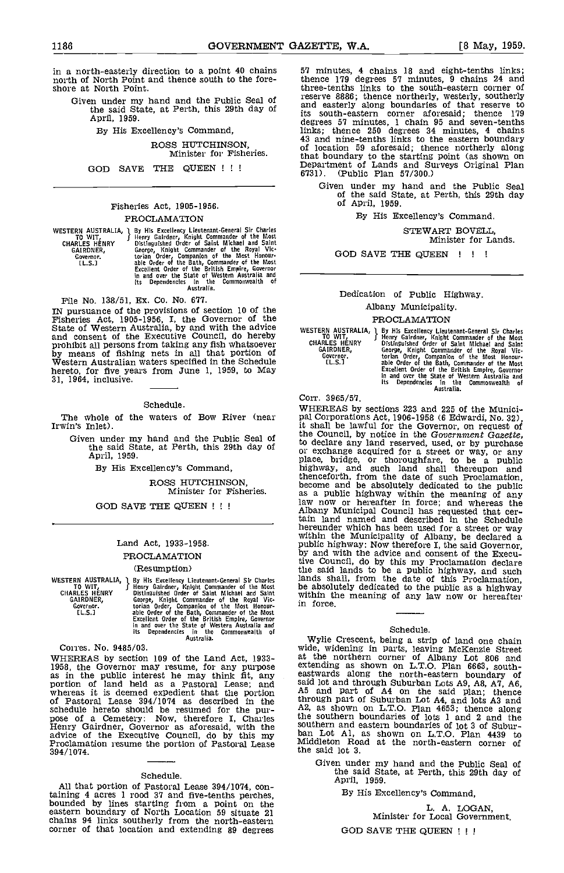in a north-easterly direction to a point 40 chains north of North Point and thence south to the foreshore at North Point.

Given under my hand and the Public Seal of  $\frac{res}{sn}$ the said State, at Perth, this 29th day of and<br>April, 1959.

By His Excellency's Command,

ROSS HUTCHINSON, Minister for Fisheries.

GOD SAVE THE QUEEN !!!

# Fisheries Act, 1905-1956. PROCLAMATION

WESTERN AUSTRALIA, a By His Excellency Lieutenant-General Sir Charles To WIT, Henry Gairder, Knjght Commander of the Rost CHARLES HENRY Distinguished Order of Saint Michael and Saint GARENES, George, Knight Commander of th

File No. 138/51, Ex. Co. No. 677.

IN pursuance of the provisions of section 10 of the<br>Fisheries Act, 1905-1956, I, the Governor of the<br>State of Western Australia, by and with the advice western<br>and consent of the Executive Council, do hereby prohibit all persons from taking any fish whatsoever<br>by means of fishing nets in all that portion of Western Australian waters specified in the Schedule<br>hereto, for five years from June 1, 1959, to May by means of moning roos in current and postern australian waters specified in the Schedule<br>hereto, for five years from June 1, 1959, to May<br>31, 1964, inclusive.

#### Schedule.

The whole of the waters of Bow River (near Irwin's Inlet).

Given under my hand and the Public Seal of  $h_0$ the said State, at Perth, this 29th day of the said State, at Perth, this 29th day of  $\frac{60}{91}$ 

By His Excellency's Command,

ROSS HUTCHINSON, Minister for Fisheries.

GOD SAVE THE QUEEN !!!

# Land Act, 1933-1958.

# PROCLAMATION

### (Resumption)

WESTERN AUSTRALIA, J By His Excellency Lieutenant-General Sir Charles To WIT, Henry Gardner, Knjoht Commander of the Most be<br>CHARLES HENRY Distinguished Order of Saint Michael and Saint Wi<br>GARLES HENRY Ceorge, Knjoht Comma

Corres. No. 9485/03.<br>WHEREAS by section 109 of the Land Act, 1933-WHEREAS by section 109 of the Land Act, 1933-1958, the Governor may resume, for any purpose<br>as in the public interest he may think fit, any<br>portion of land held as a Pastoral Lease; and<br>whereas it is deemed expedient that pose of a Cemetery: Now, therefore I, Charles<br>
Henry Gairdner, Governor as aforesaid, with the<br>
advice of the Executive Council, do by this my ban Lot Al,<br>
Proclamation resume the portion of Pastoral Lease<br>
394/1074. 394/1074.

# Schedule.

All that portion of Pastoral Lease 394/1074, containing 4 acres 1 rood 37 and five-tenths perches, bounded by lines starting from a point on the eastern boundary of North Location 59 situate 21 chains 94 links southerly from the north-eastern corner of that location and extending 89 degrees

57 minutes, 4 chains 18 and eight-tenths links thence 179 degrees 57 minutes, 9 chains 24 and three-tenths links to the south-eastern corner of reserve 8886; thence northerly, westerly, southerly and easterly along boundaries of that reserve to its south-eastern corner aforesaid; thence 179 degrees 57 minutes, 1 chain 95 and seven-tenths links; thence 250 degrees 34 minutes, 4 chains 43 and nine-tenths links to the eastern boundary of location 59 aforesaid; thence northerly along that boundary to the starting point (as shown on Department of Lands and Surveys Original Plan 6731). (Public Plan 57/300.)

Given under my hand and the Public Seal of the said State, at Perth, this 29th day of April, 1959.

By His Excellency's Command.

STEWART BOVELL, Minister for Lands.

GOD SAVE THE QUEEN ! ! !

Dedication of Public Highway. Albany Municipality.

# PROCLAMATION

WESTERN AUSTRALIA, and By His Excellency Lieutenant-General Sir Charles<br>
CHARLES HENRY Bern Carlons Capter of the Most<br>
GARLES HENRY Distinguished Order of Saint Michael and Saint<br>
GARLES HENRY Distinguished Order of Saint

# Corr. 3965/57.

WHEREAS by sections 223 and 225 of the Munici- pal Corporations Act, 1906-1958 (6 Edwardi, No. 32), it shall be lawful for the Governor, on request of the Council, by notice in the Government Gazette, to declare any land reserved, used, or by purchase or exchange acquired for a street or way, or any place, bridge, or thoroughfare, to be a public highway, and such land shall thereupon and thenceforth, from the date of such Proclamation, become and be absolutely dedicated to the public as a public highway within the meaning of any law now or hereafter in force; and whereas the Albany Municipal Council has requested that cer- tain land named and described in the Schedule hereunder which has been used for a street or way within the Municipality of Albany, be declared a public highway: Now therefore I, the said Governor, by and with the advice and consent of the Executive Council, do by this my Proclamation declare<br>the said lands to be a public highway, and such<br>lands shall, from the date of this Proclamation,<br>be absolutely dedicated to the public as a highway<br>within the meaning of any

#### Schedule.

Wylie Crescent, being a strip of land one chain wide, widening in parts, leaving McKenzie Street at the northern corner of Albany Lot 806 and extending as shown on L.T.O. Plan 6663, south-<br>eastwards along the north-eastern boundary of<br>said lot and through Suburban Lots A9, A8, A7, A6,<br>A5 and part of A4 on the said plan; thence<br>through part of Suburban Lot A4, a the southern boundaries of lots 1 and 2 and the southern and eastern boundaries of lot 3 of Subur- ban Lot Al. as shown on L.T.O. Plan 4439 to Middleton Road at the north-eastern corner of the said lot 3.

Given under my hand and the Public Seal of the said State, at Perth, this 29th day of April, 1959.

By His Excellency's Command,

L. A. LOGAN,<br>Minister for Local Government. GOD SAVE THE QUEEN !!!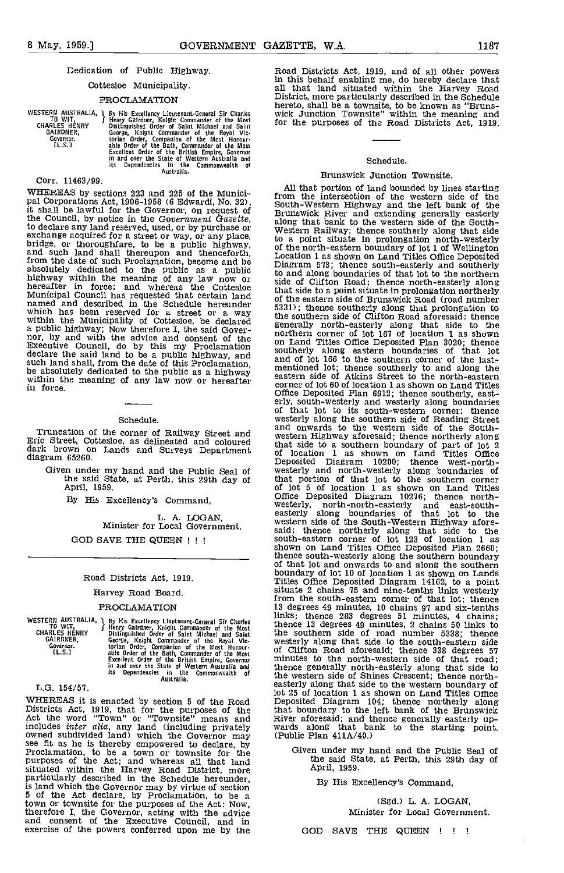### Dedication of Public Highway.

# Cottesloe Municipality.

# PROCLAMATION

WESTERN AUSTRALIA, J By His Excellency Lieutenant-General Sir Charles Vi<br>CHARLES HENRY Bienry Galrider, Knight Commander of the Most<br>GARLES HENRY Distinguished Order of Saint Michael and Saint<br>GARLES HENRY Coever (in the R

Corr, 11463/99.

WHEREAS by sections 223 and 225 of the Munici-<br>pal Corporations Act, 1906-1958 (6 Edwardi, No. 32),<br>it shall be lawful for the Governor, on request of<br>the Council, by notice in the Government Gazette, the Council, by notice in the Government Gazette,<br>to declare any land reserved, used, or by purchase or<br>exchange acquired for a street or way, or any place,<br>bridge, or thoroughfare, to be a public highway, of the<br>and such Municipal Council has requested that certain land of the same of the named and described in the Schedule hereunder 5331). which has been reserved for a street or a way<br>within the Municipality of Cottesloe, be declared the south a public highway; Now therefore I, the said Gover-<br>nor, by and with the advice and consent of the norther<br>Executive Council, do by this my Proclamation souther declare the said land to be a public highway, and  $\frac{1}{2}$  and of such land shall, from the date of this Proclamation, be absolutely dedicated to the public as a highway within the meaning of any law now or hereafter corner in force.

# Schedule.

Truncation of the corner of Railway Street and Eric Street, Cottesloe, as delineated and coloured dark brown on Lands and Surveys Department diagram 65260.

Given under my hand and the Public Seal of the said State, at Perth, this 29th day of April, 1959.

By His Excellency's Command,

L. A. LOGAN,<br>Minister for Local Government. GOD SAVE THE QUEEN !!!

#### Road Districts Act, 1919.

#### Harvey Road Board.

#### PROCLAMATION

WESTERN AUSTRALIA, 1 By Hi<br>TO WIT, TO Henry CHARLES HENRY Distin<br>GAIRDNER, George Governor.<br>[L.S.]

1 By His Excellency Lieitenant.General Sir Charles Henry Gairdner, Knight Commander of the Most Distingsished Order of Saint Michael and Saint George, Knight Commander of the Royal Vic-<br>torian Order, Companion of the Most Homour-<br>able Order of the Bath, Commander of the Most<br>Excellent Order of the British Empire, Governor<br>Excellent Order of the British Empire, Go

L.G. 154/57.

WHEREAS it is enacted by section 5 of the Road Deposit<br>Districts Act, 1919, that for the purposes of the that bo<br>Act the word "Town" or "Townsite" means and River a includes *inter alia*, any land (including privately wards owned subdivided land) which the Governor may (Public see fit as he is thereby empowered to declare, by Proclamation, to be a town or townsite for the Givennoses of the Act; and whereas all that land situated within the Harvey Road District, more particularly described in the Schedule hereunder, is land which the Governor may by virtue of section 5 of the Act declare, by Proclamation, to be a town or townsite for the purposes of the Act: Now, therefore I, the Governor, acting with the advice and consent of the Executive Council, and in exercise of the powers conferred upon me by the

Road Districts Act, 1919, and of all other powers<br>in this behalf enabling me, do hereby declare that<br>all that land situated within the Harvey Road<br>District, more particularly described in the Schedule<br>hereto, shall be a to for the purposes of the Road Districts Act, 1919,

#### Schedule.

# Brunswick Junction Townsite.

All that portion of land bounded by lines starting from the intersection of the western side of the South-Western Highway and the left bank of the Brunswick River and extending generally easterly along that bank to the western side of the South- Western Railway; thence southerly along that side to a point situate in prolongation north-westerly of the north-eastern boundary of lot 1 of Wellington Location 1 as shown on Land Titles Office Deposited Diagram 573; thence south-easterly and southerly Diagram 573; thence south-easterly and southerly to and along boundaries of that lot to the northern side of Clifton Road; thence north-easterly along that side to a point situate in prolongation northerly of the eastern side of Brunswick Road (road number 5331); thence southerly along that prolongation to the southern side of Clifton Road aforesaid: thence<br>generally north-easterly along that side to the<br>northern corner of lot 167 of location 1 as shown<br>on Land Titles Office Deposited Plan 3020; thence<br>southerly along easter mentioned lot; thence southerly to and along the eastern side of Atkins Street to the north-eastern corner of lot 60 of location 1 as shown on Land Titles<br>Office Deposited Plan 6912; thence southerly, eastof that lot to its south-westerly and westerly along boundaries of that lot to its south-western corner; thence westerly along the southern side of Reading Street westerly along the southern side of Reading Street and onwards to the western side of the South-western Highway aforesaid; thence northerly along that side to a southern boundary of part of lot 2 of location 1 as shown on Land Titles Office Deposited Diagram 10200; thence west-north-westerly and north-westerly along boundaries of that portion of that lot to the southern corner of lot 5 of location 1 as shown on Land Titles Office Deposited Diagram 10276; thence northwesterly, north-north-easterly and east-south-easterly along boundaries of that lot to the western side of the South-Western Highway afore-<br>said; thence northerly along that side to the south-eastern corner of lot 123 of location 1 as shown on Land Titles Office Deposited Plan 2660; thence south-westerly along the southern boundary of that lot and onwards to and along the southern boundary of lot 10 of location 1 as shown on Lands Titles Office Deposited Diagram 14162, to a point situate 2 chains 75 and nine-tenths links westerly from the south-eastern corner of that lot; thence 13 degrees 49 minutes, 10 chains 97 and six-tenths links; thence 283 degrees 51 minutes, 4 chains; thence 13 degrees 49 minutes, 2 chains 50 links to<br>the southern side of road number 5338; thence<br>westerly along that side to the south-eastern side<br>of Clifton Road aforesaid; thence 338 degrees 57<br>minutes to the north-west thence generally north-easterly along that side to the western side of Shines Crescent; thence north- easterly along that side to the western boundary of lot 25 of location 1 as shown on Land Titles Office Deposited Diagram 104; thence northerly along that boundary to the left bank of the Brunswick River aforesaid; and thence generally easterly up- wards along that bank to the starting point. (Public Plan 411A/40.)

Given under my hand and the Public Seal of the said State, at Perth, this 29th day of April, 1959.

By His Excellency's Command,

(Sgd.) L. A. LOGAN, Minister for Local Government.

GOD SAVE THE QUEEN ! ! !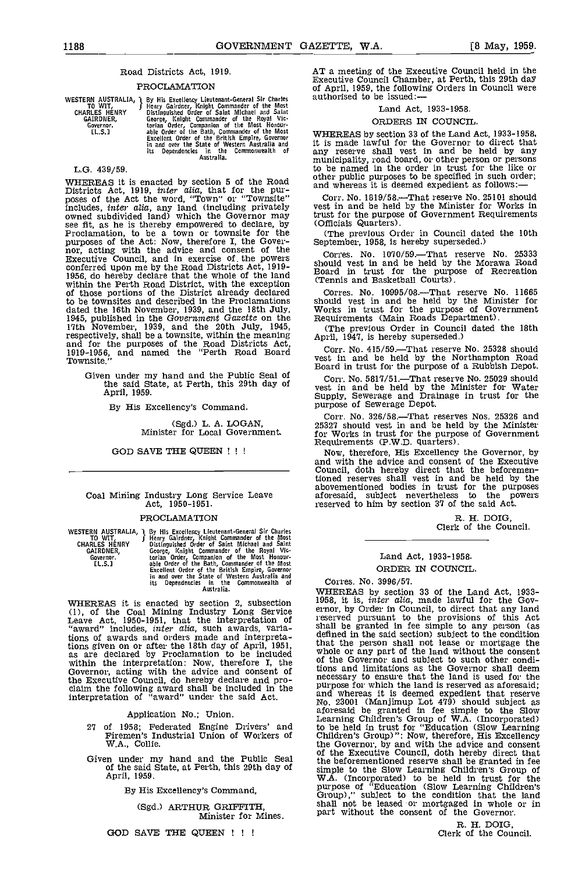# Road Districts Act, 1919.

# PROCLAMATION

WESTERN AUSTRALIA, 1 By History<br>CHARLES HENRY Disting<br>CHARLES HENRY Disting<br>GAIRDNER, George<br>Governor. torian clu.S.1 able C

The Excellency Lieutenant-General Sir Charles<br>
J Henry Gairletter, Knight Commander of the Most<br>
Distinguished Order of Saint Michael and Saint<br>
George, Knight Commander of the Royal Vic-<br>
torian Order, Companion of the Mo

L.G. 439/59.

WHEREAS it is enacted by section 5 of the Road Districts Act, 1919, inter alia, that for the pur-<br>Districts Act, 1919, inter alia, that for the pur-<br>poses of the Act the word, "Town" or "Townsite" Corr. No. 1819/58.—That r includes, *inter alia*, any land (including privately vest in owned subdivided land) which the Governor may see fit, as he is thereby empowered to declare, by (Offici<br>Proclamation, to be a town or townsite for the (The<br>purposes of the Act: Now, therefore I, the Gover-<br>Septer<br>nor, acting with the advice and consent of the<br>Executi to be townsites and described in the Proclamations dated the 16th November, 1939, and the 18th July, Work<br>1945, published in the Government Gazette on the 17th November, 1939, and the 20th July, 1945, (T) respectively, shall be a townsite, within the meaning april, and for the purposes of the Road Districts Act, 1919-1956, and named the "Perth Road Board Corr Townsite."

Example 1516.<br>Given under my hand and the Public Seal of Corr. No. 5817/51.—That reserve No. 25029 should the said State, at Perth, this 29th day of April, 1959.

By His Excellency's Command.

(Sgd.) L. A. LOGAN, Minister for Local Government.

#### GOD SAVE THE QUEEN !!!

# Coal Mining Industry Long Service Leave Act, 1950-1951.

#### PROCLAMATION

P By His Excellency Lieutenant-General Sir Charles<br>
I Henry Gairloney, Knight Commander of the Most<br>
Distinguished Order of Saint Michael and Saint<br>
George, Knight Commander of the Royal Vic-<br>
torian Order, Companion of th WESTERN AUSTRALIA, TO Wit, CHARLES HENRY GAIRDNER, Governor, 1.5.]

WHEREAS it is enacted by section 2, subsection (1), of the Coal Mining Industry Long Service ernor,<br>Leave Act, 1950-1951, that the interpretation of  $^{1}$ ESETV<br>"award" includes, *inter alia*, such awards, variations of awards and orders made and interpretations given on or after the 18th day of April, 1951, that the as are declared by Proclamation to be included whole within the interpretation: Now, therefore I, the Governor, acting with the advice and consent of tions a the Executive Council, do hereby declare and pro-<br>claim the following award shall be included in the part interpretation of "award" under the said Act.

#### Application No.; Union.

- 27 of 1958; Federated Engine Drivers' and Piremen's Industrial Union of Workers of W.A., Collie.
- Given under my hand and the Public Seal of the said State, at Perth, this 29th day of April, 1959.

By His Excellency's Command,

(Sgd.) ARTHUR GRIFFITH, Minister for Mines.

AT a meeting of the Executive Council held in the Executive Council Chamber, at Perth, this 29th day of April, 1959, the following Orders in Council were authorised to be issued:

# Land Act, 1933-1958.

#### ORDERS IN COUNCIL.

WHEREAS by section 33 of the Land Act, 1933-1958, it is made lawful for the Governor to direct that any reserve shall vest in and be held by any to be named in the order in trust for the like or other public purposes to be specified in such order; and whereas it is deemed expedient as follows:

That reserve No. 25101 should vest in and be held by the Minister for Works in trust for the purpose of Government Requirements (Officials Quarters).

(The previous Order in Council dated the 10th September, 1958, is hereby superseded.)

Corres. No. 1070/59.—That reserve No. 25333 should vest in and be held by the Morawa Road Board in trust for the purpose of Recreation (Tennis and Basketball Courts).

Corres. No. 10995/08.—That reserve No. 11665<br>should vest in and be held by the Minister for<br>Works in trust for the purpose of Government<br>Requirements (Main Roads Department).<br>(The previous Order in Council dated the 18th<br>A

Corr. No. 415/59.-That reserve No. 25328 should vest in and be held by the Northampton Road

Corr. No. 5817/51.That reserve No. 25029 should vest in and be held by the Minister for Water Supply, Sewerage and Drainage in trust for the purpose of Sewerage Depot.

Corr. No. 326/58.-That reserves Nos. 25326 and 25327 should vest in and be held by the Minister for Works in trust for the purpose of Government Requirements (P.W.D. quarters).

Now, therefore, His Excellency the Governor, by and with the advice and consent of the Executive Council, doth hereby direct that the beforementioned reserves shall vest in and be held by the abovementioned bodies in trust for the purposes aforesaid, subject nevertheless to the powers reserved to him by section 37 of the said Act.

R. H. DOIG,<br>Clerk of the Council.

# Land Act, 1933-1958. ORDER IN COUNCIL.

# Corres. No. 3996/57.

WHEREAS by section 33 of the Land Act, 1933-1958, it is, *inter alia*, made lawful for the Governor, by Order in Council, to direct that any land erserved pursuant to the provisions of this Act shall be granted in fee simple to any person (as defined in the said section) subject to the condition that the person shall not lease or mortgage the that the person shall not lease or mortgage the whole or any part of the land without the consent of the Governor and subject to such other condi-tions and limitations as the Governor shall deem necessary to ensure that the land is used for the purpose for which the land is reserved as aforesaid; and whereas it is deemed expedient that reserve No. 23001 (Manjimup Lot 479) should subject as aforesaid be granted in the Governor, by and with the advice and consent of the Executive Council, doth hereby direct that the beforementioned reserve shall be granted in fee<br>simple to the Slow Learning Children's Group of<br>W.A. (Incorporated) to be held in trust for the<br>purpose of "Education (Slow Learning Children's<br>Group)," sublect to the co shall not be leased or mortgaged In whole or in part without the consent of the Governor.

R. H. DOIG, Clerk of the Council.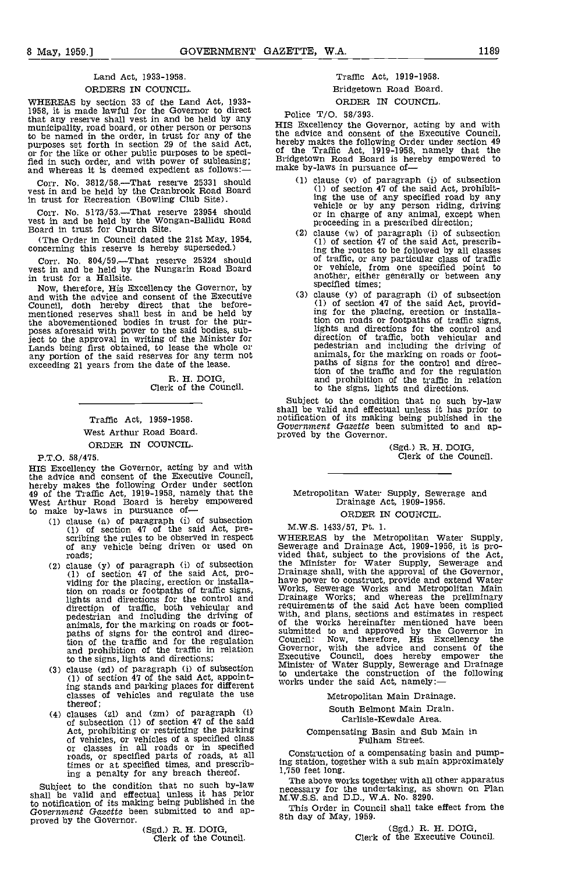# Land Act, 1933-1958.

# ORDERS IN COUNCIL.

WHEREAS by section 33 of the Land Act, 1933-1958, it is made lawful for the Governor to direct that any reserve shall vest in and be held by any that any reserve shall vest in and be held by any<br>municipality, road board, or other persons<br>to be named in the order, in trust for any of the<br>purposes set forth in section 29 of the said Act,<br>or for the like or other publ

Corr. No.  $3812/58$ . That reserve  $25331$  should  $(1)$ vest in and be held by the Cranbrook Road Board in trust for Recreation (Bowling Club Site).

Corr. No. 5173/53.—That reserve 23954 should vest in and be held by the Wongan-Ballidu Road<br>Board in trust for Church Site.

(The Order in Council dated the 21st May, 1954, concerning this reserve is hereby superseded.)

Corr. No. 804/59. That reserve 25324 should vest in and be held by the Nungarin Road Board in trust for a Hallsite.

Now, therefore, His Excellency the Governor, by and with the advice and consent of the Executive Council, doth hereby direct that the before-mentioned reserves shall best in and be held by the abovementioned bodies in trust for the pur- poses aforesaid with power to the said bodies, subject to the approval in writing of the Minister for Lands being first obtained, to lease the whole or any portion of the said reserves for any term not exceeding 21 years from the date of the lease.

R. H. DOIG, Clerk of the Council.

# Traffic Act, 1959-1958.

# West Arthur Road Board.

# ORDER IN COUNCIL.

P.T.O. 58/475.

HIS Excellency the Governor, acting by and with the advice and consent of the Executive Council, the advice and consent of the Executive Council, hereby makes the following Order under section 49 of the Traffic Act, 1919-1958, namely that the West Arthur Road Board is hereby empowered<br>to make by-laws in pursuance of component (1) of subsection (1) of subsection

- (1) clause (a) of paragraph (i) of subsection (1) of section  $47$  of the said Act, pre-<br>scribing the rules to be observed in respect of any vehicle being driven or used on<br>roads;
- roads; vided<br>clause (y) of paragraph (i) of subsection the the extance (1) of section 47 of the said Act, pro-<br>viding for the placing, erection or installa-<br>traction tion on roads or footpaths of traffic signs, Works<br>lights and directions for the control and Drain direction of traffic, both vehicular and require<br>pedestrian and including the driving of with, animals, for the marking on roads or foot-<br>paths of signs for the control and direction of the traffic and for the regulation Council<br>and prohibition of the traffic in relation Govern to the signs, lights and directions;<br>(3) clause ( $\alpha$ d) of paragraph (i) of subsection
- (1) of section 47 of the said Act, appointing stands and parking places for different work-<br>classes of vehicles and regulate the use thereof;
- clauses (zl) and (am) of paragraph (i) of subsection (1) of section 47 of the said Act, prohibiting or restricting the parking of vehicles, or vehicles of a specified class<br>or classes in all roads or in specified<br>roads, or specified parts of roads, at all  $\sim$ times or at specified times, and prescribing a penalty for any breach thereof.

shall be valid and effectual unless it has prior that the valid and effectual unless it has prior to notification of its making being published in the Government Gazette been submitted to and ap-<br>Government Gazette been submitted to and ap-<br>proved by the Governor. (Sgd.) R. H. DOIG,<br>Clerk of the Council.

# Traffic Act, 1919-1958.

# Bridgetown Road Board. ORDER IN COUNCIL.

Police T/O. 58/393.

HIS Excellency the Governor, acting by and with the advice and consent of the Executive Council, hereby makes the following Order under section 49 of the Traffic Act, 1919-1958, namely that the Bridgetown Road Board is hereby empowered to make by-laws in pursuance of-

- clause (v) of paragraph (i) of subsection (1) of section 47 of the said Act, prohibit-ing the use of any specified road by any vehicle or by any person riding, driving or in charge of any animal, except when proceeding in a prescribed direction;
- clause (w) of paragraph (i) of subsection (1) of section 47 of the said Act, prescribing the routes to be followed by all classes of traffic, or any particular class of traffic or vehicle, from one specified point to another, either generally or between any specified times;
- clause (y) of paragraph (i) of subsection (1) of section 47 of the said Act, provid-ing for the placing, erection or installation on roads or footpaths of traffic signs, lights and directions for the control and direction of traffic, both vehicular and pedestrian and including the driving of animals, for the marking on roads or foot-<br>paths of signs for the control and direction of the traffic and for the regulation and prohibition of the traffic in relation to the signs, lights and directions.

Subject to the condition that no such by-law shall be valid and effectual unless it has prior to notification of its making being published in the Government Gazette been submitted to and ap-<br>proved by the Governor.

(Sgd.) R. H. DOIG,<br>Clerk of the Council.

# Metropolitan Water Supply, Sewerage and Drainage Act, 1909-1956. ORDER IN COUNCIL.

M.W.S. 1433/57, Pt. 1.

M.W.S. 1433/31, Pt. 1.<br>
WHEREAS by the Metropolitan Water Supply,<br>
Sewerage and Drainage Act, 1909-1956, it is pro-<br>
Sewerage and Drainage Shall, with the approval of the Governor,<br>
have power to construct, provide and ext requirements of the said Act have been complied with, and plans, sections and estimates in respect submitted to and approved by the Governor in Council: Now, therefore, His Excellency the Governor, with the advice and consent of the Executive Council, does hereby empower the Minister of Water Supply, Sewerage and Drainage to undertake the construction of the following works under the said Act, namely:

Metropolitan Main Drainage.

South Belmont Main Drain.

Carlisle-Kewdale Area.

Compensating Basin and Sub Main in Fulham Street.

Construction of a compensating basin and pumping station, together with a sub main approximately 1,750 feet long.

Subject to the condition that no such by-law The above works together with all other apparatus<br>mecessary for the undertaking as shown on Plan necessary for the undertaking, as shown on Plan M.W.S.S. and D.D., W.A. No. 8290.

This Order in Council shall take effect from the 8th day of May, 1959.

(Sgd.) R. H. DOIG, Clerk of the Executive Council.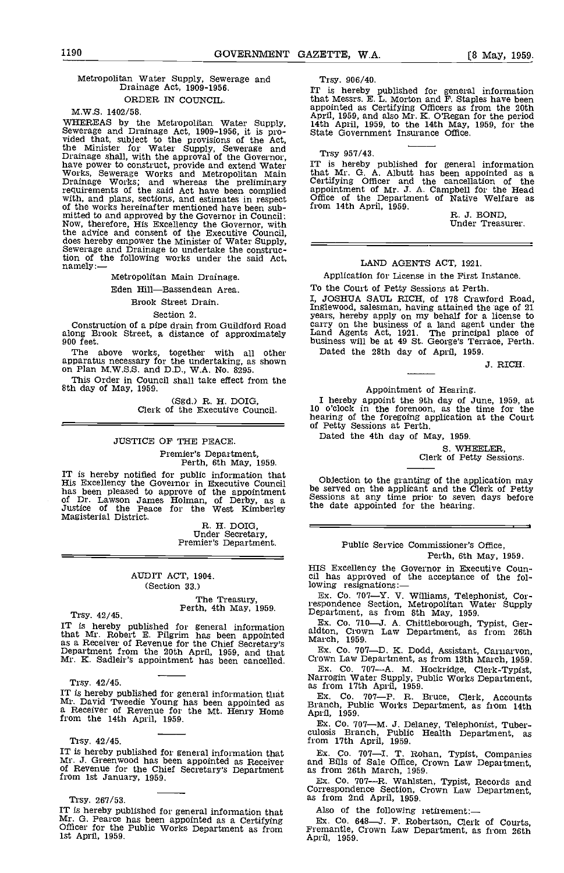# Metropolitan Water Supply, Sewerage and Drainage Act, 1909-1956. ORDER IN COUNCIL.

M.W.S. 1402/58.<br>WHEREAS by the Metropolitan Water Supply,<br>Sewerage and Drainage Act, 1909-1956, it is provided that, subject to the provisions of the Act,<br>the Minister for Water Supply, Sewerage and<br>Drainage shall, with the approval of the Governor,<br>have power to construct, provide and extend Water From the said Act have been complied appointment of Mr. J. The said Act have been complied appointment of Mr. J. with, and plans, sections, and estimates in respect of the Department of Mr. J. with, and plans, sections, a mitted to and approved by the Governor in Council: Now, therefore, His Excellency the Governor, with the advice and consent of the Executive Council, does hereby empower the Minister of Water Supply, Sewerage and Drainage to undertake the construc-Sewerage and Drainage to undertake the construction of the following works under the said Act, namely: $-$ 

Metropolitan Main Drainage.

# Eden Hill-Bassendean Area.

# Brook Street Drain.

Section 2.

Construction of a pipe drain from Guildford Road along Brook Street, a distance of approximately 900 feet.

The above works, together with all other Datapparatus necessary for the undertaking, as shown on Plan M.W.S.S. and D.D., W.A. No. 8295.

This Order in Council shall take effect from the 8th day of May, 1959.

(Sgd.) R. H. DOIG, Clerk of the Executive Council.

# JUSTICE OF THE PEACE.

Premier's Department, Perth, 6th May, 1959,

IT is hereby notified for public information that<br>
His Excellency the Governor in Executive Council<br>
has been pleased to approve of the appointment<br>
of Dr. Lawson James Holman, of Derby, as a<br>
Justice of the Peace for the

# AUDIT ACT, 1904. (Section 33.)

The Treasury,<br>Trsy. 42/45. Trsy. 42/45.

IT is hereby published for general information that Mr. Robert E. Pilgrim has been appointed March as a Receiver of Revenue for the Chief Secretary's Department from the 20th April, 1959, and that Mr. K. Sadleir's appointment has been cancelled. Cro

Trsy. 42/45.<br>IT is hereby published for general information that IT is hereby published for general information that Mr. David Tweedie Young has been appointed as  $Mr$ . David Tweedie Young has been appointed as  $Rr$  Branch, Public Works De a Receiver of Revenue for the Mt. Henry Home Ap

#### Trsy. 42/45.

Trsy. 42/45. **IT is hereby published for general information that** Ex. Co. 707—I. T. J. Greenwood has been appointed as Receiver and Bills of Sale Officer of Revenue for the Chief Secretary's Department as from 26th March

Trsy. 267/53.

IT is hereby published for general information that Also of the Mr. G. Pearce has been appointed as a Certifying Ex. Co. 6<br>Officer for the Public Works Department as from Fremantle, 1st April, 1959. April, 1959.

Trsy. 906/40.

IT is hereby published for general information<br>that Messrs. E. L. Morton and F. Staples have been<br>appointed as Certifying Officers as from the 20th<br>April, 1959, and also Mr. K. O'Regan for the period<br>14th April, 1959, to t

Trsy 957/43.

IT is hereby published for general information that Mr. G. A. Albutt has been appointed as a Certifying Officer and the cancellation of the appointment of Mr. J. A. Campbell for the Head Office of the Department of Native Welfare as from 14th April, 1959.  $R. J. BOND,$  Under Treasurer.

# LAND AGENTS ACT, 1921.

Application for License in the First Instance.

To the Court of Petty Sessions at Perth.<br>I, JOSHUA SAUL RICH, of 178 Crawford Road, Inglewood, salesman, having attained the age of 21<br>years, hereby apply on my behalf for a license to<br>carry on the business of a land agent under the<br>Land Agents Act, 1921. The principal place of<br>business will be at 49 St.

J. RICH.

# Appointment of Hearing.

I hereby appoint the 9th day of June, 1959, at 10 o'clock in the forenoon, as the time for the hearing of the foregoing application at the Court of Petty Sessions at Perth.

Dated the 4th day of May, 1959.

S. WHEELER,<br>Clerk of Petty Sessions.

Objection to the granting of the application may be served on the applicant and the Clerk of Petty Sessions at any time prior to seven days before<br>the date appointed for the hearing.

# Public Service Commissioner's Office, Perth, 6th May, 1959.

HIS Excellency the Governor in Executive Coun- cil has approved of the acceptance of the following resignations:-

Ex. Co. 7o7-Y. V. Williams, Telephonist, Correspondence Section, Metropolitan Water Supply Department, as from 8th May, 1959.

Ex. Co. 7I0-J. A. Chittleborough, Typist, Ger- aldton, Crown Law Department, as from 26th March, 1959.

Ex. Co. 707-D. K. Dodd, Assistant, Carnarvon,

Ex. Co. 707-A. M. Hockridge, Clerk-Typist, Narrogin Water Supply, Public Works Department, as from 17th April, 1959.

Co. 707-P. R. Bruce, Clerk, Accounts<br>h, Public Works Department, as from 14th

Ex. Co. 707-M. J. Delaney, Telephonist, Tuber-culosis Branch, Public Health Department, as

Ex. Co. 707-I. T. Rohan, Typist, Companies and Bills of Sale Office, Crown Law Department, as from 26th March, 1959.

Ex. Co. 707-R. Wahlsten, Typist, Records and Correspondence Section, Crown Law Department, as from 2nd April, 1959.

Also of the following retirement:-

Ex. Co. 648-J. F. Robertson, Clerk of Courts, Fremantle, Crown Law Department, as from 26th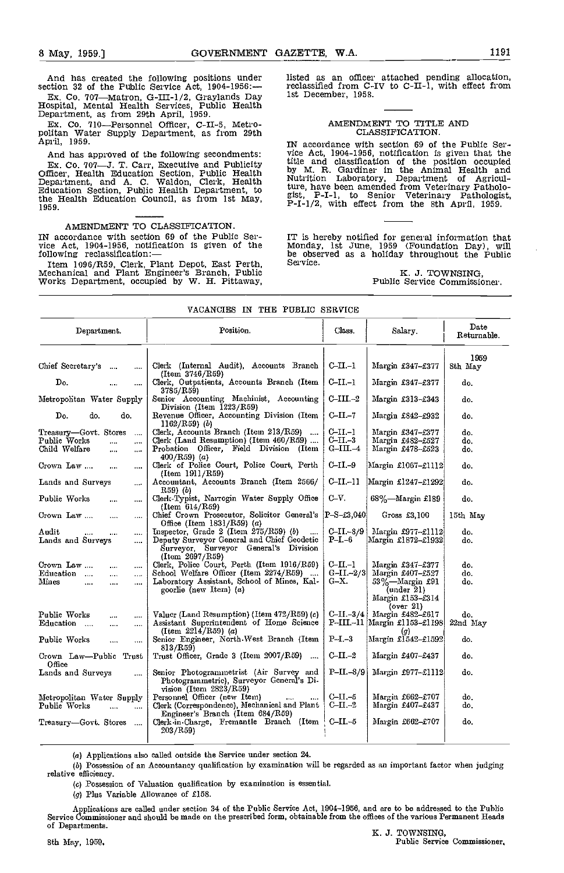And has created the following positions under section 32 of the Public Service Act, 1904-1956:--

Ex. Co. 707—Matron, G-III-1/2, Graylands Day Hospital, Mental Health Services, Public Health Department, as from 29th April, 1959.

Ex. Co. 710—Personnel Officer, C-II-5, Metro-politan Water Supply Department, as from 29th April, 1959.

And has approved of the following secondments:<br>Ex. Co. 707—J. T. Carr, Executive and Publicity Ex. Co. 707—J. T. Carr, Executive and Publicity Utile a<br>Officer, Health Education Section, Public Health Department, and A. C. Waldon, Clerk, Health Nutriti<br>Education Section, Public Health Department, to ture, h<br>ist the Health Education Council, as from 1st May, 1959.

## AMENDMENT TO CLASSIFICATION.

IN accordance with section 69 of the Public Ser-<br>vice Act, 1904-1956, notification is given of the Mond<br>following reclassification:— be ob

Item 1096/R59, Clerk, Plant Depot, East Perth, Mechanical and Plant Engineer's Branch, Public Works Department, occupied by W. H. Pittaway,

listed as an officer attached pending allocation, reclassified from C-IV to C-11-1, with effect from 1st December, 1958.

# AMENDMENT TO TITLE AND CLASSIFICATION.

IN accordance with section 69 of the Public Service Act, 1904-1956, notification is given that the title and classification of the position occupied<br>by M. R. Gardiner in the Animal Health and<br>Nutrition Laboratory, Department of Agriculture, have been amended from Veterinary Patholo-<br>gist, P-I-1, to Senior Veterinary Pathologist,<br>P-I-1/2, with effect from the 8th April, 1959.

IT is hereby notified for general information that Monday, 1st June, 1959 (Foundation Day), will be observed as a holiday throughout the Public Service.

K. J. TOWNSING, Public Service Commissioner.

|                                                                                                                              | YACANCIES IN ILLE IQDLIO SERVICE                                                                                                                                |                                                                      |                                                                                                                |                     |
|------------------------------------------------------------------------------------------------------------------------------|-----------------------------------------------------------------------------------------------------------------------------------------------------------------|----------------------------------------------------------------------|----------------------------------------------------------------------------------------------------------------|---------------------|
| Department.                                                                                                                  | Position.                                                                                                                                                       | Class.                                                               | Salary.                                                                                                        | Date<br>Returnable. |
| Chief Secretary's<br>$\sim 10$<br>$\cdots$                                                                                   | Clerk (Internal Audit), Accounts Branch                                                                                                                         | C-II.-1                                                              | Margin £347-£377                                                                                               | 1959<br>8th May     |
| Do.<br>$\cdots$<br>                                                                                                          | (Item 3746/R59)<br>Clerk, Outpatients, Accounts Branch (Item<br>3785/R59)                                                                                       | $C-II-1$                                                             | Margin £347-£377                                                                                               | do.                 |
| Metropohtan Water Supply                                                                                                     | Senior Accounting Machinist, Accounting<br>Division (Item 1223/R59)                                                                                             | $C-III. -2$                                                          | Margin $£313-£343$                                                                                             | do.                 |
| Do.<br>do.<br>do.                                                                                                            | Revenue Officer, Accounting Division (Item<br>$1162/R59$ (b)                                                                                                    | $C$ -II.-7                                                           | Margin £842-£932                                                                                               | do.                 |
| Treasury—Govt. Stores<br>$\cdots$<br>Public Works<br><br>$\cdots$<br>Child Welfare<br>in e<br>$\ddotsc$                      | Clerk, Accounts Branch (Item $213/R59$ )<br>Clerk (Land Resumption) (Item 460/R59)<br>Probation Officer, Field Division (Item<br>400/R59) (a)                   | C-II -1<br>$C$ -II $-3$<br>$G$ –III. $-4$                            | Margin £347-£377<br>Margin £482-£527<br>Margin £478-£523                                                       | do.<br>do.<br>do.   |
| Crown Law<br>$\cdots$<br>$\cdots$                                                                                            | Clerk of Police Court, Police Court, Perth<br>(Item 1911/R59)                                                                                                   | $C-II-9$                                                             | Margin £1067-£1112                                                                                             | do.                 |
| Lands and Surveys<br>                                                                                                        | Accountant, Accounts Branch (Item 2566/<br>R59) (b)                                                                                                             | $C$ -II.-11                                                          | Margin £1247-£1292                                                                                             | do.                 |
| Public Works<br><br>$\cdots$                                                                                                 | Clerk-Typist, Narrogin Water Supply Office<br>(Item 614/R59)                                                                                                    | $C-V.$                                                               | $68\%$ —Margin £189                                                                                            | do.                 |
| Crown Law<br><br>$\cdots$                                                                                                    | Chief Crown Prosecutor, Solicitor General's<br>Office (Item $1831/R59$ ) (a)                                                                                    | $\left  \mathrm{P}\text{-}\mathrm{S}\text{-}\mathrm{f}3,040 \right $ | Gross £3,100                                                                                                   | 15th May            |
| Audit<br><br><br>Lands and Surveys<br>$\cdots$                                                                               | Inspector, Grade 2 (Item $275/R59$ ) (b)<br>Deputy Surveyor General and Chief Geodetic<br>Surveyor, Surveyor General's Division<br>(Item 2697/R59)              | $C$ -II - $8/9$<br>$P-I.-6$                                          | Margin £977-£1112<br>Margin £1872-£1932                                                                        | do.<br>do.          |
| Crown Law<br>$\cdots$<br>.<br>Education<br>$\mathbf{r}$<br>$\cdots$<br>$\cdots$<br>Mines<br>$\cdots$<br>$\cdots$<br>$\cdots$ | Clerk, Police Court, Perth (Item 1916/R59)<br>School Welfare Officer (Item 2274/R59)<br>Laboratory Assistant, School of Mines, Kal-<br>goorlie (new Item) $(a)$ | c–п –1<br>$G-II - 2/3$<br>G-X.                                       | Margin £347-£377<br>Margin $£407 - £527$<br>53%-Margin £91<br>$($ under $21)$<br>Margin £153-£314<br>(over 2l) | do.<br>do.<br>do.   |
| Public Works<br>and a<br>$\cdots$<br>Education<br>$\cdots$<br>$\cdots$                                                       | Valuer (Land Resumption) (Item $472/\text{R59}$ ) (c)<br>Assistant Superintendent of Home Science<br>(Item $2214/R59$ ) (a)                                     | $C-II -3/4$                                                          | Margin £482-£617<br>P-III.-11 Margin £1153-£1198<br>$\left( q\right)$                                          | do.<br>22nd May     |
| Public Works<br>$\cdots$<br>                                                                                                 | Senior Engineer, North-West Branch (Item<br>813/R59)                                                                                                            | $P-I.-3$                                                             | Margin £1542-£1592                                                                                             | do.                 |
| Crown Law—Public Trust<br>Office                                                                                             | Trust Officer, Grade 3 (Item $2007/R59$ )                                                                                                                       | $C-II-2$                                                             | Margin £407-£437                                                                                               | do.                 |
| Lands and Surveys<br>$\cdots$                                                                                                | Senior Photogrammetrist (Air Survey and<br>Photogrammetric), Surveyor General's Di-<br>$vision$ (Item $2823/R59$ )                                              | $P-II.-8/9$                                                          | Margin £977-£1112                                                                                              | do.                 |
| Metropolitan Water Supply<br>Public Works<br>$\overline{1}$                                                                  | Personnel Officer (new Item)<br>$\cdots$<br>Clerk (Correspondence), Mechanical and Plant                                                                        | C-II -5<br>$C$ -II. $-2$                                             | Margin £662–£707<br>Margin £407–£437                                                                           | do.<br>do.          |
| Treasury—Govt. Stores<br>$\sim$                                                                                              | Engineer's Branch (Item 684/R59)<br>Clerk in Charge, Fremantle Branch (Item<br>203/R59)                                                                         | $C-II-5$                                                             | Margin $£662 - £707$                                                                                           | do.                 |
|                                                                                                                              |                                                                                                                                                                 |                                                                      |                                                                                                                |                     |

# VACANCIES IN THE PUBLIC SELtVICE

(a) Applications also called outside the Service under section 24.

(6) Possession of an Accountancy qualification by examination will be regarded as an important factor when judging relative efficiency.

(c) Possession of Valuation qualification by examination is essential.

(g) Plus Variable Allowance of £158.

Applications are called under section 34 of the Public Service Act, 1904–1956, and are to be addressed to the Public<br>Service Commissioner and should be made on the prescribed form, obtainable from the offices of the variou of Departments.<br>
IC. 3. TOWNSING,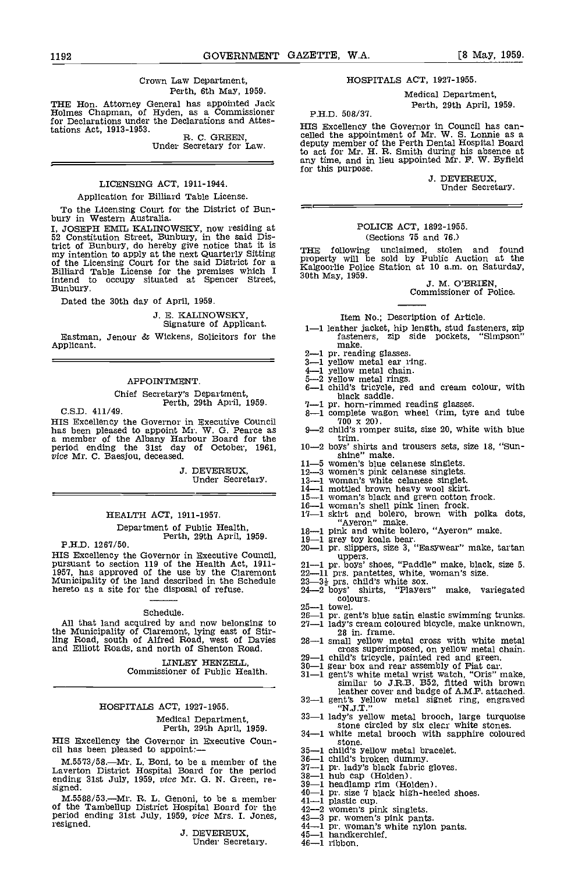### Crown Law Department, Perth, 6th May, 1959.

THE Hon. Attorney General has appointed Jack Holmes Chapman, of Hyden, as a Commissioner for Declarations under the Declarations and Attestations Act, 1913-1953. R. C. GREEN, Under Secretary for Law.

# LICENSING ACT, 1911-1944.

# Application for Billiard Table License.

To the Licensing Court for the District of Bun-<br>bury in Western Australia.

I, JOSEPH EMIL KALINOWSKY, now residing at 52 Constitution Street, Bunbury, in the said District of Bunbury, do hereby give notice that it is<br>my intention to apply at the next Quarterly Sitting Tropen<br>of the Licensing Court for the said District for a Billiard Table License for the premises which I Soth N information of the Licensing Court for the said District for a<br>Billiard Table License for the premises which I Kalgoorlie Policentend to occupy situated at Spencer Street, 30th May, 1959. Bunbury.

Dated the 30th day of April, 1959.

J. E. KALINOWSRY, Signature of Applicant.

Eastman, Jenour & Wickens, Solicitors for the fasteners, zip side<br>Applicant.<br>
Applicant.<br>
Applicant.<br>
Applicant.<br>
Applicant.<br>
Applicant.<br>
Applicant.<br>
Applicant.<br>
All princess  $\frac{2-1}{4-1}$  yellow metal chain.

# APPOINTMENT.

Chief Secretary's Department,<br>C.S.D. 411/49.<br>

HIS Excellency the Governor in Executive Council<br>has been pleased to appoint Mr. W. G. Pearce as  $9-2$ <br>a member of the Albany Harbour Board for the<br>period ending the 31st day of October, 1961, 10-2<br>vice Mr. C. Baesjou, dec

J. DEVEREUX, Under Secretary.

# HEALTH ACT, 1911-1957.

Department of Public Health,<br>P.H.D. 1267/50.<br>HIS Excellency the Governor in Executive Council,

Furthermore pursuant to section 119 of the Health Act, 1911-<br>1957, has approved of the use by the Claremont<br>Municipality of the land described in the Schedule<br>hereto as a site for the disposal of refuse.

#### Schedule.

All that land acquired by and now belonging to the Municipality of Claremont, lying east of Stir-ling Road, south of Alfred Road, west of Davies and Elliott Roads, and north of Shenton Road.

Commissioner of Public Health.

#### HOSPITALS ACT, 1927-1955.

# Medical Department, Perth, 29th April, 1959.

HIS Excellency the Governor in Executive Coun-<br>cil has been pleased to appoint:—<br> $\begin{array}{r} 34-1 \text{ white metal brooch with }$  some.<br> $35-1 \text{ child's yellow metal bracket.} \end{array}$ 

M.5573/58.—Mr. L. Boni, to be a member of the  $\frac{36-1}{37-1}$ <br>Laverton District Hospital Board for the period  $\frac{37-1}{30-1}$ ending 31st July, 1959, *vice* Mr. G. N. Green, re-<br>signed. 35

M.5588/53.—Mr. R. L. Genoni, to be a member  $\begin{array}{l}\n 41 - 1 \\
 41 - 1 \\
 12 - 2 \\
 42 - 2 \\
 \end{array}$  women's pink singlets.<br>
period ending 31st July, 1959, *vice* Mrs. I. Jones,  $\begin{array}{l}\n 43 - 3 \\
 43 - 3 \\
 \end{array}$  pr. women's pink pants.<br>
r

Under Secretary.

# HOSPITALS ACT, 1927-1955.

Medical Department, **PHD** 508/37. **PHD** 508/37.

HIS Excellency the Governor in Council has can- celled the appointment of Mr. W. S. Lonnie as a deputy member of the Perth Dental Hospital Board to act for Mr. H. FL Smith during his absence at any time, and in lieu appointed Mr. F. W. Byfield for this purpose.

J. DEVEREUX, Under Secretary.

# POLICE ACT, 1892-1955. (Sections 75 and 76.)

THE following unclaimed, stolen and found<br>property will be sold by Public Auction at the<br>Kalgoorlie Police Station at 10 a.m. on Saturday,<br>30th May, 1959.<br>J. M. O'BRIEN,<br>Commissioner of Police.

## Item No.; Description of Article.

- 1-1 leather jacket, hip length, stud fasteners, zip<br>fasteners, zip side pockets, "Simpson"
- 
- 
- 
- 
- make.  $2$ —1 pr. reading glasses.  $3-1$  yellow metal ear ring.  $4-1$  yellow metal chain.  $5-2$  yellow metal rings.  $6-1$  child's tricycle, red and cream colour, with black saddle.<br>-1 pr. horn-rimmed reading glasses.
- 
- $\frac{3-1}{700 \times 20}$ .<br>9-2 child's romper suits, size 20, white with blue
- 
- trim. 10-2 boys' shirts and trousers sets, size 18, "Sun- shine" make.
- 
- 
- 
- 
- 
- 
- 
- 
- 
- shine" make.<br>
11-5 women's blue celanese singlets.<br>
12-3 women's pink celanese singlets.<br>
13-1 woman's white celanese singlet.<br>
14-1 mothed brown heavy wool skirt.<br>
15-1 woman's black and green cotton frock.<br>
16-1 woman's
- uppers.<br> 21--1 pr. boys' shoes, "Paddle" make, black, size 5.<br> 22—11 prs. pantettes, white, woman's size.<br> 23—3k prs. child's white sox.<br> 24—2 boys' shirts, "Players" make, variegated
- 
- $\frac{\text{colours}}{25 1}$  towel.
- 
- 
- 25—1 towel.<br>
26—1 pr. gent's blue satin elastic swimming trunks.<br>
27—1 lady's cream coloured bicycle, make unknown,<br>
28—1 small yellow metal cross with white metal<br>
cross superimposed, on yellow metal chain.
- 28—1 small yellow metal cross with white metal<br>cross superimposed, on yellow metal chain.<br>29—1 child's tricycle, painted red and green.<br>30—1 gear box and rear assembly of Fiat car.<br>31—1 gent's white metal wrist watch, "Or
- LINLEY HENZELL,  $29-1$  child's tricycle, painted red and green.<br> $30-1$  gear hox and rear assembly of Fiat car.
	-
	-
	- leather cover and badge of AMP, attached. 32-1 gent's yellow metal signet ring, engraved
	- 33-1 lady's yellow metal brooch, large turquoise
	- stone circled by six clear white stones.<br>34-1 white metal brooch with sapphire coloured stone.<br>  $35-1$  child's yellow metal bracelet.<br>  $36-1$  child's broken dummy.<br>  $37-1$  pr. lady's black fabric gloves.<br>  $38-1$  hub cap (Holden).<br>  $39-1$  headlamp rim (Holden).<br>  $40-1$  pr. size 7 black high-heeled shoes.<br>  $41$
	-
	-
	-
	-
	-
	-
	- -
	-
	-
	-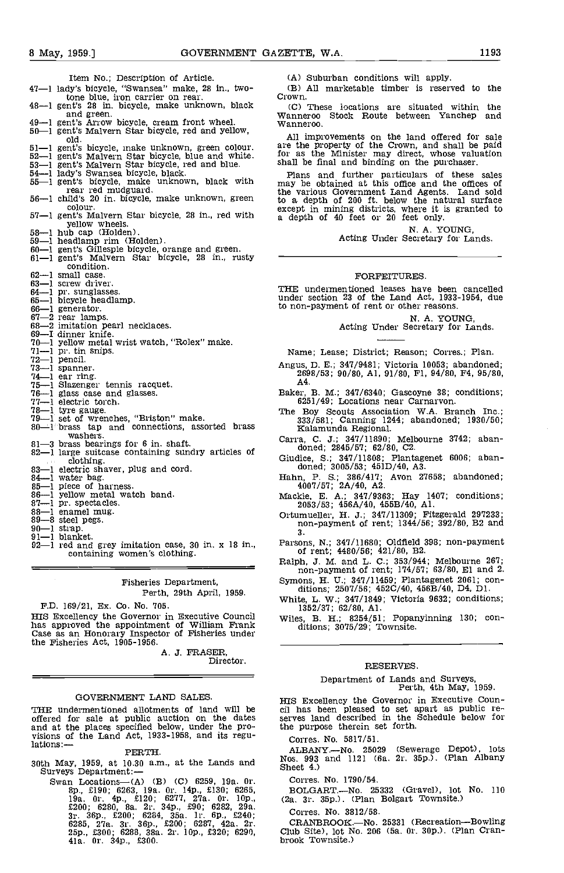Item No.; Description of Article. 47-1 lady's bicycle, "Swansea" make, 28 in., twotone blue, iron carrier on rear. Crown<br>48-1 gent's 28 in. bicycle, make unknown, black (C) 48-1 gent's 28 in. bicycle, make unknown, black<br>and green.<br>49-1 gent's Arrow bicycle, cream front wheel.<br>50-1 gent's Malvern Star bicycle, red and yellow,<br>0ld. 51—1 gent's bicycle, make unknown, green colour. are the<br>52—1 gent's Malvern Star bicycle, blue and white. for as<br>53—1 gent's Malvern Star bicycle, red and blue. shall b<br>54—1 lady's Swansea bicycle, black. Plan<br>55—1 gent' rear red mudguard.  $56-1$  child's 20 in. bicycle, make unknown, green  $56-1$  child's 20 in. bicycle, make unknown, green  $56-1$ colour. 57-1 gent's Malvern Star bicycle, 28 in,, red with 97-1 gent's maivern ctar bicycle, 26 in., ieu wien<br>58-1 hub cap (Holden).<br>59-1 headlamp rim (Holden).<br>60-1 gent's Gillespie bicycle, orange and green.<br>61-1 gent's Malvern Star bicycle, 28 in., rusty condition. 62-1 small case.<br>63-1 screw driver. 64-1 pr. sunglasses.<br>65-1 bicycle headlamp.<br>66-1 generator.<br>67-2 rear lamps.<br>68-2 imitation pearl necklaces.<br>69-1 dinner knife.<br>70-1 yellow metal wrist watch, "Rolex" make. 71-1 pr. tin snips.<br>
72-1 pencil.<br>
73-1 spanner.<br>
74-1 elazenger tennis racquet.<br>
75-1 slazenger tennis racquet.<br>
77-1 electric torch.<br>
73-1 tyre gauge. 1 tyre gauge.<br>79-1 set of wrenches, "Briston" make.<br>80-1 brass tap and connections, assorted brass<br>washers. 81-3 brass bearings for 6 in. shaft.<br>
82-1 large suitcase containing sundry articles of<br>
clothing.<br>
83-1 electric shaver, plug and cord.<br>
84-1 water bag.<br>
85-1 piece of harness.<br>
86-1 piece of harness.<br>
86-1 pellow metal

# Fisheries Department, Perth, 29th April, 1959.

F.D. 169/21, Ex. Co. No. 705.<br>HIS Excellency the Governor in Executive Council has approved the appointment of William Frank Case as an Honorary Inspector of Fisheries under the Fisheries Act, 1905-1956.

A. J. FRASER, Director.

# GOVERNMENT LAND SALES.

THE undermentioned allotments of land will be offered for sale at public auction on the dates and at the places specified below. under the pro- visions of the Land Act, 1933-1958, and its regulations

PERTH.<br>30th May, 1959, at 10.30 a.m., at the Lands and<br>Surveys Department:— 30th May, 1959, at 10.30 a.m., at the Lands and Surveys Department:  $-$ <br>Swan Locations (A) (B) (C) 6259, 19a. Or. 8p., £190; 6263, 19a. Or. 14p., £130; 6265, BOL

19a. Or. 4p., £120; 6277, 27a. Or. 10p.,<br>£200; 6280, 8a. 2r. 34p., £90; 6282, 29a. 3r. 36p., £200; 6284, 35a. lr. 6p., £240;<br>6285, 27a. 3r. 36p., £200; 6287, 42a. 2r.<br>25p., £300; 6288, 38a. 2r. lOp., £320; 6290, 41a. Or. 34p., £300.

(A) Suburban conditions will apply.<br>(B) All marketable timber is reserved to the Crown.

(C) These locations are situated within the Wanneroo Stock Route between Yanchep and Wanneroo.

All improvements on the land offered for sale are the property of the Crown, and shall be paid for as the Minister may direct, whose valuation shall be final and binding on the purchaser.

Plans and further particulars of these sales may be obtained at this office and the offices of the various Government Land Agents. Land sold to a depth of 200 ft. below the natural surface except in mining districts, where it is granted to a depth of 40 feet or 20 feet only.

N. A. YOUNG,<br>Acting Under Secretary for Lands.

#### FORFEITURES.

THE undermentioned leases have been cancelled under section 23 of the Land Act, 1933-1954, due to non-payment of rent or other reasons.

N. A. YOUNG,<br>Acting Under Secretary for Lands.

Name; Lease; District; Reason; Corres.; Plan.

Angus, D. E.; 347/9481; Victoria 10053; abandoned; 2698/53; 90/80, Al, 91/80, Fl, 94/80, F4, 95/80, A4.

Baker, B. M.; 347/6340; Gascoyne 38; conditions; 6251/49; Locations near Carnarvon.

The Boy Scouts Association W.A. Branch Inc.; 333/581; Canning 1244; abandoned; 1930/50; Kalamunda Regional.

Carra, C. J.; 347/11890; Melbourne 3742; aban-<br>doned; 2845/57; 62/80, C2,

Giudice, S.; 347/11808; Plantagenet 6006; aban-<br>doned; 3005/53; 451D/40, A3.

Hahn, P. 5.; 386/417; Avon 27658; abandoned; 4007/57; 2A/40, A2.

Mackie, E. A.; 347/9363; Hay 1407; conditions; 2053/53; 456A/4O, 455B/40, Al.

Ortumueller, H. J.; 347/11309; Fitzgerald 297233; non-payment of rent; 1344/56; 392/80, B2 and 3.

Parsons, N.; 347/11680; Oldfleld 398; non-payment of rent; 4480/56; 421/80, B2.

Ralph, J. M. and L. C.; 353/944; Melbourne 267; non-payment of rent; 174/57; 63/80, El and 2.

Symons, H. U.; 347/11459; Plantagenet 2061; con- ditions; 2507/56; 452C/40, 456B/40, D4, Dl.

White, L. W.; 347/1849; Victoria 9632; conditions; 1352/37; 62/80, Al.

Wiles. B. H.; 8254/51; Popanyinning 130; con-ditions; 3075/29; Townsite.

#### RESERVES.

# Department of Lands and Surveys, Perth, 4th May, 1959.

HIS Excellency the Governor in Executive Coun- cil has been pleased to set apart as public re- serves land described in the Schedule below for the purpose therein set forth.

Corres. No. 5817/51.

ALBANY.—No. 25029 (Sewerage Depot), lots<br>Nos. 993 and 1121 (6a. 2r. 35p.). (Plan Albany<br>Sheet 4.)

Corres. No. 1790/54.

BOLGART.--No. 25332 (Gravel), lot No. 110 (2a. 3r. 35p.). (Plan Bolgart Townsite.)

Corres. No. 3812/58.

CRANBROOK.—No. 25331 (Recreation—Bowling Club Site), lot No. 206 (5a. 0r. 30p.). (Plan Cran- brook Townsite.)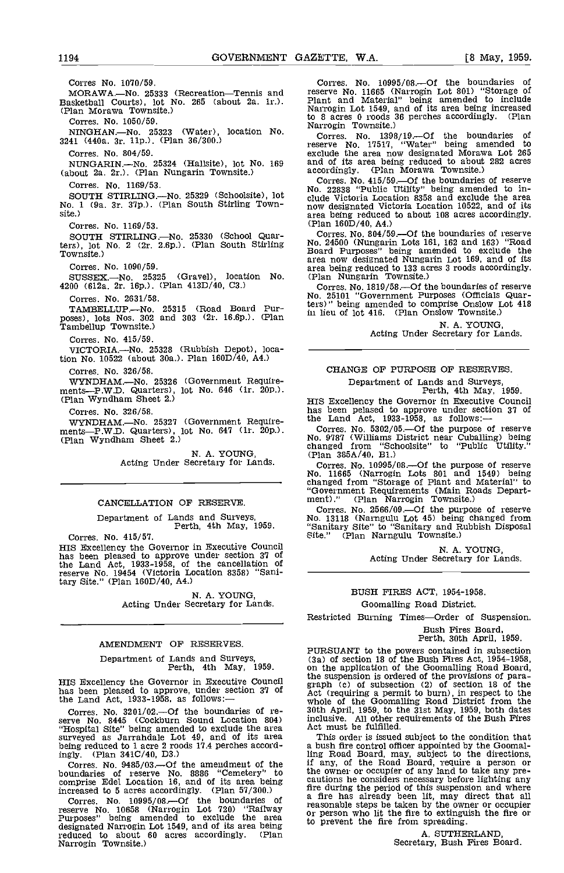Corres No. 1070/59. MORAWA.-No. 25333 (Recreation-Tennis and Basketball Courts), lot No. 265 (about 2a. ir.). (Plan Morawa Townsite.) Corres. No. 1050/59. NINGHAN.-No. 25323 (Water), location No. 3241 (440a. 3r. lip.). (Plan 36/300.) Corres. No. 804/59. NUNGARIN.-No. 25324 (Hallsite), lot No. 169 (about 2a. 2r.). (Plan Nungarin Townsite.) Corres. No. 1169/53. SOUTH STIRLING.—No. 25329 (Schoolsite), lot  $\frac{1}{6}$ No. 1 (9a. 3r, 37p.). (Plan South Stirling Town- site.) Corres. No. 1169/53. SOUTH STIRLING.—No. 25330 (School Quar-<br>ters), lot No. 2 (2r. 2.6p.). (Plan South Stirling Too. 24:<br>Townsite.) Board Corres. No. 1090/59. SUSSEX-No. 25325 (Gravel), location No. 4200 (612a. 2r. lop.). (Plan 413D/40, 03.) Corres. No. 2631/58. TAMBELLUP.—No. 25315 (Road Board Pur-<br>poses), lots Nos. 302 and 303 (2r. 16.6p.). (Plan in liet Tambel1up Townslte.) Corres. No. 415/59. VICTORIA-No. 25328 (Rubbish Depot), location No 10522 (about 30a.). Plan 160D/40, A4.) Corres. No. 326/58. WYNDHAM.—No. 25326 (Government Require-<br>
ments-P.W.D. Quarters), lot No. 646 (1r. 20p.). [Person perth, 4th May, 1959.<br>
(Plan Wyndham Sheet 2.) [Plan Wyndham Sheet 2.) Corres. No. 326/58. WYNDHAM.-No. 25327 (Government Require-<br>ments-P.W.D. Quarters), lot No. 647 (1r. 20p.).<br>(Plan Wyndham Sheet 2.) N. A. YOUNG,<br>Acting Under Secretary for Lands.

# CANCELLATION OF RESERVE.

Department of Lands and Surveys, Perth, 4th May, 1959.

Corres. No. 415/57.<br>HIS Excellency the Governor in Executive Council HIS Excellency the Governor in Executive Council has been pleased to approve under section 37 of the Land Act, 1933-1958, of the cancellation of reserve No. 19454 (victoria Location 8358) "Sanitary Site." (Plan 160D/40, A4.)

N. A. YOUNG,<br>Acting Under Secretary for Lands.

# AMENDMENT OF RESERVES.

Department of Lands and Surveys, Perth, 4th May, 1959.

HIS Excellency the Governor in Executive Council has been pleased to approve, under section 37 of the Land Act,  $1933-1958$ , as follows:-

Corres. No. 3201/02.-Of the boundaries of re-serve No. 8445 (Cockburn Sound Location 804) "Hospital Site" being amended to exclude the area surveyed as Jarrandale Lot 49, and of its area Thi<br>being reduced to 1 acre 2 roods 17.4 perches accord-<br>ingly. (Plan 341C/40, D3.) ling 1

Corres. No. 9485/03.—Of the amendment of the if any<br>boundaries of reserve No. 8886 "Cemetery" to the ow<br>comprise Edel Location 16, and of its area being caution increased to 5 acres accordingly. (Plan 57/300.)

Corres. No.  $10995/08$  Of the boundaries of  $\frac{a}{1}$ reserve No. 10658 (Narrogin Lot 720) "Railway reason<br>
Purposes" being amended to exclude the area or pe<br>
designated Narrogin Lot 1549, and of its area being<br>
reduced to about 60 acres accordingly. (Plan<br>
Narrogin Townsite.

Corres. No. 10995/08.-Of the boundaries of reserve No. 11665 (Narrogin Lot 801) "Storage of Plant and Material" being amended to include Narrogin Lot 1549, and of its area being increased to 8 acres 0 roods 36 perches accordingly. (Plan Narrogin Townsite.)

Corres. No. 1398/19.-Of the boundaries of reserve No. 17517, "water" being amended to exclude the area now designated Morawa Lot 265 and of its area being reduced to about 282 acres accordingly. (Plan Morawa Townsite.)

Corres. No. 415/59.—Of the boundaries of reserve No. 22838 "Public Utility" being amended to in-No. 22838 "Public Utility" being amended to In- clude Victoria Location 8358 and exclude the area now designated Victoria Location 10522, and of its area being reduced to about 108 acres accordingly. (Plan 160D/40, A4.)

Corres. No. 804/59.-Of the boundaries of reserve No. 24500 (Nungarin Lots 161, 162 and 163) "Road Board Purposes" being amended to exclude the area hom designated to 133 acres 3 roods accordingly.<br>(Plan Nungarin Townsite.)

Corres. No. 1819/58.-Of the boundaries of reserve No. 25101 "Government Purposes (Officials Quarters)" being amended to comprise Onslow Lot 418 in lieu of lot 416. (Plan Onslow Townsite.)

N. A. YOUNG,<br>Acting Under Secretary for Lands.

# CHANGE OF PURPOSE OF RESERVES.

Department of Lands and Surveys, Perth, 4th May, 1959.

HIS Excellency the Governor in Executive Council has been pelased to approve under section 37 of the Land Act, 1933-1958, as follows:-

Corres. No. 5302/05.-Of the purpose of reserve No. 9787 (williams District near Cuballing) being changed from "Schoolsite" to "Public Utility." (Plan 385A/40, B1.)

Corres. No. 10995/08.-Of the purpose of reserve No. 11665 (Narrogin Lots 801 and 1549) being changed from "Storage of Plant and Material" to "Government Requirements (Main Roads Depart- ment) ." (Plan Narrogin Townsite.)

Corres. No. 2566/09.-Of the purpose of reserve No. 13118 (Narngulu Lot 45) being changed from "Sanitary Site" to "Sanitary and Rubbish Disposal Site." (Plan Narngulu Townsite.)

N. A. YOUNG,<br>Acting Under Secretary for Lands.

### BUSH FIRES ACT, 1954-1958.

Goomalling Road District.

Restricted Burning Times-Order of Suspension.

Bush Fires Board,

Perth, 30th April, 1959.

PURSUANT to the powers contained in subsection (3a) of section 18 of the Bush Fires Act, 1954-1958, on the application of the Goomalling Road Board, on the application of the Superior of the supersion is ordered of the provisions of para-<br>graph (c) of subsection (2) of section 18 of the<br>Act (requiring a permit to burn), in respect to the<br>whole of the Goomalling Road Di who community in the Sustainably 1959, both dates<br>inclusive. All other requirements of the Bush Fires<br>Act must be fulfilled.

This order is issued subject to the condition that a bush fire oontrol officer appointed by the Goomalling Road Board, may, subject to the directions, if any, of the Road Board, require a person or the owner or occupier of any land to take any prethe owner or occupier of any land to take any pre- cautions he considers necessary before lighting any fire during the period of this suspension and where a fire has already been lit, may direct that all reasonable steps be taken by the owner or occupier or person who lit the fire to extinguish the fire or to prevent the fire from spreading.

A. SUTHERLAND, Secretary, Bush Fires Eoard.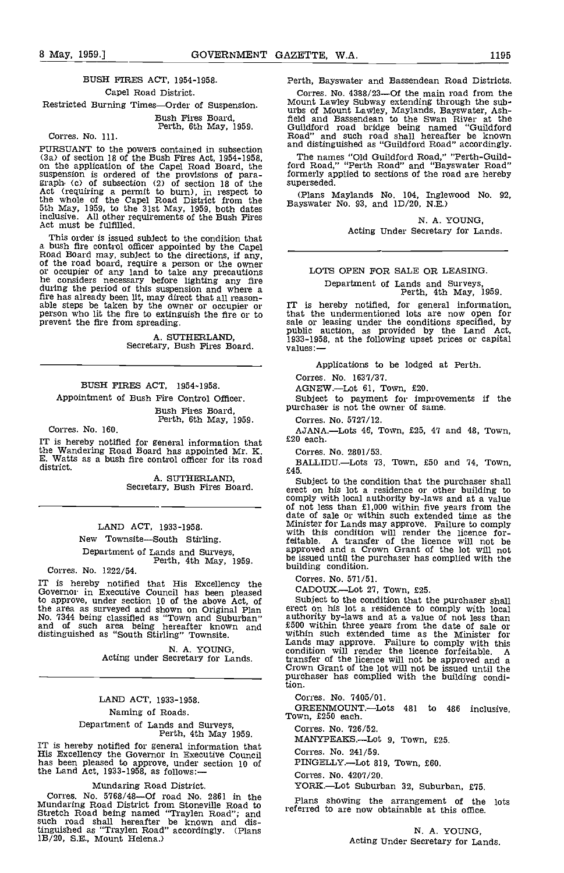# BUSH FIRES ACT, 1954-1958. Cape! Road District. Restricted Burning Times-Order of Suspension.

Bush Fires Board, Perth, 6th May, 1959.

Corres. No. 111.

PURSUANT to the powers contained in subsection  $\overline{\phantom{a}}$ (3a) of section 18 of the Bush Fires Act, 1954-1958, The application of the Capel Road Board, the ford suspension is ordered of the provisions of para-<br>graph (c) of subsection (2) of section 18 of the superse<br>Act (requiring a permit to burn), in respect to (Plat<br>the whole of the Capel Road District from the Bayswa<br>5th May, inclusive. All other requirements of the Bush Fires Act must be fulfilled.

This order is issued subject to the condition that<br>a bush fire control officer appointed by the Capel<br>Road Board may, subject to the directions, if any,<br>of the road board, require a person or the owner<br>or occupier of any l fire has already been lit, may direct that all reason-<br>able steps be taken by the owner or occupier or person who lit the fire to extinguish the fire or to that the undermentioned lots are now open for<br>person who lit the f prevent the fire from spreading.

A. SUThERLAND, Secretary, Bush Fires Board,

# BUSH FIRES ACT, 1954-1958.

Appointment of Bush Fire Control Officer.

Bush Fires Board, Perth, 6th May, 1959.

Corres. No. 160.

IT is hereby notified for general information that  $\mathbf{f}$ the Wandering Road Board has appointed Mr. K. Corn<br>E. Watts as a bush fire control officer for its road BAI district.

A. SUTHERLAND, Secretary, Bush Fires Board.

# LAND ACT, 1933-1958.

New Townsite-South Stirling. Department of Lands and Surveys, Perth, 4th May, 1959.

Corres. No. 1222/54.

IT is hereby notified that His Excellency the Governor in Executive Council has been pleased to approve, under section 10 of the above Act, of Subjection area as surveyed and shown on Original Plan erect on<br>No. 7344 being classified as "Town and Suburban" authoric and of such area being hereafter known and  $E_{500$ 

N. A. YOUNG,<br>Acting under Secretary for Lands.

# LAND ACT, 1933-1958. Naming of Roads.

# Department of Lands and Surveys, Perth, 4th May 1959.

IT is hereby notified for general information that<br>His Excellency the Governor in Executive Council<br>has been pleased to approve, under section 10 of<br>the Land Act, 1933-1958, as follows:—

Mundaring Road District.<br>Corres. No. 5768/48—Of road No. 2861 in the Corres. No. 5768/48—Of road No. 2861 in the Plan<br>Mundaring Road District from Stoneville Road to Stretch Road being named "Traylen Road"; and referre<br>such road shall hereafter be known and distinguished as 'Traylen Road" accordingly. (Plans 1B/20, S.E., Mount Helena.)

Perth, Bayswater and Bassendean Road Districts.

Corres. No.  $4388/23$ --Of the main road from the Mount Lawley Subway extending through the sub-<br>urbs of Mount Lawley, Maylands, Bayswater, Ash-<br>field and Bassendean to the Swan River at the Guildford road bridge being named "Guildford Road" and such road shall hereafter be known and distinguished as "Guildford Road" accordingly.

The names "Old Guildford Road," "Perth-Guild- ford Road," "Perth Road" and "Bayswater Road" formerly applied to sections of the road are hereby superseded.

(Plans Maylands No, 104, Inglewood No. 92, Bayswater No. 93, and 1D/20, N.E.)

N. A. YOUNG, Acting Under Secretary for Lands.

# LOTS OPEN FOR SALE OR LEASING

Department of Lands and Surveys, Perth, 4th May, 1959.

IT is hereby notified, for general information, that the undermentioned lots are now open for sale or leasing under the conditions specified, by public auction, as provided by the Land Act, 1933-1958, at the following upset prices or capital values:—

Applications to be lodged at Perth.

Corres. No. 1637/37.

AGNEW.-Lot 61, Town, £20.

Subject to payment for improvements if the purchaser is not the owner of same.

Corres, No. 5727/12.

AJANA,—Lots 46, Town, £25, 47 and 48, Town, £20 each.

Corres, No. 2801/53.

BALLIDU.-Lots 73, Town, £50 and 74, Town, £45.

Subject to the condition that the purchaser shall erect on his lot a residence or other building to comply with local authority by-laws and at a value of not less than £1,000 within five years from the date of sale or within such extended time as the Minister for Lands may approve. Failure to comply with this condition will render the licence forfeitable. A transfer of the licence will not be approved and a Crown Grant of the lot will not be issued until the purchaser has complied with the building condition.

Corres. No. 571/51.

CADOUX.—Lot 27, Town, £25.<br>Subject to the condition that the purchaser shall Subject to the condition that the purchaser shall<br>erect on his lot a residence to comply with local<br>authority by-laws and at a value of not less than<br>£500 within three years from the date of sale or<br>within such extended ti Lands may approve. Failure to comply with this condition will render the licence forfeitable. <sup>A</sup> transfer of the licence will not be approved and a Crown Grant of the lot will not be issued until the purchaser has complied with the building condi-tion.

Corres. No. 7405/01.

GREENMOUNT.-Lots 481 to 486 inclusive, Town, £250 each.

Corres. No. 726/52.

MANYPEAKS.-Lot 9, Town, £25.

Corres. No. 241/59,

PINGELLY.-Lot 819, Town, £60.

Corres. No. 4207/20.

YORK.-Lot Suburban 32, Suburban, £75.

Plans showing the arrangement of the lots referred to are now obtainable at this office.

N. A. YOUNG, Acting Under Secretary for Lands.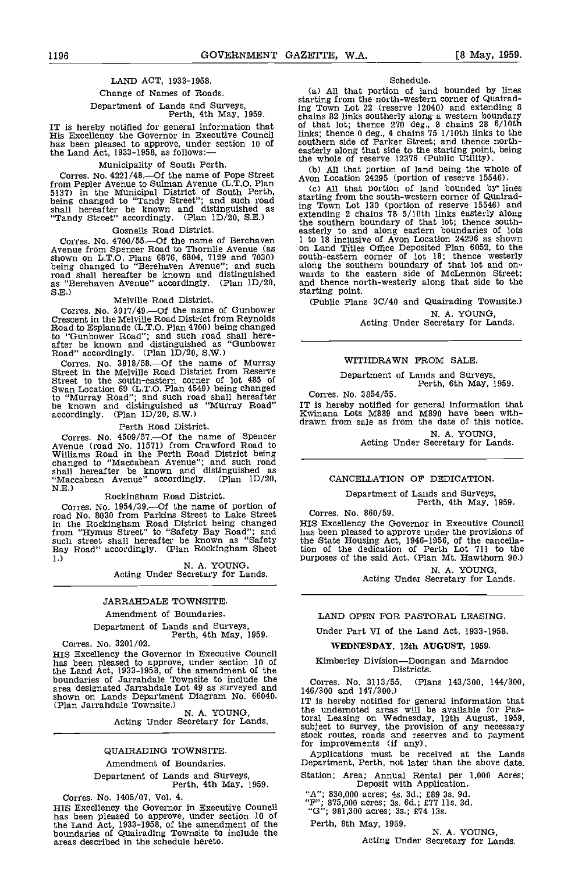# LAND ACT, 1933-1958.

# Change of Names of Roads.

# Department of Lands and Surveys, Perth, 4th May, 1959.

IT is hereby notified for general information that His Excellency the Governor in Executive Council has been pleased to approve, under section 10 of the Land Act, 1933-1958, as follows:

## Municipality of South Perth.

Corres. No. 4221/48.—Of the name of Pope Street from Pepler Avenue to Sulman Avenue (L.T.O. Plan 5137) in the Municipal District of South Perth, (c),<br>being changed to "Tandy Street"; and such road stratting shall hereafter be known and distinguished as ing "Tandy Street" accordingly. (Plan 1D/20, S.E.)

## Gosnells Road District.

Corres. No. 4700/55.—Of the name of Berchaven  $1$  to  $1$ Avenue from Spencer Road to Thornlie Avenue (as shown on L.T.O. Plans 6876, 6804, 7129 and 7030) south-<br>being changed to "Berehaven Avenue"; and such along road shall hereafter be known and distinguished as "Berehaven Avenue" accordingly. (Plan ID/20, S.E.) Melville Road District.

Corres. No. 3917/49. Of the name of Gunbower Crescent in the Melville Road District from Reynolds Road to Esplanade (L.T.O. Plan 4700) being changed to "Gunbower Road"; and such road shall here- after be known and distinguished as "Gunbower Road" accordingly. (Plan 1D/20, SW.)

Corres. No. 3918/58.-- Of the name of Murray Street in the Melville Road District from Reserve Swan Location 69 (L.T.O. Plan 4549) being changed<br>to "Murray Road"; and such road shall hereafter Cor<br>be known and distinguished as "Murray Road" IT is accordingly. (Plan 1D/20, S.W.)

# Perth Road District.

Corres. No. 4509/57.--- Of the name of Spencer Avenue (road No. 11571) from Crawford Road to Williams Road in the Perth Road District being changed to "Maccabean Avenue"; and such road shall hereafter be known and distinguished as "Maccabean Avenue" accordingly. (Plan 1D/20, N.E.) Rockingham Road District.

Corres. No. 1954/39. Of the name of portion of road No. 8030 from Parkins Street to Lake Street in the Rockingham Road District being changed from "Hymus Street" to "Safety flay Road"; and such street shall hereafter be known as "Safety Bay Road" accordingly. (Plan Rockingham Sheet

1.)<br>
1. N. A. YOUNG,<br>
Acting Under Secretary for Lands.

# JARRAHDALE TOWNSITE.

# Amendment of Boundaries.

Department of Lands and Surveys,<br>
Perth, 4th May, 1959.<br>
HIS Excellency the Governor in Executive Council

HIS Excellency the Governor in Executive Council has been pleased to approve, under section 10 of the Land Act, 1933-1958, of the amendment of the boundaries of Jarrahdale Townsite to include the  $C_{01}$ area designated Jarrandale Lot 49 as surveyed and<br>
shown on Lands Department Diagram No. 66040.<br>
(Plan Jarrandale Townsite.) N. A. YOUNG, the u<br>
Acting Under Secretary for Lands. Usual

### QUAIRADING TOWNSITE.

# Amendment of Boundaries.

Department of Lands and Surveys, Perth, 4th May, 1959.

Corres. No. 1405/07, Vol. 4. HIS Excellency the Governor in Executive Council has been pleased to approve, under section 10 of the Land Act, 1933-1958, of the amendment of the boundaries of Quairading Townsite to include the areas described in the schedule hereto.

#### Schedule.

All that portion of land bounded by lines starting from the north-western corner of Quairading Town Lot 22 (reserve 12040) and extending 8 chains 82 links southerly along a western boundary<br>of that lot; thence 270 deg., 8 chains 28 6/10th<br>links; thence 0 deg., 4 chains 75 1/10th links to the<br>southern side of Parker Street; and thence north-<br>easterly along tha easterly along that side to the starting point, being<br>the whole of reserve 12376 (Public Utility).

(b) All that portion of land being the whole of Avon Location  $24295$  (portion of reserve 15546).

starting from the south-western corner of Quairading Town Lot 130 (portion of reserve 15546) and extending 2 chains 78 5/10th links easterly along<br>the southern boundary of that lot; thence south-<br>easterly to and along eastern boundaries of lots<br>1 to 18 inclusive of Avon Location 24296 as shown on Land Titles Office Deposited Plan 6052, to the south-eastern corner of lot 18; thence westerly along the southern boundary of that lot and on-<br>wards to the eastern side of McLennon Street;<br>and thence north-westerly along that side to the and thence north-westerly along that side to the starting point.

(Public Plans 30/40 and Quairading Townsite.)

N. A. YOUNG,<br>Acting Under Secretary for Lands.

# WITHDRAWN FROM SALE

Department of Lands and Surveys, Perth, 6th May, 1959.

Corres. No. 3854/55.

IT is hereby notified for general information that Kwinana Lots M889 and M890 have been withdrawn from sale as from the date of this notice.

N. A. YOUNG,<br>Acting Under Secretary for Lands.

# CANCELLATION OF DEDICATION.

Department of Lands and Surveys, Perth, 4th May, 1959.

Corres. No. 860/59.

HIS Excellency the Governor in Executive Council has been pleased to approve under the provisions of the State Housing Act, 1946-1956, of the cancella-tion of the dedication of Perth Lot 711 to the purposes of the said Act. (Plan Mt. Hawthorn 90.)

N. A. YOUNG,<br>Acting Under Secretary for Lands.

#### LAND OPEN FOR PASTORAL LEASING.

Under Part VI of the Land Act, 1933-1958.

WEDNESDAY, 12th AUGUST, 1959.

Kimberley Division-Doongan and Marndoc<br>Districts.

Corres. No. 3113/55. (Plans 143/300, 144/300, 146/300 and 147/300.)

IT is hereby notified for general information that the undernoted areas will be available for Pastoral Leasing on Wednesday, 12th August, 1959, subject to survey, the provision of any necessary stock routes, roads and reserves and to payment for improvements (if any).

Applications must be received at the Lands Department, Perth, not later than the above date.

Station; Area; Annual Rental per 1,000 Acres; Deposit with Application.

"A"; 830,000 acres; 4s. 3d.; £89 3s. 9d.<br>"F"; 875,000 acres; 3s. 6d.; £77 11s. 3d.

 ${}^{4}G''$ ; 981,300 acres; 3s.; £74 13s.

Perth, 8th May, 1959. N. A. YOUNG, Acting Under Secretary for Lands.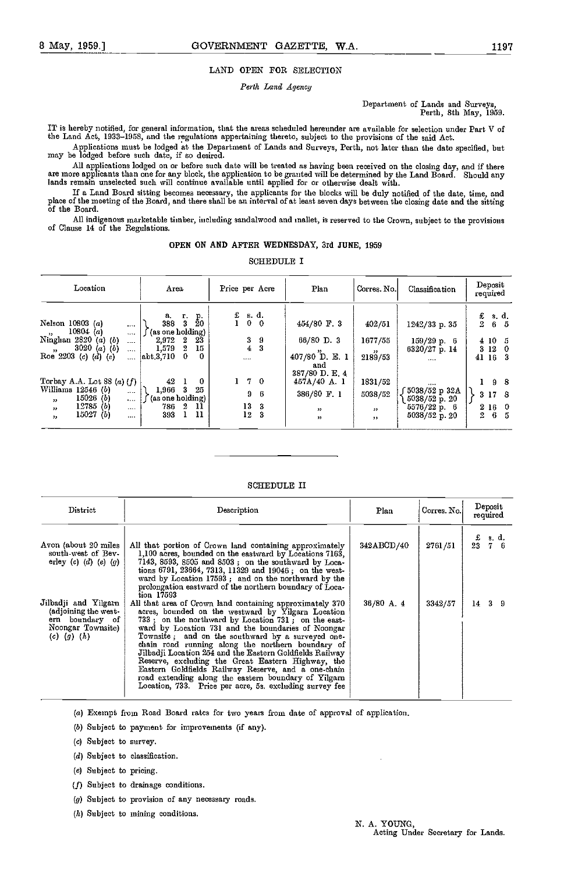# LAND OPEN FOR SELECTION

# Perth Land Agency

# Department of Lands and Surveys, Perth, 8th May, 1959.

IT is hereby notified, for general information, that the areas scheduled hereunder are available for selection under Part V of the Land Act, 1923-1058, and the regulations appertaining thereto, subject to the provisions of the said Act.

Applications must be lodged at the Department of Lands and Surveys, Perth, not later than the date specified, but may be lodged before such date, if so desired.

All applications lodged on or before such date will be treated as having been received on the closing day, and if there<br>are more applicants than one for any block, the application to be granted will be determined by the La lands remain unselected such will continue available until applied for or otherwise dealt with.

If a Land Board sitting becomes necessary, the applicants for the blocks will be duly notified of the date, time, and place of the meeting of the Board, and there shall be an interval of at least seven days between the closing date and the sitting<br>of the Board.

All indigenous marketable timber, including sandalwood and mallet, is reserved to the Crown, subject to the provisions of Clause 14 of the Regulations.

# OPEN ON AND AFTER WEDNESDAY, 3rd JUNE, 1959

SCHEDULE I

| Location                                                                                              | Area                                                                | Price per Acre                        | Plan                                   | Corres No.              | Classification                             | Deposit<br>required                          |
|-------------------------------------------------------------------------------------------------------|---------------------------------------------------------------------|---------------------------------------|----------------------------------------|-------------------------|--------------------------------------------|----------------------------------------------|
| Nelson $10803(a)$<br><br>10804 (a)                                                                    | а.<br>$\frac{\mathrm{p}}{20}$<br>т.<br>3<br>388<br>(as one holding) | s. d.<br>£<br>$0\quad 0$              | $454/80$ F. 3                          | 402/51                  | $1242/33$ p. 35                            | £<br>s. d.<br>$\boldsymbol{2}$<br>$6\quad 5$ |
| $55 -$<br><br>Ninghan<br>2820<br>$(a)$ $(b)$<br>$\cdots$<br>3020 (a) (b)<br>$\rightarrow$<br>$\cdots$ | 23<br>$\mathbf{2}$<br>2,972<br>1,579<br>$\overline{2}$<br>15        | 3 <sub>0</sub><br>3<br>$\overline{4}$ | 66/80 D. 3                             | 1677/55<br>$, \, \cdot$ | 159/29 p. 6<br>$6320/27$ p. 14             | 410<br>- 5<br>3 <sub>12</sub><br>-0          |
| Roe 2203 (c) (d) (e)<br>$\cdots$                                                                      | abt 3,710<br>$\Omega$<br>0.                                         | $\cdots$                              | 407/80 D. E. 1<br>and<br>387/80 D.E. 4 | 2189/53                 | $\cdots$                                   | 41 16<br>3                                   |
| Torbay A.A. Lot 88 (a) $(f)$                                                                          | 42<br>$\mathbf{0}$                                                  | $1 \t7 \t0$                           | 457A/40 A.1                            | 1831/52                 |                                            | 198                                          |
| Williams $12546$ (b)<br>$\cdots$<br>15026(b)<br>$\cdots$<br>$55 -$                                    | $25 -$<br>$1,966$ 3<br>(as one holding)                             | 96                                    | 386/80 F. 1                            | 5038/52                 | <br>5038/52 p 32A<br>$5038/52$ p. 20       | 3 17 8                                       |
| 12785(b)<br>$^{\prime\prime}$<br>$\cdots$<br>15027(b)<br>$, \, \cdot$<br>                             | $\boldsymbol{2}$<br>$\mathbf{u}$<br>786<br>11<br>393                | 13<br>3<br>12<br>3                    | , 1<br>,                               | $, \, \cdot$<br>$, \,$  | $5576/22 \text{ p. } 6$<br>$5038/52$ p. 20 | 2160<br>$2 \quad 6$<br>-5                    |

## SCHEDULE II

| District                                                                                                | Description                                                                                                                                                                                                                                                                                                                                                                                                                                                                                                                                                                                                                      | Plan         | Corres No. | Deposit<br>required                                            |
|---------------------------------------------------------------------------------------------------------|----------------------------------------------------------------------------------------------------------------------------------------------------------------------------------------------------------------------------------------------------------------------------------------------------------------------------------------------------------------------------------------------------------------------------------------------------------------------------------------------------------------------------------------------------------------------------------------------------------------------------------|--------------|------------|----------------------------------------------------------------|
| Avon (about 20 miles<br>south-west of Bev-<br>erley $(c)$ $(d)$ $(e)$ $(g)$                             | All that portion of Crown land containing approximately<br>1,100 acres, bounded on the eastward by Locations 7163,<br>$7143, 8593, 8505$ and $8503$ ; on the southward by Loca-<br>tions 6791, 23664, 7313, 11329 and 19046; on the west-<br>ward by Location 17593; and on the northward by the<br>prolongation eastward of the northern boundary of Loca-<br>tion 17593                                                                                                                                                                                                                                                        | 342ABCD/40   | 2761/51    | $\begin{array}{cc} \texttt{.& s. d.}\\ 23 & 7 & 6 \end{array}$ |
| Jilbadji and Yilgarn<br>(adjoining the west-<br>ern boundary of<br>Noongar Townsite)<br>(c) $(g)$ $(h)$ | All that area of Crown land containing approximately 370<br>acres, bounded on the westward by Yilgarn Location<br>733; on the northward by Location 731; on the east-<br>ward by Location 731 and the boundaries of Noongar<br>Townsite; and on the southward by a surveyed one-<br>chain road running along the northern boundary of<br>Jilbadji Location 254 and the Eastern Goldfields Railway<br>Reserve, excluding the Great Eastern Highway, the<br>Eastern Goldfields Railway Reserve, and a one-chain<br>road extending along the eastern boundary of Yilgarn<br>Location, 733. Price per acre, 5s. excluding survey fee | $36/80$ A, 4 | 3342/57    | $14 \quad 3 \quad 9$                                           |

(a) Exempt from Road Board rates for two years from date of approval of application.

- (5) Subject to payment for improvements (if any).
- (a) Subject to survey.
- (d) Subject to classification.
- (a) Subject to pricing.
- (f) Subject to drainage conditions.
- (g) Subject to provision of any necessary roads.
- $(h)$  Subject to mining conditions.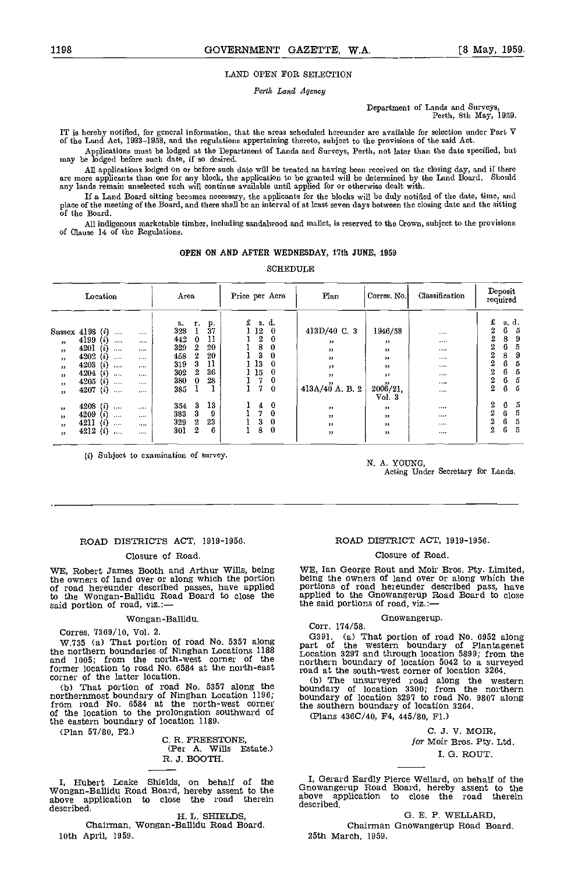# LAND OPEN FOR SELECTION

Perth Land Agency

Department of Lnnds and Surveys, Perth, 8th May, 1959.

IT is hereby notified, for general information, that the areas scheduled hereunder are available for selection under Part V of the Land Act, 1933-1958, and the regulations appertaining thereto, subject to the provisions of the said Act.

Applications must be lodged at the Department of Lands and Surveys, Perth, not later than the date specified, but may be lodged before such date, if so desired.

All applications lodged on or before such date will be treated as having been received on the closing day, and if there<br>are more applicants than one for any block, the application to be granted will be determined by the La

If a Land Board sitting becomes necessary, the applicants for the blocks will be duly notified of the date, time, and place of the meeting of the Board, and there shall be an interval of at least seven days between the closing date and the sitting of the Board.

All indigenous marketable timber, including sandalwood and mallet, is reserved to the Crown, subject to the provisions of Clause 14 of the Regulations.

## OPEN ON AND AFTER WEDNESDAY, 17th JUNE, 1959

SCHEDULE

|                                                                                                               | Location                                                                                                                                                                               |                                                                      |                                                            | Area                                                                             |                                                    | Price per Acre                                              |                                                                   | Plan                                                                                              | Corres No.                                                                            | Classification                               | Deposit<br>required                                                 |                                                                                      |
|---------------------------------------------------------------------------------------------------------------|----------------------------------------------------------------------------------------------------------------------------------------------------------------------------------------|----------------------------------------------------------------------|------------------------------------------------------------|----------------------------------------------------------------------------------|----------------------------------------------------|-------------------------------------------------------------|-------------------------------------------------------------------|---------------------------------------------------------------------------------------------------|---------------------------------------------------------------------------------------|----------------------------------------------|---------------------------------------------------------------------|--------------------------------------------------------------------------------------|
| Sussex 4198<br>$\bullet$<br>55<br>$^{\prime\prime}$<br>$\bullet$<br>$\bullet$<br>$^{\bullet}$<br>$^{\bullet}$ | $\left( i\right)$<br>$\cdots$<br>4199<br>$\{i\}$<br>$\cdots$<br>4201<br>(i)<br><br>(i)<br>4202<br><br>(i)<br>4203<br>$\cdots$<br>(i)<br>4204<br><br>$\{i\}$<br>4205<br><br>4207(i)<br> | $\cdots$<br><br><br>$\cdots$<br>$\cdots$<br>$\cdots$<br><br>$\cdots$ | а.<br>328<br>442<br>329<br>458<br>319<br>302<br>380<br>385 | т.<br>$\bf{0}$<br>$\boldsymbol{2}$<br>$\overline{2}$<br>3<br>$\,2\,$<br>$\bf{0}$ | $\frac{p}{37}$<br>11<br>20<br>20<br>11<br>36<br>28 | £<br>12<br>$\overline{2}$<br>8<br>3<br>13<br>. 15<br>7<br>7 | s d.<br>0<br>$\bf{0}$<br>$\Omega$<br>0<br>0<br>0<br>0<br>$\bf{0}$ | 413D/40 C. 3<br>"<br>$^{\prime\prime}$<br>$^{\prime\prime}$<br>$, \,$<br>$, \,$<br>413A/40 A.B. 2 | 1946/58<br>$^{33}$<br>$\mathbf{v}$<br>$\bullet$<br>, 1<br>$, \,$<br>2006/21,<br>Vol.3 | <br><br>$\cdots$<br>$\cdots$<br><br><br><br> | £<br>$\overline{2}$<br>$\overline{2}$<br>2<br>2<br>2<br>2<br>2<br>2 | s.d.<br>6<br>5<br>9<br>8<br>5<br>6<br>8<br>9<br>6<br>5<br>6<br>5<br>5<br>6<br>5<br>6 |
| $^{\circ}$<br>$^{\circ}$<br>$^{\prime\prime}$<br>53 <sub>°</sub>                                              | $\left(\mathbf{z}\right)$<br>4208<br><br>4209<br>(i)<br>$\cdots$<br>(i)<br>4211<br><br>4212<br>(i)<br>                                                                                 | <br><br><br>                                                         | 354<br>383<br>329<br>301                                   | -3<br>3<br>$\boldsymbol{2}$<br>$\overline{2}$                                    | 13<br>9<br>23<br>6                                 | 4<br>7<br>3<br>8                                            | $\bf{0}$<br>$\bf{0}$<br>$\bf{0}$<br>$\mathbf{0}$                  | $, \,$<br>, 3, 3<br>$, \,$<br>$^{\prime\prime}$                                                   | ,<br>, 1<br>, 1<br>"                                                                  | <br><br><br>                                 | 2<br>2<br>2<br>$\overline{2}$                                       | 5<br>6<br>5<br>6<br>6<br>5<br>6<br>5                                                 |

(1) Subject to examination of survey.

N. A. YOUNG,

Acting Under Secretary for Lands.

#### ROAD DISTRICTS ACT, 1919-1956.

# Closure of Road.

WE, Robert James Booth and Arthur Wills, being the owners of land over or along which the portion of road hereunder described passes, have applied to the Wongan-Ballidu Road Board to close the said portion of road, viz.:-

#### Wongan-Ballidu.

Corres. 7369/10, Vol. 2.

W.735 (a) That portion of road No. 5357 along  $\frac{G}{D}$ the northern boundaries of Ninghan Locations 1188  $\frac{1}{2}$ <br>and 1005; from the north-west corner of the north-<br>former location to road No. 6584 at the north-east road corner of the latter location.

(b) That portion of road No. 5357 along the northernmost boundary of Ninghan Location 1196; from road No. 6584 at the north-west corner of the location to the prolongation southward of the eastern boundary of location 1189.

(Plan 57/80, F2.)<br>C. R. FREESTONE,<br>(Per A. Wills Estate.) R. J. BOOTH.

I, Hubert Leake Shields, on behalf of the  $I, G$ Wongan-Ballidu Road Board, hereby assent to the above application to close the road therein above above application to close the road<br>described.

H. L. SHIELDS Chairman, Wongan-Ballidu Road Board. 10th April, 1959.

# ROAD DISTRICT ACT, 1919-1956.

#### Closure of Road.

WE, Ian George Rout and Moir Bros. Pty. Limited, being the owners of land over or along which the portions of road hereunder described pass, have applied to the Onowangerup Road Board to close the said portions of road, viz.:-

Gnowangerup. Corr. 174/58.

G391. (a) That portion of road No. 6952 along<br>part of the western boundary of Plantagenet<br>Location 3297 and through location 5899; from the<br>northern boundary of location 5042 to a surveyed<br>road at the south-west corner of

(b) The unsurveyed road along the western boundary of location 3300; from the northern boundary of location 3297 to road No. 9807 along the southern boundary of location 3264.

(Plans 436C/40, P4, 445/80, P1.)

C. J. V. MOIR, for Moir Bros. Pty. Ltd. I. G. ROUT.

I, Gerard Eardly Pierce Wellard, on behalf of the Gnowangerup Road Board, hereby assent to the above application to close the road therein described.

G. B. P. WELLARD, Chairman Gnowangerup Road Board. 25th March, 1959.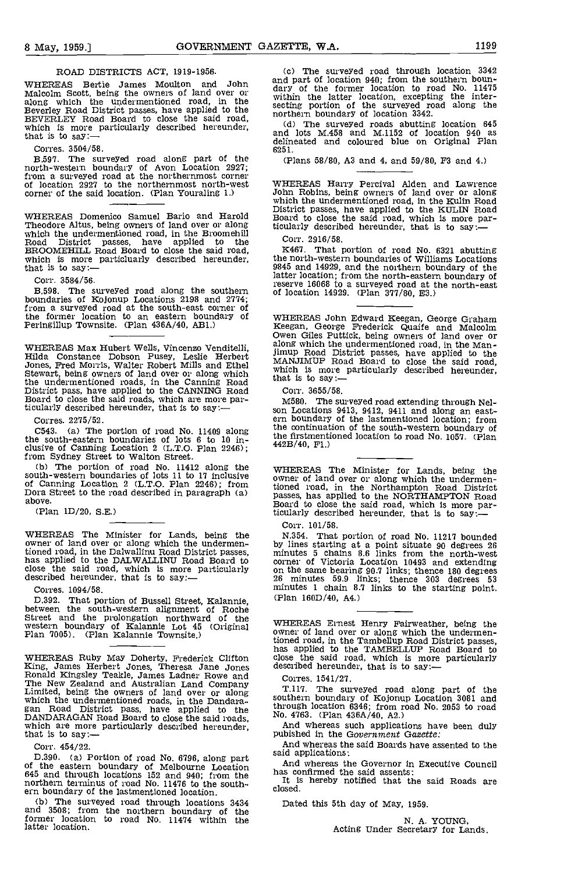# ROAD DISTRICTS ACT, 1919-1956.

WHEREAS Bertie James Moulton and John Malcolm Scott, being the owners of land over or along which the undermentioned road, in the Beverley Road District passes, have applied to the BEVERLEY Road Board to close the said road, which is more particularly described hereunder, that is to say:-

Corres. 3504/58.

The surveyed road along part of the north-western boundary of Avon Location 2927;<br>
from a surveyed road at the northernmost corner of location 2927 to the northernmost north-west<br>
corner of the said location. (Plan Yourali corner of the said location. (Plan Youraling 1.)

WHEREAS Domenico Samuel Bario and Harold<br>Theodore Altus, being owners of land over or along Theodore Altus, being owners of land over or along which the undermentioned road, in the Broomehill Road District passes, have applied to the BROOMEHILL Road Board to close the said road, which is more particluarly described hereunder, that is to say:—

Corr. 3584/56.

The surveyed road along the southern of loca boundaries of Kojonup Locations 2198 and 2774; from a surveyed road at the south-east corner of the former location to an eastern boundary of WR<br>Peringillup Townsite. (Plan 436A/40, AB1.) Re

WHEREAS Max Hubert Wells, Vincenzo Venditelli,  $\frac{3}{1}$ Hilda Constance Dobson Pusey, Leslie Herbert Jones, Fred Morris, Walter Robert Mills and Ethel Stewart, being owners of land over or along which the undermentioned roads, in the Canning Road that is<br>District pass, have applied to the CANNING Road Correspond to close the said roads, which are more par-<br>M58 ticularly described hereunder, that is to say:—

Corres. 2275/52.

C543. (a) The portion of road No. 11409 along the south-eastern boundaries of lots 6 to 10 in-<br>clusive of Canning Location 2 (L.T.O. Plan 2246); clusive of Canning Location 2 (L.T.O. Plan 2246);  $442B/m$ <br>from Sydney Street to Walton Street.<br>(b) The portion of road No. 11412 along the WHE

south-western boundaries of lots 11 to 17 inclusive when owner of land<br>of Canning Location 2 (L.T.O. Plan 2246); from tioned mad. Dora Street to the road described in paragraph (a) above.

(Plan 1D/20, S.E.)

WHEREAS The Minister for Lands, being the N.3.<br>owner of land over or along which the undermen- by lir tioned road, in the Dalwallinu Road District passes, has applied to the DALWALLINU Road Board to close the said road, which is more particularly on the described hereunder, that is to say:—

Corres. 1094/58.

D.392. That portion of Bussell Street, Kalannie, between the south-western alignment of Roche Street and the prolongation northward of the<br>western boundary of Kalannie Lot 45 (Original Plan 7005). (Plan Kalannie Townsite.)<br>Plan 7005). (Plan Kalannie Townsite.)

WHEREAS Ruby May Doherty, Frederick Clifton close is<br>
King, James Herbert Jones, Theresa Jane Jones descrite<br>
Ronald Kingsley Teakle, James Ladner Rowe and Corr<br>
The New Zealand and Australian Land Company<br>
Limited, being DANDARAGAN Road Board to close the said roads, which are more particularly described hereunder, that is to say:-

Corr. 454/22.

D.390. (a) Portion of road No. 6796, along part <sup>Said al</sup> and<br>of the eastern boundary of Melbourne Location has 645 and through locations 152 and 940; from the has the northern terminus of road No. 11476 to the southern boundary of the lastmentioned location.

(b) The surveyed road through locations 3434 and 3508; from the northern boundary of the former location to road No. 11474 within the latter location.

The surveyed road through location 3342 and part of location 940; from the southern boundary of the former location to road No. 11475<br>within the latter location, excepting the inter-<br>secting portion of the surveyed road along the<br>northern boundary of location 33

and lots M.458 and M.1152 of location 940 as delineated and coloured blue on Original Plan 6251.

(Plans 58/80, A3 and 4, and 59/80, P3 and 4.)

WHEREAS Harry Percival Alden and Lawrence John Robins, being owners of land over or along which the undermentioned road, in the Kuhn Road District passes, have applied to the KULIN Road Board to close the said road, which is more particularly described hereunder, that is to say:—

Corr. 2916/58.

K467. That portion of road No. 6321 abutting the north-western boundaries of Williams Locations 9845 and 14929, and the northern boundary of the latter location; from the north-eastern boundary of reserve 16068 to a surveyed road at the north-east of location 14929. (Plan 377/80, E3.)

WHEREAS John Edward Keegan, George Graham Keegan, George Frederick Quaife and Malcolm Owen Giles Puttick, being owners of land over or along which the undermentioned road, in the Manjimup Road District passes, have applied to the MANJIMUP Road Board to close the said road, which is more particularly described hereunder, that is to say:-

Corr. 3655/58. son Locations 9413, 9412, 9411 and along an east-<br>ern boundary of the lastmentioned location; from the continuation of the south-western boundary of the firstmentioned location to road No. 1057. (Plan 442B/40, Fl.)

WHEREAS The Minister for Lands, being the owner of land over or along which the undermentioned road, in the Northampton Road District here is a set of the Monday MCRTON Read passes, has applied to the NORTHAMPTON Road<br>Board to close the said road, which is more particularly described hereunder, that is to say:—

Corr. 101/58.

N.354. That portion of road No. 11217 bounded by lines starting at a point situate 90 degrees 26 minutes 5 chains 8.6 links from the north-west corner of Victoria Location 10493 and extending on the same bearing 90.7 links; thence 180 degrees 26 minutes 59.9 links; thence 303 degrees <sup>53</sup> minutes 1 chain 8.7 links to the starting point. (Plan 160D/40, A4.)

WHEREAS Ernest Henry Fairweather, being the owner of land over or along which the undermentioned road, in the Tambellup Road District passes, has applied to the TAMBELLIJP Road Board to close the said road, which is more particularly described hereunder, that is to say:—

Corres. 1541/27.

T.117. The surveyed road along part of the southern boundary of Kojonup Location 3081 and through location 6346; from road No. 2053 to road No. 4763. (Plan 436A/40, A2.)

And whereas such applications have been duly pubished in the Government Gazette:

And whereas the said Boards have assented to the said applications:

And whereas the Governor in Executive Council has confirmed the said assents:

It is hereby notified that the said Roads are closed.

Dated this 5th day of May, 1959.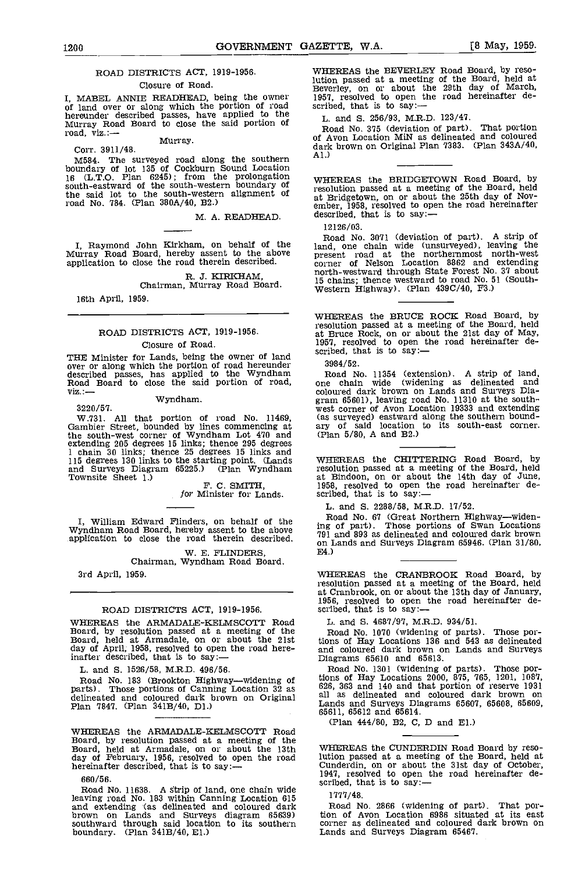# ROAD DISTRICTS ACT, 1919-1956.

# Closure of Road.

I, MABEL ANNIE READHEAD, being the owner 1957, in of land over or along which the portion of road scribed hereunder described passes, have applied to the Murray Road Board to close the said portion of  $\begin{array}{ccc}\nL. & \text{Rozon} \\
R. & \text{Rozon} \\
\text{road, viz.} & \text{Murray.} \\
\text{Corr. 3911/48.} & \text{dark} \\
\end{array}$ 

M584. The surveyed road along the southern hill<br>boundary of lot 135 of Cockburn Sound Location<br>16 (L.T.O. Plan 6245); from the prolongation where south-eastward of the south-western boundary of the said lot to the south-western alignment of road No. 784. (Plan 380A/40, B2.)

M. A. READHEAD.

I, Raymond John Kirkham, on behalf of the land,<br>Murray Road Board, hereby assent to the above prese application to close the road therein described.

R. J. KIRKHAM,<br>Chairman, Murray Road Board.

16th April, 1959.

# ROAD DISTRICTS ACT, 1919-1956. Closure of Road.

THE Minister for Lands, being the owner of land over or along which the portion of road hereunder 3984/52.<br>described passes, has applied to the Wyndham Road No. 1 Road Board to close the said portion of road, only viz.:-Wyndham.

3220/57. W.731. All that portion of road No. 11469, Gambier Street, bounded by lines commencing at ary othe south-west corner of Wyndham Lot 470 and (Plan extending 205 degrees 15 links; thence 295 degrees 1 chain 30 links; thence 25 degrees 15 links and 115 degrees 130 links to the starting point. (Lands and Surveys Diagram 65225.) (Plan Wyndham

Townsite Sheet 1.)<br>F. C. SMITH,<br>for Minister for Lands.

I, William Edward Flinders, on behalf of the Wyndliam Road Board, hereby assent to the above application to close the road therein described.

W. E. FLINDERS,<br>Chairman, Wyndham Road Board.

3rd April, 1959.

# ROAD DISTRICTS ACT, 1919-1956.

WHEREAS the ARMADALE-KELMSCOTT Road Board, by resolution passed at a meeting of the Board No. 1070 (widening C Board, held at Armadale, on or about the 21st dions of Hay Locations 136 day of April; 1958, resolved to open the road here-<br>inafter described, tha

L. and 5. 1526/58, M.R.D. 496/56.

Road No. 183 (Brookton Highway—widening of parts). Those portions of Canning Location 32 as delineated and coloured dark brown on Original Plan 7847. (Plan 341B/40, Dl.)

WHEREAS the ARMADALE-KELMSCOTT Road Board, by resolution passed at a meeting of the Board, held at Armadale, on or about the 13th day of February, 1956, resolved to open the road lution<br>hereinafter described, that is to say:— cunde

660/56.<br>Road No. 11638. A strip of land, one chain wide<br> $R = \frac{1}{1678}$  (10) leaving road No. 183 within Canning Location 615<br>and extending (as delineated and coloured dark brown on Lands and Surveys diagram 65639) tion of<br>southward through said location to its southern corner boundary. (Plan 341B/40, El.)

WHEREAS the BEVERLEY Road Board, by resolution passed at a meeting of the Board, held at Beverley, on or about the 29th day of March, 1957, resolved to open the road hereinafter de-<br>scribed, that is to say:—

L. and 5. 256/93, M.R.D. 123/47.

Road No. 375 (deviation of part). That portion of Avon Location MiN as delineated and coloured dark brown on Original Plan 7383. (Plan 343A/40, Al.)

WHEREAS the BRIDGETOWN Road Board, by resolution passed at a meeting of the Board, held at Bridgetown, on or about the 25th day of Nov-<br>ember, 1958, resolved to open the road hereinafter described, that is to say:-

12126/03.

Road No. 3071 (deviation of part). A strip of land, one chain wide (unsurveyed), leaving the present road at the northernmost north-west corner of Nelson Location 8862 and extending north-westward university of the ISC chains; thence westward to road No. 51 (South-Western Highway). (Plan 439C/40, F3.)

WHEREAS the BRUCE ROCK Road Board, by resolution passed at a meeting of the Board, held at Bruce Rock, on or about the 21st day of May, 1957, resolved to open the road hereinafter de-<br>scribed, that is to say:-

3984/52.

Road No. 11354 (extension). A strip of land, one chain wide (widening as delineated and coloured dark brown on Lands and Surveys Dia- gram 65601), leaving road No. 11310 at the south- west corner of Avon Location 19333 and extending (as surveyed) eastward along the southern bound- ary of said location to its south-east corner. (Plan 5/80, A and B2.)

WHEREAS the CHITTERING Road Board, by resolution passed at a meeting of the Board, held at Bindoon, on or about the 14th day of June, 1958, resolved to open the road hereinafter de- scribed, that is to say:

L. and S. 2288/58, M.R.D. 17/52.

Road No. 67 (Great Northern Highway—widen-<br>ing of part). Those portions of Swan Locations<br>791 and 893 as delineated and coloured dark brown on Lands and Surveys Diagram 65946. (Plan 31/80. E4.)

WHEREAS the CRANBROOK Road Board, by resolution passed at a meeting of the Board, held at Cranbrook, on or about the 13th day of January, 1956, resolved to open the road hereinafter de-scribed, that is to say:—

L. and 5. 4687/97, M.R.D. 934/51.

Road No. 1070 (widening of parts). Those portions of Hay Locations 136 and 543 as delineated and coloured dark brown on Lands and Surveys Diagrams 65610 and 65613.

Road No. 1301 (widening of parts). Those portions of Hay Locations 2000, 875, 765, 1201, 1087, 626, 363 and 140 and that portion of reserve 1931 all as delineated and coloured dark brown on Lands and Surveys Diagrams 65607, 65608, 65609,<br>65611, 65612 and 65614.

(Plan 444/80, B2, C, D and El.)

WHEREAS the CUNDERDIN Road Board by resolution passed at a meeting of the Board, held at Cunderdin, on or about the 31st day of October, 1947, resolved to open the road hereinafter de- scribed, that is to say:-

1777/48.

Road No. 2866 (widening of part). That portion of Avon Location 6986 situated at its east corner as delineated and coloured dark brown on Lands and Surveys Diagram 65467.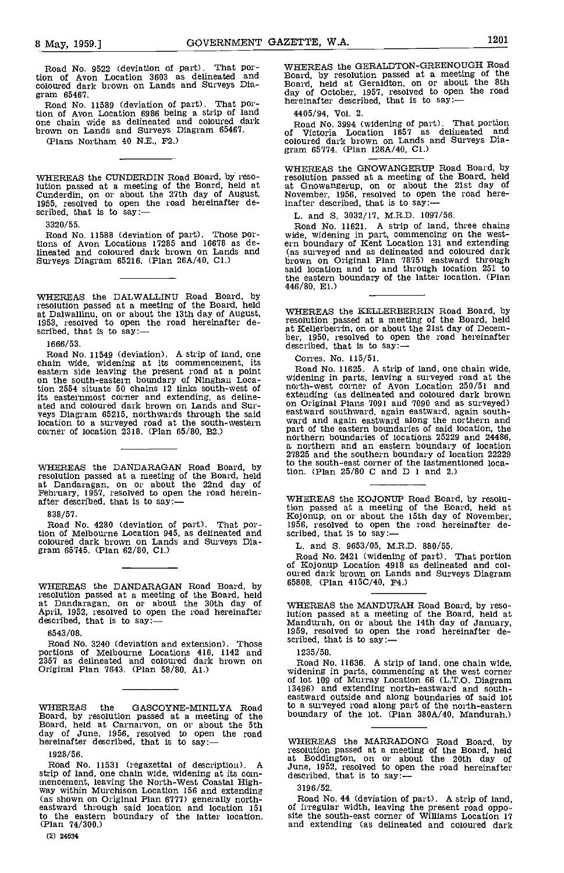Road No. 9522 (deviation of part). That portion of Avon Location 3603 as delineated and coloured dark brown on Lands and Surveys Dia- gram 65467. gram 65467.<br>Road No. 11589 (deviation of part). That por-

tion of Avon Location 6986 being a strip of land 4405,<br>one chain wide as delineated and coloured dark Road brown on Lands and Surveys Diagram 65467.

(Plans Northam 40 N.E., P2.)

WHEREAS the CUNDERDIN Road Board, by resolution passed at a meeting of the Board, held at Cunderdin, on or about the 27th day of August, 1955, resolved to open the road hereinafter de- scribed, that is to say:-

3320/55.

Road No. 11588 (deviation of part). Those por-tions of Avon Locations 17285 and 16678 as delineated and coloured dark brown on Lands and (as su Surveys Diagram 65216. (Plan 26A/40, Cl.)

WHEREAS the DALWALLINU Road Board, by resolution passed at a meeting of the Board, held at Dalwallinu, on or about the 13th day of August, 1953, resolved to open the road hereinafter de-scribed, that is to say:—

16 66/53.

Road No. 11549 (deviation). A strip of land, one<br>chain wide, widening at its commencement, its Co<br>eastern side leaving the present road at a point Ro<br>on the south-eastern boundary of Ninghan Loca-<br>wide tion 2554 situate 50 chains 12 links south-west of no<br>its easternmost corner and extending, as deline-<br>ated and coloured dark brown on Lands and Surveys Diagram 65215, northwards through the said location to a surveyed road at the south-western corner of location 2318. (Plan 65/80, B2.)

WHEREAS the DANDARAGAN Road Board, by  $^{10}$  the resolution passed at a meeting of the Board, held<br>at Dandaragan, on or about the 22nd day of<br>February, 1957, resolved to open the road herein-<br>after described, that is to say:--

838/51.

Road No. 4280 (deviation of part). That portion of Melbourne Location 945, as delineated and coloured dark brown on Lands and Surveys Dia- gram 65745. (Plan 62/80, Cl.)

WHEREAS the DANDARAGAN Road Board, by 65808 resolution passed at a meeting of the Board, held<br>at Dandaragan, on or about the 30th day of April, 1952, resolved to open the road hereinafter dution<br>described, that is to say:-- Mandi

6543/08.

Road No. 3240 (deviation and extension). Those <sup>SCT1DeG</sup><br>portions of Melbourne Locations 416, 1142 and 1235<br>2357 as delineated and coloured dark brown on Roa Original Plan 7643. (Plan 58/80, Al.)

WHEREAS the GASCOYNE-MINILYA Road to a sum<br>Board, by resolution passed at a meeting of the bounda<br>Board, held at Carnarvon, on or about the 5th<br>day of June, 1956, resolved to open the road<br>hereinafter described, that is to

1928/56.

Road No. 11531 (regazettal of description). A June, 1952, resolved to opertrip of land, one chain wide, widening at its com-<br>described, that is to say:strip of land, one chain wide, widening at its com-<br>mencement, leaving the North-West Coastal High-<br>way within Murchison Location 156 and extending 319 (as shown on Original Plan 6177) generally north- eastward through said location and location 151 to the eastern boundary of the latter location.<br>(Plan 74/300.)

(2) 24634

WHEREAS the GERALDTON-GREENOUGH Road Board, by resolution passed at a meeting of the Board, held at Geraldton, on or about the 8th day of October, 1951, resolved to open the road hereinafter described, that is to say:-

4405/94, Vol. 2.

Road No. 3994 (widening of part). That portion of Victoria Location 1657 as delineated and coloured dark brown on Lands and Surveys Dia- gram 65714. (Plan 126A/40, Cl.)

WHEREAS the GNOWANGERUP Road Board, by<br>resolution passed at a meeting of the Board, held<br>at Gnowangerup, on or about the 21st day of<br>November, 1956, resolved to open the road hereinafter described, that is to say:

L. and S. 3032/17, M.R.D. 1097/56.<br>Road No. 11621. A strip of land, three chains Road No. 11621. A strip of land, three chains wide, widening in part, commencing on the west-<br>ern boundary of Kent Location 131 and extending ças surveyed and as delineated and coloured dark brown on Original Plan 7875) eastward through said location and to and through location 251 to the eastern boundary of the latter location. (Plan 446/80, El.)

WHEREAS the KELLERBERRIN Road Board, by resolution passed at a meeting of the Board, held ber, 1950, resolved to open the road hereinafter described, that is to say:-

Corres. No. 115/51.

Road No. 11625. A strip of land, one chain wide, widening in parts, leaving a surveyed road at the north-west corner of Avon Location 250/51 and extending (as delineated and coloured dark brown on Original Plans 7091 and 7090 and as surveyed) eastward southward, again eastward, again south- ward and again eastward along the northern and part and again eastward, the eastern boundaries of said location, the northern and an eastern boundaries of said location, the northern boundaries of locations 25229 and 24486, a northern and an eastern boundary of locatio 27825 and the southern boundary of location 22229 to the south-east corner of the lastmentioned location. (Plan 25/80 C and D 1 and 2,)

WHEREAS the KOJONUP Road Board, by resolution passed at a meeting of the Board, held at Kojonup, on or about the 15th day of November, 1956, resolved to open the road hereinafter described, that is to say:—

L. and 5. 9653/05, M.R.D. 880/55.

Road No. 2421 (widening of part). That portion of Kojonup Location 4918 as delineated and col oured dark brown on Lands and Surveys Diagram 65808. (Plan 415C/40, F4.)

WHEREAS the MANDURAH Road Board, by resolution passed at a meeting of the Board, held at Mandurah, on or about the 14th day of January, 1959, resolved to open the road hereinafter de- scribed, that is to say:-

1235/58.

Road No. 11636. A strip of land, one chain wide, widening in parts, commencing at the west corner of lot 109 of Murray Location 66 (L.T.O. Diagram 13496) and extending north-eastward and south- eastward outside and along boundaries of said lot to a surveyed road along part of the north-eastern boundary of the lot. (Plan 380A/40, Mandurah.)

WHEREAS the MARRADONG Road Board, by resolution passed at a meeting of the Board, held<br>at Boddington, on or about the 20th day of<br>June, 1952, resolved to open the road hereinafter<br>described, that is to say:-

3196/52.

Road No. 44 (deviation of part). A strip of land, of irregular width, leaving the present road oppo- site the south-east corner of Williams Location 11 and extending (as delineated and coloured dark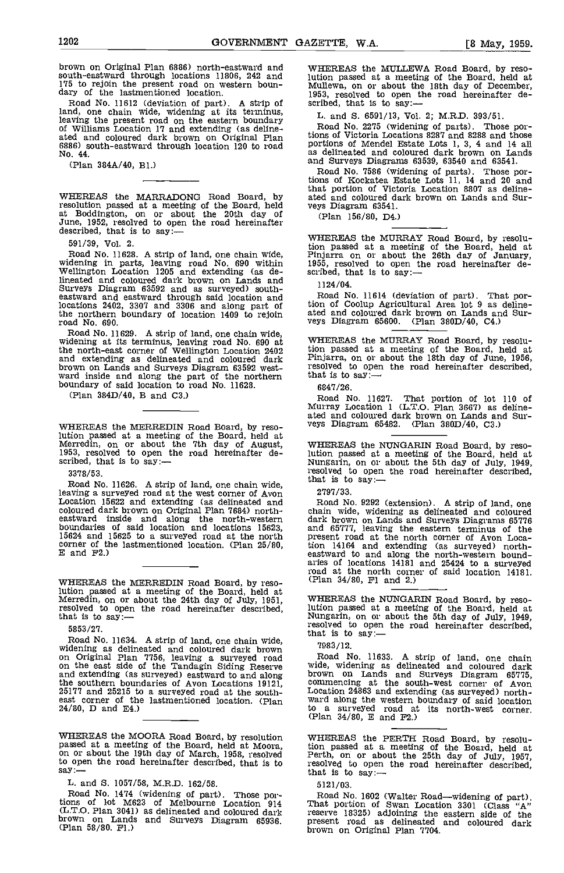brown on Original Plan 6886) north-eastward and

Road No. 11612 (deviation of part). A strip of scribed<br>land, one chain wide, widening at its terminus, L. a<br>leaving the present road on the eastern boundary of Williams Location 17 and extending (as deline- ated and coloured dark brown on Original Plan 6886) south-eastward through location 120 to road No. 44.

(Plan 384A/40, B1.)

WHEREAS the MARRADONG Road Board, by ated? resolution passed at a meeting of the Board, held veys I<br>at Boddington, on or about the 20th day of  $J$ une, 1952, resolved to open the road hereinafter described, that is to say:--

591/39, Vol. 2. Road No. 11628. A strip of land, one chain wide, widening on the above one widening in parts, leaving road No. 690 within 1955, resolved to open the Wellington Location 1205 and extending (as de-<br>
scribed, that is to say: lineated and coloured dark brown on Lands and Surveys Diagram 63592 and as surveyed) south-<br>eastward and eastward through said location and<br>locations 2402, 3307 and 3306 and along part of tion the northern boundary of location 1409 to rejoin

road No. 690.<br>Road No. 11629. A strip of land, one chain wide Road No. 11629. A strip of land, one chain wide, widening at its terminus, leaving road No. 690 at the north-east corner of Wellington Location 2402 and extending as delineated and coloured dark brown on Lands and Surveys Diagram 63592 west- ward inside and along the part of the northern boundary of said location to road No. 11628.

(Plan 384D/40, B and C3.)

WHEREAS the MERREDIN Road Board, by reso-

3378/53.

Road No. 11626. A strip of land, one chain wide,<br>leaving a surveyed road at the west corner of Avon 2797<br>Location 15622 and extending (as delineated and Roa coloured dark brown on Original Plan 7684) north- eastward inside and along the north-western boundaries of said location and locations 15623, and 6<br>15624 and 15625 to a surveyed road at the north present 15624 and 15625 to a surveyed road at the north<br>corner of the lastmentioned location. (Plan  $25/80$ ,<br>E and  $F2$ .)

WHEREAS the MERREDIN Road Board, by resolution passed at a meeting of the Board, held at Merredin, on or about the 24th day of July, 1951, resolved to open the road hereinafter described, that is to say:-

5853/27.

Road No. 11634. A strip of land, one chain wide, widening as delineated and coloured dark brown 7983<br>on Original Plan 7756, leaving a surveyed road Road on the east side of the Tandagin Siding Reserve wide, and extending (as surveyed) eastward to and along the southern boundaries of Avon Locations 19121, 25177 and 25215 to a surveyed road at the south- $24/80$ , D and E4.) we a survey could not the south-<br>24/80, D and E4.)

to open the road hereinafter described, that is to say:—

L. and S. 1057/58, M.R.D. 162/58.<br>Road No. 1474 (widening of part). Those por-Road No. 1474 (widening of part). Those por-<br>tions of 1ot M623 of Melbourne Location 914 That p (L.T.O. Plan 3041) as delineated and coloured dark brown on Lands and Surveys Diagram 65936. present<br>(Plan 58/80. Fl.) brown

175 to rejoin the present road on western boun-<br>dary of the lastmentioned location.<br>Road No. 11612 (deviation of part). A strip of scribed, that is to say:— WHEREAS the MULLEWA Road Board, by resolution passed at a meeting of the Board, held at Mullewa, on or about the 18th day of December, 1953, resolved to open the road hereinafter de- scribed, that is to say:

L. and 5. 6591/13, Vol. 2; M.R.D. 393/51.

Road No. 2275 (widening of parts). Those portions of Victoria Locations 8287 and 8288 and those portions of Mendel Estate Lots 1, 3, 4 and 14 all as delineated and coloured dark brown on Lands and Surveys Diagrams 63539, 63540 and 63541.

Road No. 7586 (widening of parts). Those portions of Kockatea Estate Lots 11, 14 and 20 and that portion of Victoria Location 8807 as deline- ated and coloured dark brown on Lands and Surated and coloured dark brown on Lands and Sur-<br>veys Diagram 63541.

(Plan 156/80, D4.)

WHEREAS the MURRAY Road Board, by resolution passed at a meeting of the Board, held at Pinjarra on or about the 26th day of January, 1955, resolved to open the road hereinafter de-

1124/04.

Road No. 11614 (deviation of part). That portion of Coolup Agricultural Area lot 9 as deline- ated and coloured dark brown on Lands and Surveys Diagram 65600. (Plan 380D/40, 04.)

WHEREAS the MURRAY Road Board, by resolution passed at a meeting of the Board, held at Pinjarra, on or about the 18th day of June, 1956, resolved to open the road hereinafter described, that is to say: $-$ 

6847/26.

Road No. 11627. That portion of lot 110 of<br>Murray Location 1 (L.T.O. Plan 3667) as deline-<br>ated and coloured dark brown on Lands and Surveys Diagram 65482. (Plan 380D/40, C3.)

Merredin, on or about the 7th day of August,<br>Merredin, on or about the 7th day of August, MHEREAS the NUNGARIN Road Board, by reso-<br>1953, resolved to open the road hereinafter de-<br>scribed, that is to say:--<br>378/53.<br>Boad No WHEREAS the NUNGARIN Road Board, by resolution passed at a meeting of the Board, held at Nungarin, on or about the 5th day of July, 1949,

2797/33.

Road No. 9292 (extension). A strip of land, one chain wide, widening as delineated and coloured dark brown on Lands and Surveys Diagrams 65776 and 65777, leaving the eastern terminus of the present road at the north corner of Avon Location 14164 and extending (as surveyed) north- eastward to and along the north-western bound- aries of locations 14181 and 25424 to a surveyed road at the north corner of said location 14181. (Plan 34/80, Fl and 2.)

WHEREAS the NUNGARIN Road Board, by resolution passed at a meeting of the Board, held at Nungarin, on or about the 5th day of July, 1949, resolved to open the road hereinafter described, that is to say:-

7983/12.

Road No. 11633. A strip of land, one chain<br>wide, widening as delineated and coloured dark<br>brown on Lands and Surveys Diagram 65775,<br>commencing at the south-west corner of Avon<br>Location 24863 and extending (as surveyed) nor to a surveyed road at its north-west corner. (Plan 34/80, E and P2.)

WHEREAS the MOORA Road Board, by resolution wHEREAS the PERTH Road Board, by resolu-<br>passed at a meeting of the Board, held at Moora, on or about the 19th day of March, 1958, resolved Perth, on or about the 25th day of Jul WHEREAS the PERTH Road Board, by resolution passed at a meeting of the Board, held at Perth, on or about the 25th day of July, 1957, resolved to about the road hereinafter described,

5121/03.

Road No. 1602 (Walter Road—widening of part).<br>That portion of Swan Location 3301 (Class "A" reserve 18325) adjoining the eastern side of the present road as delineated and coloured dark brown on Original Plan 7704.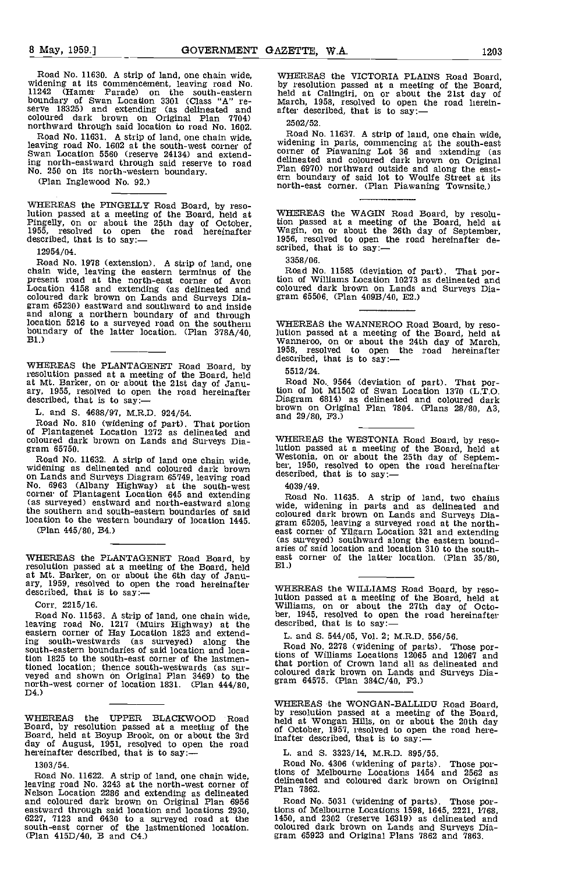Road No. 11630. A strip of land, one chain wide, which widening at its commencement, leaving road No. by re<br>11242 (Hamer Parade) on the south-eastern held boundary of Swan Location 3301 (Class "A" re-<br>serve 18325) and extending (as delineated and after coloured dark brown on Original Plan 7704) 2502<br>northward through said location to road No. 1602. 2502

Road No. 11631. A strip of land, one chain wide,<br>leaving road No. 1602 at the south-west corner of widening in parts, commencing at the south-east<br>Swan Location 5560 (reserve 24134) and extend-<br>corner of Piawaning Lot 36 a ing north-eastward through said reserve to road No. 250 on its north-western boundary.

(Plan Inglewood No. 92.)

WHEREAS the PINGELLY Road Board, by reso-Nution passed at a meeting of the Board, held at WHEREAS the WAGIN Road Board, by resolu-<br>Pingelly, on or about the 25th day of October, it is to say:--<br>1955, resolved to open the road hereinafter described, that is to say

12954/04.

Road No. 1978 (extension). A strip of land, one chain wide, leaving the eastern terminus of the present road at the north-east corner of Avon tion of Williams Location 10273 <br>Location 4158 and extending (as delineated and coloured dark brown on Lands and Surveys Dia- gram 65230) eastward and southward to and inside and along a northern boundary of and through location 5216 to a surveyed road on the southern WHER<br>boundary of the latter location. (Plan 378A/40, B1.) Wann

WHEREAS the PLANTAGENET Road Board, by resolution passed at a meeting of the Board, held 5512 at Mt. Barker, on or about the 21st day of Janu-<br>ary, 1955, resolved to open the road hereinafter<br>described, that is to say:—

L. and 5. 4688/97, M.R.D. 924/54.

Road No. 810 (widening of part). That portion and all posterior of Plantagenet Location 1272 as delineated and coloured dark brown on Lands and Surveys Dia- gram 65750.

Road No. 11632. A strip of land one chain wide, widening as delineated and coloured dark brown on Lands and Surveys Diagram 65749, leaving road<br>No. 6963 (Albany Highway) at the south-west 4039<br>corner of Plantagent Location 645 and extending Roa (as surveyed) eastward and north-eastward along the southern and south-eastern boundaries of said location to the western boundary of location 1445. From 65205, leaving a surveyed road at the north-(Plan 445/80, B4.)

WHEREAS the PLANTAGENET Road Board, by east resolution passed at a meeting of the Board, held at Mt. Barker, on or about the 6th day of Janu-<br>ary, 1959, resolved to open the road hereinafter<br>described, that is to say:—

Corr. 2215/16.

Road No. 11563. A strip of land, one chain wide, ber,<br>leaving road No. 1217 (Muirs Highway) at the descri-<br>eastern corner of Hay Location 1823 and extending south-westwards (as surveyed) along the south-eastern boundaries of said location and location 1825 to the south-east corner of the lastmen-<br>tioned location; thence south-westwards (as surtioned and shown on Original Plan 3469) to the<br>north-west corner of location 1831. (Plan 444/80,<br>D4.)

WHEREAS the UPPER BLACKWOOD Road held Board, by resolution passed at a meeting of the Board, held at Boyup Brook, on or about the 3rd day of August, 1951, resolved to open the road hereinafter described, that is to say:-

1303/54.

Road No. 11622. A strip of land, one chain wide,<br>leaving road No. 3243 at the north-west corner of deline<br>Nelson Location 2286 and extending as delineated Plan and coloured dark brown on Original Plan 6956 eastward through said location and locations 2930, 6227, 7123 and 6430 to a surveyed road at the south-east corner of the lastmentioned location. (Plan 415D/40, B and C4.)

WHEREAS the VICTORIA PLAINS Road Board, by resolution passed at a meeting of the Board, held at Calingiri, on or about the 21st day of March, 1958, resolved to open the road herein- after described, that is to say:--

2502/52.

Froad No. 11637. A strip of land, one chain wide,<br>widening in parts, commencing at the south-east<br>corner of Piawaning Lot 36 and 3xtending (as<br>delineated and coloured dark brown on Original<br>Plan 6970) northward outside and

WHEREAS the WAGIN Road Board, by resolu-<br>tion passed at a meeting of the Board, held at<br>Wagin, on or about the 26th day of September,<br>1956, resolved to open the road hereinafter de-<br>scribed, that is to say:--

3358/06.

Road No. 11585 (deviation of part). That por-tion of Williams Location 10273 as delineated and coloured dark brown on Lands and Surveys Dia- gram 65506. (Plan 409B/40 E2.)

WHEREAS the WANNEROO Road Board, by reso-NUTREE WANNEROO ROAD BOARD, held at meeting of the Board, held at Wanneroo, on or about the 24th day of March, 1958, resolved to open the road hereinafter described, that is to say:-

5512/24.

Road No. 9564 (deviation of part). That portion of lot M1502 of Swan Location 1370 (L.T.O. Diagram 6814) as delineated and coloured dark brown on Original Plan 7804. (Plans 28/80, A3, and 29/80, P3.)

WHEREAS the WESTONIA Road Board, by resolution passed at a meeting of the Board, held at Westonia, on or about the 25th day of Septem- ber, 1950, resolved to open the road hereinafter described, that is to say:-

4039/49.

Road No. 11635. A strip of land, two chains wide, widening in parts and as delineated and coloured dark brown on Lands and Surveys Dia- gram 65205, leaving a surveyed road at the north- east corner of Yilgarn Location 321 and extending (as surveyed) southward along the eastern bound- aries of said location and location 310 to the southeast corner of the latter location. (Plan 35/80, El.)

WHEREAS the WILLIAMS Road Board, by reso-Nution passed at a meeting of the Board, held at Williams, on or about the 27th day of Octo-<br>Williams, on or about the 27th day of Octo-<br>ber, 1945, resolved to open the road hereinafter<br>described, that is to say:—

L. and 5. 544/05, Vol. 2; M.R.D. 556/56.

Road No. 2278 (widening of parts). Those por-tions of Williams Locations 12065 and 12067 and that portion of Crown land all as delineated and coloured dark brown on Lands and Surveys Dia- gram 64575. (Plan 384C/40, F3.)

WHEREAS the WONGAN-BALLIDU Road Board,<br>by resolution passed at a meeting of the Board,<br>held at Wongan Hills, on or about the 20th day of October, 1957, resolved to open the road here-inafter described, that is to say:

L. and 5. 3323/14, M.R.D. 895/55.

Road No. 4306 (widening of parts). Those portions of Melbourne Locations 1454 and 2562 as delineated and coloured dark brown on Original Plan 7862.

Road No. 5031 (widening of parts). Those portions of Melbourne Locations 1598, 1645, 2221, 1768,<br>1450, and 2302 (reserve 16319) as delineated and coloured dark brown on Lands and Surveys Dia- gram 65923 and Original Plans 7862 and 7863.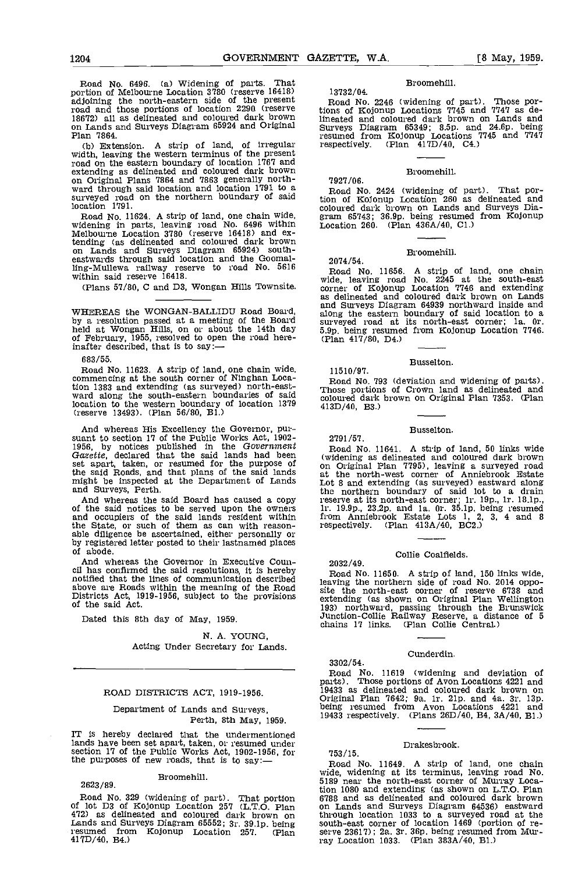Road No. 6496. (a) Widening of parts. That portion of Melbourne Location 3780 (reserve 16418) 1373<br>adjoining the north-eastern side of the present road and those portions of location 2290 (reserve tions of<br>18672) all as delineated and coloured dark brown lineate on Lands and Surveys Diagram 65924 and Original  $\sum_{r=1}^{n}$ 

(b) Extension. A strip of land, of irregular width, leaving the western terminus of the present road on the eastern boundary of location 1767 and extending as delineated and coloured dark brown on Original Plans 7864 and 7863 generally north-<br>ward through said location and location 1791 to a surveyed road on the northern boundary of said tion of location 1791.

Road No. 11624. A strip of land, one chain wide, widening in parts, leaving road No. 6496 within Melbourne Location 3780 (reserve 16418) and extending (as delineated and coloured dark brown tending (as delineated and coloured dark brown on Lands and Surveys Diagram 65924) south-eastwards through said location and the Goomalling-Mullewa railway reserve to road No. 5616 within said reserve 16418.

(Plans 57/80, C and D3, Wongan Hills Townsite.

WHEREAS the WONGAN-BALLIDU Road Board, along the accolution passed at a meeting of the Board survey held at Wongan Hills, on or about the 14th day 5.9p b of February, 1955, resolved to open the road here- (Plan inafter described, that is to say: $-$ 

683/55.<br>Road No. 11623. A strip of land, one chain wide. commencing at the south corner of Ninghan Location 1383 and extending (as surveyed) north-easttion 1383 and extending (as surveyed) north-east-<br>ward along the south-eastern boundaries of said coloure location to the western boundary of location  $1379$   $413D/$ (reserve 13493). (Plan 56/80, B1.)

And whereas His Excellency the Governor, pur-<br>suant to section 17 of the Public Works Act, 1902-<br>1956, by notices published in the Government Gazette, declared that the said lands had been (widen set apart, taken, or resumed for the purpose of  $\frac{w}{\alpha n}$ the said Roads, and that plans of the said lands at the said Roads, and that plans of the said lands at the might be inspected at the Department of Lands at the

And whereas the said Board has caused a copy of the said notices to be served upon the owners and  $\frac{11.19.5}{10.000}$  and occupiers of the said lands resident within the State, or such of them as can with reason-<br>able diligence be ascertained, either personally or<br>by registered letter posted to their lastnamed places<br>of abode.

And whereas the Governor in Executive Council has confirmed the said resolutions, it is hereby notified that the lines of communication described Districts Act, 1919-1956, subject to the provisions of the said Act.

Dated this 8th day of May, 1959.

N. A. YOUNG, Acting Under Secretary for Lands.

#### ROAD DISTRICTS ACT, 1919-1956.

# Department of Lands and Surveys, Perth, 8th May, 1959.

IT is hereby declared that the undermentioned lands have been set apart, taken, or resumed under section 17 of the Public Works Act, 1902-1956, for the purposes of new roads, that is to say:—

## Eroomehill.

2623 /89.

Road No. 329 (widening of part). That portion 6788 a<br>of lot D3 of Kojonup Location 257 (L.T.O. Plan on Lai 472) as delineated and coloured dark brown on through Lands and Surveys Diagram 65552; 3r. 39.lp. being resumed from Kojonup Location 257. (Plan 417D/40, E4.)

# Broomehill.

13732/ 04. Road No. 2246 (widening of part). Those por-tions of Kojonup Locations 7745 and 7747 as delineated and coloured dark brown on Lands and Surveys Diagram 65349; 8.5p. and 24.6p. being resumed from Kojonup Locations 7745 and 7747 respectively. (Plan 417D/4o, C4.)

Eroomehill.

7927/06. Road No. 2424 (widening of part). That portion of Kojonup Location 260 as delineated and coloured dark brown on Lands and Surveys Dia- gram 65743; 36.9p. being resumed from Kojonup Location 260. (Plan 436A/40, Cl.)

# Broomehill.

2074/54.

11510/97.

2791/57.

2032/49.

Road No. 11656. A strip of land, one chain wide, leaving road No. 2245 at the south-east corner of Kojonup Location 7746 and extending as delineated and coloured dark brown on Lands and Surveys Diagram 64939 northward inside and along the eastern boundary of said location to a surveyed road at its north-east corner; la. Or. 5.9p. being resumed from Kojonup Location 7746. (Plan 417/80, D4.)

#### Busselton.

Road No. 793 (deviation and widening of parts). Those portions of Crown land as delineated and coloured dark brown on Original Plan 7353. (Plan 413D/40, B3.)

Busselton.

Road No. 11641. A strip of land, 50 links wide (widening as delineated and coloured dark brown on Original Plan 7795), leaving a surveyed road at the north-west corner of Anniebrook Estate Lot 8 and extending (as surveyed) eastward along the northern boundary of said lot to a drain reserve at its north-east corner; lr, 19p., lr. 18.lp., lr. 19.9p., 23.2p. and la. Or. 35.lp. being resumed from Anniebrook Estate Lots 1, 2, 3, 4 and 8 respectively. (Plan 413A/40, BC2.)

# Collie Coalfields.

Road No. 11650. A strip of land, 150 links wide, leaving the northern side of road No. 2014 opposite the north-east corner of reserve 6738 and<br>extending (as shown on Original Plan Wellington 193) northward, passing through the Brunswick Junction-Collie Railway Reserve, a distance of 5 chains 17 links. (Plan Collie Central,)

#### Cunderdin.

Road No. 11619 (widening and deviation of parts). Those portions of Avon Locations 4221 and Original Plan 7642; 9a. Ir. 21p. and 4a. 3r. 13p. being resumed from Avon Locations 4221 and 19433 respectively. (Plans 26D/40, B4, 3A/40, El.)

# 7 53/15.

3302/54.

# Drakesbrook.

Road No. 11649. A strip of land, one chain wide, widening at its terminus, leaving road No. 5189 near the north-east corner of Murray Location 1080 and extending (as shown on L.T.O. Plan 6788 and as delineated and coloured dark brown on Lands and Surveys Diagram 64536) eastward through location 1033 to a surveyed road at the south-east corner of location 1469 (portion of re- serve 23617); 2a. 3r. 36p. being resumed from Murray Location 1033. (Plan 383A/40, El.)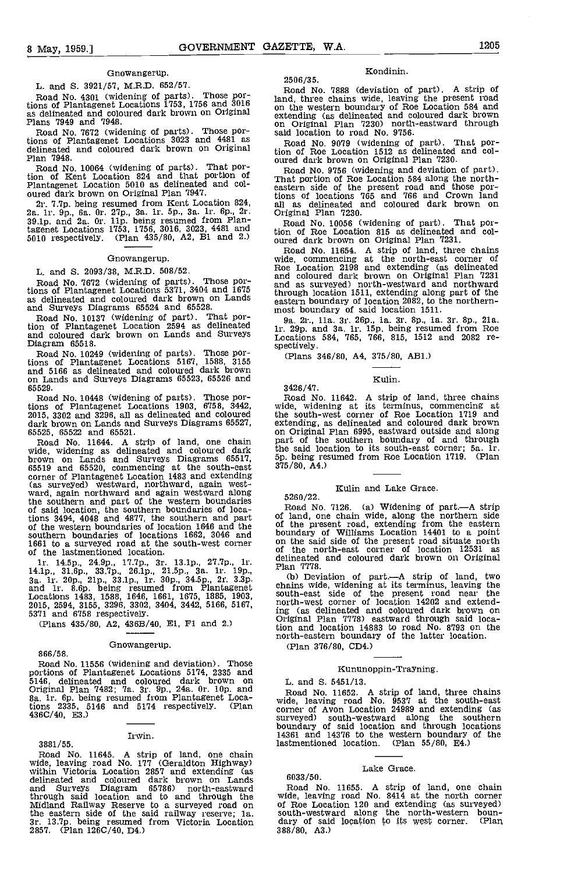# Gnowangerup.

L. and 5. 3921/57, M.R.D. 652/57.

Road No. 4301 (widening of parts). Those por-<br>tions of Plantagenet Locations 1753, 1756 and 3016 and, as delineated and coloured dark brown on Original Plans 7949 and 1948.

Road No. 7672 (widening of parts). Those portions of Plantagenet Locations 3023 and 4481 as<br>delineated and coloured dark brown on Original plan 7948.

Road No. 10064 (widening of parts). That por-Franchise Contains and that portion of<br>Plantagenet Location 824 and that portion of<br>Plantagenet Location 5010 as delineated and col-<br>case oured dark brown on Original Plan 7947.<br>2r. 7.7p. being resumed from Kent Location 8

tagenet Locations 1753, 1756, 3016, 3023, 4481 and 5010 respectively. (Plan 435/80, A2, B1 and 2.)

#### Gnowangerup.

L. and S. 2093/38, M.R.D. 508/52.

Road No. 7672 (widening of parts). Those por-<br>tions of Plantagenet Locations 5371, 3404 and 1675 and 2<br>as delineated and coloured dark brown on Lands baster and Surveys Diagrams 65524 and 65528.

Road No. 10137 (widening of part). That portion of Plantagenet Location 2594 as delineated and coloured dark brown on Lands and Surveys Diagram 65518.

Road No. 10249 (widening of parts). Those por-tions of Plantagenet Locations 5167, 1588, 3155 and 5166 as delineated and coloured dark brown on Lands and Surveys Diagrams 65523, 65526 and 65529.

Road No. 10448 (widening of parts). Those portions of Plantagenet Locations 1903, 6158, 3442, 2015, 3302 and 3296, all as delineated and coloured

dark brown on Lands and Surveys Diagrams 65527, extendi<br>65525, 65522 and 65521. (and Crise on Orig<br>65525, 65522 and 65521. (and one chain part of<br>wide, widening as delineated and coloured dark the sail<br>brown on Lands and S (as surveyed) westward, northward, again west- ward, again northward and again westward along the southern and part of the western boundaries 52<br>of said location, the southern boundaries of locations 3494, 4048 and 4877, the southern and part of last of the western boundaries of location 1646 and the  $\frac{0}{10}$ southern boundaries of locations 1662, 3046 and bound 1661 to a surveyed road at the south-west corner of the lastmentioned location.  $\frac{1}{2}$ 

ir. 14.5p., 24.9p., 17.7p., 3r. 13.1p., 27.7p., 1r.  $\frac{c}{r}$ 14.1p., 31.6p., 33.7p., 26.1p., 21.5p., 3a. 1r. 19p., 21.5p., 34.5p., 2r. 3,3p. 3a. 1r. 20p., 21.5p., 31.5p., 34.5p., 2r. 3.3p. and 1r. 8.6p. being resumed from Plantagenet c 5371 and 6758 respectively. Locations 1483, 1588, 1646, 1661, 1675, 1885, 1903, 2015, 2594, 3155, 3296, 3302, 3404, 3442, 5166, 5167,

(Plans 435/80, A2, 436B/40, El, Fl and 2)

## Gnowangerup.

866/58.

Road No. 11556 (widening and deviation). Those portions of Plantagenet Locations 5174, 2335 and 5146, delineated and coloured dark brown on L. and Original Plan 7482; 7a. 3r. 9p., 24a. 0r. 10p. and 1. 2. a.<br>
8a. 1r. 6p. being resumed from Plantagenet Loca-<br>
tions 2335, 5146 and 5174 respectively. (Plan corner 4360/40, ES.)

# Irwin.

3881/55. Road No. 11645. A strip of land, one chain wide, leaving road No. 177 (Geraldton Highway) within Victoria Location 2857 and extending (as delineated and coloured dark brown on Lands and Surveys Diagram 65786) north-eastward Road<br>through said location and to and through the Wide,<br>Midland Railway Reserve to a surveyed road on of Roe the eastern side of the said railway reserve; 1a. south-<br>3r. 13.7p. being resumed from Victoria Location dary<br>2857. (Plan 126C/40, D4.) 388/80

#### Kondinin.

2506/35. Road No. 7888 (deviation of part). A strip of land, three chains wide, leaving the present road on the western boundary of Roe Location 584 and extending (as delineated and coloured dark brown on Original Plan 7230) north-eastward through said location to road No. 9756.

Road No. 9079 (widening of part). That por-tion of Roe Location 1512 as delineated and coloured dark brown on Original Plan 7230.

Road No. 9756 (widening and deviation of part).<br>That portion of Roe Location 584 along the north-<br>eastern side of the present road and those por-<br>tions of locations 765 and 766 and Crown land<br>all as delineated and coloured Original Plan 7230.

Road No. 10056 (widening of part). That por-tion of Roe Location 815 as delineated and col-

oured dark brown on Original Plan 7231. Road No. 11654. A strip of land, three chains wide, commencing at the north-east corner of Roe Location 2198 and extending (as delineated and coloured dark brown on Original Plan 7231 and as surveyed) north-westward and northward through location 1511, extending along part of the eastern boundary of location 2082, to the northern-<br>most boundary of said location 1511.

9a. 2r., ha. Sr. 26p., ha. 3r. 8p., la. 3r. 8p., 21a. hr. 29p. and 3a. lr. isp. being resumed from Roe Locations 584, 765, 766, 815, 1512 and 2082 re- spectively.

(Plans 346/80, A4, 375/80, AB1.)

#### Kuhn.

Road No. 11642. A strip of land, three chains wide, widening at its terminus, commencing at the south-west corner of Roe Location 1719 and extending, as delineated and coloured dark brown on Original Plan 6995, eastward outside and along part of the southern boundary of and through the said location to its south-east corner; 5a. hr. 5p. being resumed from Roe Location 1719. (Plan 375/80, A4.)

# Kulin and Lake Grace.

5260/22.

3426/47.

Road No. 7126. (a) Widening of part.—A strip of land, one chain wide, along the northern side of the present road, extending from the eastern boundary of Williams Location 14401 to a point boundary of Williams Location 14401 to a point on the said side of the present road situate north of the north-east corner of location 12531 as delineated and coloured dark brown on Original Plan 7778.

(b) Deviation of part.—A strip of land, two<br>chains wide, widening at its terminus, leaving the<br>south-east side of the present road near the<br>north-west corner of location 14202 and extending (as delineated and coloured dark brown on Original Plan 7778) eastward through said location and location 14883 to road No. 8793 on the north-eastern boundary of the latter location.

(Plan 376/80, CD4.)

#### Kununoppin-Trayning.

#### L. and 5. 5451/13.

Road No. 11652. A strip of land, three chains wide, leaving road No. 9537 at the south-east corner of Avon Location 24989 and extending (as surveyed) south-westward along the southern boundary of said location and through locations 14361 and 14376 to the western boundary of the lastmentioned location. (Plan 55/80, E4.)

# Lake Grace.

6033/50.<br>Road No. 11655. A strip of land, one chain<br>wide, leaving road No. 8414 at the north corner Road No. 11655. A strip of land, one chain<br>wide, leaving road No. 8414 at the north corner<br>of Roe Location 120 and extending (as surveyed)<br>south-westward along the north-western boun-<br>dary of said location to its west corn  $388/80, A3.$ )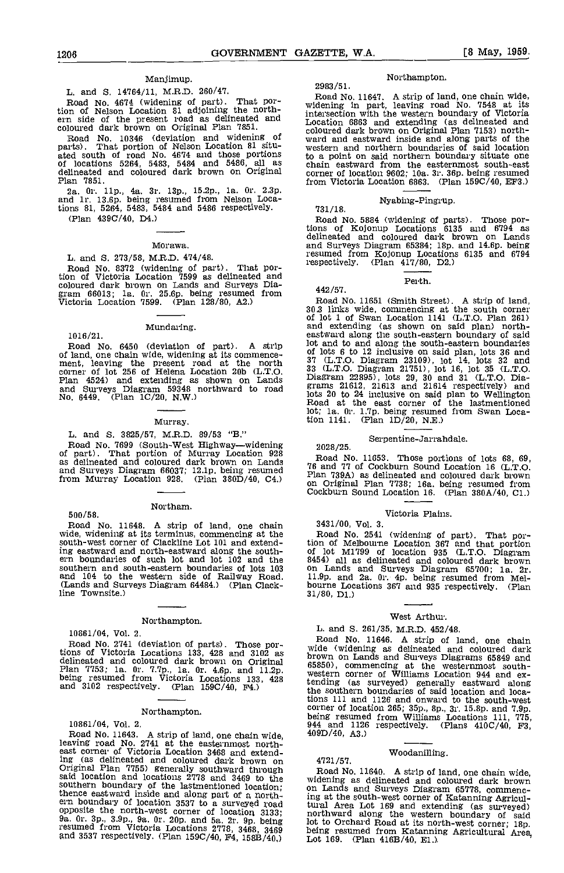# Manjimup.

# L. and S. 14764/li, M.R.D. 260/47.

Road No. 4674 (widening of part). That portion of Nelson Location 81 adjoining the north-<br>ern side of the present road as delineated and interse coloured dark brown on Original Plan 7851.

Road No. 10346 (deviation and widening of wa parts). That portion of Nelson Location 81 situ-<br>ated south of road No. 4674 and those portions to a<br>of locations 5264, 5483, 5484 and 5486, all as chai<br>delineated and coloured dark brown on Original corn<br>Plan 7851. from

2a. Or. lip., 4a. 3r. 13p., l5.2p., la. Or. 2.3p. and lr. 13.6p. being resumed from Nelson Locations 81, 5264, 5483, 5484 and 5486 respectively. (Plan 4390/40, D4.)

#### Morawa.

## L. and S. 273/58, M.R.D. 474/48.

Road No. 8372 (widening of part). That portion of Victoria Location 7599 as delineated and coloured dark brown on Lands and Surveys Dia- gram 66013; la. Or. 25.6p. being resumed from Victoria Location 7599. (Plan 128/80, A2.)

#### Mundaring.

1016/21. Road No. 6450 (deviation of part). A strip of land, one chain wide, widening at its commenceof land, leaving the present road at the north corner of lot 256 of Helena Location 20b (L.T.Q. Flan 4524) and extending as shown on Lands and Surveys Diagram 59348 northward to road No. 6449. (Plan 1C/20, N.W.)

#### Murray.

#### L. and S. 3825/57, M.R.D. 89/53 "B."

Road No. 7699 (South-West Highway—widening 2028<br>of part). That portion of Murray Location 928 as delineated and coloured dark brown on Lands and Surveys Diagram 66037; 12.lp. being resumed from Murray Location 928. (Plan 380D/40, C4.)

#### Northam.

500/58.

Road No. 11648. A strip of land, one chain wide, widening at its terminus, commencing at the south-west corner of Clackline Lot 101 and extending eastward and north-eastward along the south- ern boundaries of such lot and lot 102 and the southern and south-eastern boundaries of lots 103 con Lands<br>and 104 to the western side of Railway Road. 11.9p. and<br>(Lands and Surveys Diagram 64484.) (Plan Clack-<br>bourne Loc<br>line Townsite.) 31/80, D1.) line Townsite.)

#### Northampton.

10861/04, Vol. 2.

Road No. 2741 (deviation of parts). Those portions of Victoria Locations 133, 428 and 3102 as delineated and coloured dark brown on Original brown<br>delineated and coloured dark brown on Original 65850)<br>Plan 7753; Ia. Or. 7.7p., la. Or. 4.6p. and 11.2p. being resumed f and  $3102$  respectively. (Plan  $159C/40$ ,  $F4$ .)

# Northampton.

# 10861/04, Vol. 2.

Road No. 11643. A strip of land, one chain wide, 40<br>leaving road No. 2741 at the easternmost north-<br>east corner of Victoria Location 3468 and extending (as delineated and coloured dark brown on 4721<br>Original Plan 7755) generally southward through Roa said location and locations 2778 and 3469 to the wide southern boundary of the lastmentioned location;<br>thence eastward inside and along part of a north-<br>ern boundary of location 3537 to a surveyed road thence eastward inside and along part of a north-<br>ern boundary of location 3537 to a surveyed road tural<br>opposite the north-west corner of location 3133; 9a. orth-west<br>9a. Or. 3p., 3.9p., 9a. Or. 20p. and 5a. 2r. 9p. bein resumed from Victoria Locations 2778, 3468, 3469 being<br>and 3537 respectively. (Plan 159C/40, F4, 158B/40.) Lot 1

#### Northampton.

# 2983 /51.

Road No. 11647. A strip of land, one chain wide, widening in part, leaving road No. 7548 at Its intersection with the western boundary of Victoria Location 6863 and extending (as delineated and coloured dark brown on Original Plan 7153) north- ward and eastward inside and along parts of the western and northern boundaries of said location to a point on said northern boundary situate one chain eastward from the easternmost south-east corner of location 9602; 10a. 3r. 36p. being resumed<br>from Victoria Location 6863. (Plan 159C/40, EF3.)

# Nyabing-Pingrup. 731/18.

Road No. 5884 (widening of parts). Those portions of Kojonup Locations 6135 and 6794 as delineated and coloured dark brown on Lands and Surveys Diagram 65384; lap, and 14.6p. being resumed from Kojonup Locations 6135 and 6794<br>respectively. (Plan 417/80, D2.)  $(Plan \ 417/80, \ D2.)$ 

#### Perth.

442/57.<br>Road No. 11651 (Smith Street). A strip of land, From Subsection and Subsection and Subsection and extending (as shown on said plan) north-<br>eastward along the south comer-<br>eastward along the south-eastern boundary of said lot and to and along the south-eastern boundaries of lots 6 to 12 inclusive on said plan, lots 36 and 37 (L.T.O. Diagram 23109), lot 14, lots 32 and 33 (L.T.O. Diagram 21751), lot 16, lot 35 (L.T.O. Diagram 22895), lots 29, 30 and 31 (L.T.O. Dia- grams 21612, 21613 and 21614 respectively) and lots 20 to 24 inclusive on said plan to Wellington Road at the east corner of the lastmentloned lot; la. Or. lip, being resumed from Swan Location 1141. (Plan 1D/20, N.E.)

# Serpentine-Jarrandale. 2028/25.

Road No. 11653. Those portions of lots 68, 69, 76 and 77 of Cockburn Sound Location 16 (L.T.O. Plan 739A) as delineated and coloured dark brown and Original Plan 7738; 16a, being resumed from<br>Cockburn Sound Location 16, (Plan 380A/40, C1.)

# Victoria Plains.

3431/00, Vol. 3.

Road No. 2541 (widening of part). That por- tion of Melbourne Location 367 and that portion of lot M1799 of location 935 (L.T.O. Diagram 8454) all as delineated and coloured dark brown on Lands and Surveys Diagram 65700; Ia. 2r. ll.9p. and 2a. Or. 4p. being resumed from Mel- bourne Locations 367 and 935 respectively. (Plan 31/80, DI,)

# West Arthur.

L. and 5. 261/35, M.R.D. 452/48. wide (widening as delineated and coloured dark<br>brown on Lands and Surveys Diagrams 65849 and brown on Lands and Surveys Diagrams 65850), commencing at the westernmost south-<br>western corner of Williams Location 944 and extending (as surveyed) generally eastward along the southern boundaries of said iocation and locations lii and 1126 and onward to the south-west corner of location 265; 35p., 8p., 3r. 15.8p. and 7.9p. being resumed from Williams Locations 111, 775, 944 and 1126 respectively. (Plans 410C/40, F3, 409D/40, A3.)

# Woodanilling. 4721/57.

Road No. 11640. A strip of land, one chain wide, widening as delineated and coloured dark brown on Lands and Surveys Diagram 65778, commencing at the south-west corner of Katanning Agricultural Area Lot 169 and extending (as surveyed) northward along the western boundary of said lot to Orchard Road at its north-west corner; 18p. being resumed from Katanning Agricultural Area, Lot 169. (Plan 416B/40, El.),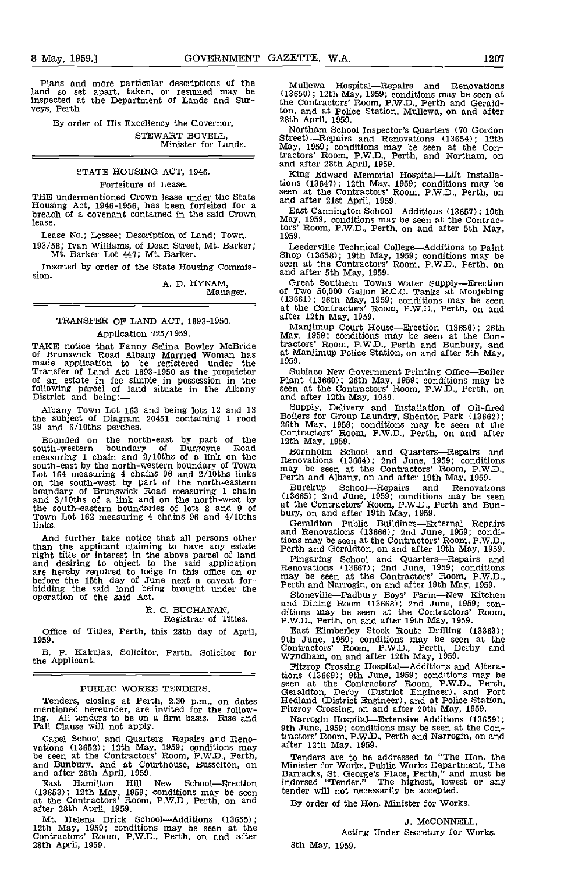By order of His Excellency the Governor, STEWART BOVELL, Minister for Lands.

# STATE HOuSING ACT, 1946.

# Forfeiture of Lease.

THE undermentioned Crown lease under the State Housing Act, 1946-1956, has been forfeited for a breach of a covenant contained in the said Crown lease.

Lease No.; Lessee; Description of Land; Town. 193/58; Ivan Williams, of Dean Street, Mt. Barker; Mt. Barker Lot 447; Mt. Barker.

Inserted by order of the State Housing Commis-<br>sion. and after 5th May, 1959.

A. D. HYNAM,

Manager.

# TRANSFER OF LAND ACT, 1893-1950. Application 725/1959.

TAKE notice that Fanny Selina Bowley McBride tracto<br>of Brunswick Road Albany Married Woman has at Ma<br>made application to be registered under the 1959.<br>Transfer of Land Act 1893-1950 as the proprietor Sub<br>of an estate in fe following parcel of land situate in the Albany are at the Boston of land situate in the Albany and af

Albany Town Lot 163 and being lots 12 and 13 Supplete subject of Diagram 20451 containing 1 rood 39 and 6/lOths perches.

Bounded on the north-east by part of the south-western boundary of Burgoyne Road Bor<br>measuring 1 chain and 2/10ths of a link on the Reno south-east by the north-western boundary of Town may be not the north-west by part of the north-eastern Ferth is boundary of Brunswick Road measuring 1 chain and 3/10ths of a link and on the north-west by (13665)<br>the south-eastern boundaries of lots 8 and 9 of at the o the south-eastern boundaries of lots 8 and 9 of the bury, on and after 19th May, 1959.<br>Town Lot 162 measuring 4 chains 96 and 4/10ths  $\frac{b}{x}$ links.

And further take notice that all persons other tio than the applicant claiming to have any estate Ferth right title or interest in the above parcel of land<br>and desiring to object to the said application  $\frac{1}{R}$  Pinga are hereby required to lodge in this office on or before the 15th day of June next a caveat for-<br>bidding the said land being brought under the operation of the said Act. Sto

> R. C. BUCHANAN, Registrar of Titles.

# Office of Titles, Perth, this 28th day of April, 1959.

B. p. Kakulas, Solicitor, Perth, Solicitor for the Applicant.

# PUBLIC WORKS TENDERS.

Tenders, closing at Perth, 2.30 p.m., on dates mentioned hereunder, are invited for the following. All tenders to be on a firm basis. Rise and Fall Clause will not apply.

Capel School and Quarters—Repairs and Reno-<br>vations (13652); 12th May, 1959; conditions may be seen at the Contractors' Room, P.W.D., Perth, and Bunbury, and at Courthouse, Busselton, on<br>and after 28th April, 1959.

East Hamilton Hill New School—Erection indors (13653); 12th May, 1959; conditions may be seen tender<br>at the Contractors' Room, P.W.D., Perth, on and By o

after 28th April, 1959.<br>Mt. Helena Brick School—Additions (13655); 12th May, 1959; conditions may be seen at the Contractors' Room, P.W.D., Perth, on and after 28th April, 1959.

Mullewa Hospital—Repairs and Renovations (13650); 12th May, 1959; conditIons may be seen at the Contractors' Room, P.W.D., Perth and Geraldton, and at Police Station, Mullewa, on and after 28th April, 1959.

Northam School Inspector's Quarters (70 Gordon Street)—Repairs and Renovations (13654); 12th May, 1959; conditions may be seen at the Contractors' Room, P.W.D., Perth, and Northam, on and after 28th April, 1959.

King Edward Memorial Hospital-Lift Installations (13647); 12th May, 1959; conditions may be seen at the Contractors' Room, P.W.D., Perth, on and after 21st April, 1959.

East Cannington SchoolAdditions (13657); 19th May, 1959; conditions may be seen at the Contractors' Room, P.W.D,, Perth, on and after 5th May, 1959.

Leederville Technical College—Additions to Paint<br>Shop (13658); 19th May, 1959; conditions may be seen at the Contractors' Room, P.W.D., Perth, on

and after 5th May, 1959. Great Southern Towns Water Supply—Erection<br>of Two 50,000 Gallon R.C.C. Tanks at Moojebing (13661); 26th May, 1959; conditions may be seen at the Contractors' Room, P.W.D., Perth, on and after 12th May, 1959.

Manjimup Court House—Erection (13656); 26th<br>May, 1959; conditions may be seen at the Contractors' Room, P.W.D., Perth and Bunbury, and at Manjimup Police Station, on and after 5th May. 1959.

Subiaco New Government Printing Office—Boiler<br>Plant (13660); 26th May, 1959; conditions may be seen at the Contractors' Room, P.W.D., Perth, on and after 12th May, 1959.<br>Supply, Delivery and Installation of Oil-fired

Boilers for Group Laundry, Shenton Park (13662); 26th May, 1959; conditions may be seen at the Contractors' Room, P.W.D., Perth, on and after 12th May, 1959.

12th May, 1959.<br>Bornholm School and Quarters-Repairs and<br>Renovations (13664); 2nd June, 1959; conditions<br>may be seen at the Contractors' Room, P.W.D.,<br>Perth and Albany, on and after 19th May, 1959.

Burekup School—Repairs and Renovations<br>(13665); 2nd June, 1959; conditions may be seen

Geraldton Public Buildings—External Repairs<br>and Renovations (13666); 2nd June, 1959; conditions may be seen at the Contractors' Room, P.W.D.,

Perth and Geraldton, on and after 19th May, 1959.<br>Fingaring School and Quarters—Repairs and Renovations (13667); 2nd June, 1959; conditions may be seen at the Contractors' Room, P.W.D., Perth and Narrogin, on and after 19t

and Room (13668); 2nd June, 1959; Con-<br>and Dining Room (13668); 2nd June, 1959; con-<br>ditions may be seen at the Contractors' Room,<br>P.W.D., Perth, on and after 19th May, 1959.<br>East Kimberley Stock Route Drilling (13363);

9th June, 1959; conditions may be seen at the Contractors' Room, P.W.D., Perth, Derby and Wyndham, on and after 12th May, 1959. Fitzroy Crossing Hospital—Additions and Altera-

tions (13669); 9th June, 1959; conditions may be<br>seen at the Contractors' Room, P.W.D., Perth,<br>Geraldton, Derby (District Engineer), and Port<br>Hedland (District Engineer), and at Police Station,<br>Fitzroy Crossing, on and aft

Narrogin Hospital—Extensive Additions (13659);<br>9th June, 1959; conditions may be seen at the Contractors' Room, P.W.D., Perth and Narrogin, on and after 12th May, 1959.

Tenders are to be addressed to "The Hon. the Minister for Works, Public Works Department, The Barracks, St. George's Place, Perth," and must be indorsed "Tender." The highest, lowest or any tender will not necessarily be accepted.

By order of the Hon. Minister for Works.

J. McCONNELL, Acting Under Secretary for Works.

8th May, 1959.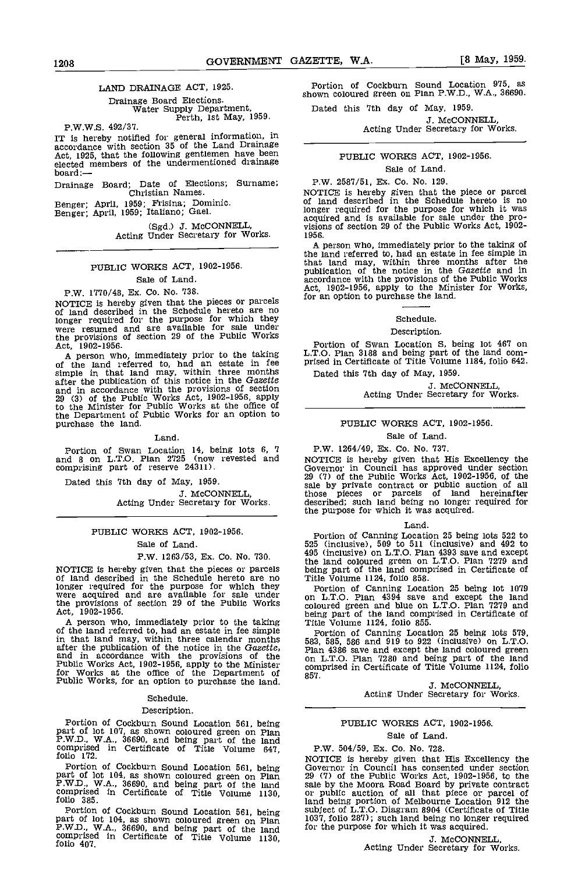# LAND DRAINAGE ACT, 1925.

Drainage Board Elections. Water Supply Department, Perth, 1st May, 1959.

P.W.W.S. 492/31.

IT is hereby notified for general information, in accordance with section 35 of the Land Drainage Act, 1925, that the following gentlemen have been elected members of the undermentioned drainage<br>board:—

Drainage Board; Date of Elections; Surname; Christian Names.

Benger; April, 1959; Frisina; Dominic.<br>Benger; April, 1959; Italiano; Gael.

(Sgd.) J. McCONNELL, Acting Under Secretary for Works.

# PUBLIC WORKS ACT, 1902-1956.

# Sale of Land.

P.W. 1770/48, Ex. Co. No. 738.

NOTICE is hereby given that the pieces or parcels <sup>for an</sup> of land described in the Schedule hereto are no longer required for the purpose for which they were resumed and are available for sale under the provisions of section 29 of the Public Works Act, 1902-1956.

A person who, immediately prior to the taking L.T.O.<br>of the land referred to, had an estate in fee prised simple in that land may, within three months Datter the publication of this notice in the Gazette and in accordance with the provisions of section 29 (3) of the Public Works Act, 1902-1956, apply to the Minister for Public Works at the office of the Department of Public Works for an option to purchase the land.

#### Land.

Portion of Swan Location 14, being lots 6, 7 P.W.<br>and 8 on L.T.O. Plan 2725 (now revested and **NOTIC** comprising part of reserve 24311).

Dated this 7th day of May, 1959.

J. McCONNELL, Acting Under Secretary for Works.

# PUBLIC WORKS ACT, 1902-1956. Sale of Land.

# P.W. 1263/53, Ex. Co. No. 730.

NOTICE is hereby given that the pieces or parcels of land described in the Schedule hereto are no longer required for the purpose for which they portion were acquired and are available for sale under on L.T. the provisions of section 29 of the Public Works cold<br>Act, 1902-1956. he

A person who, immediately prior to the taking Title of the land referred to, had an estate in fee simple<br>in that land may, within three calendar months  $583, 5$ <br>after the publication of the notice in the Gazette, Plan<br>and in accordance with the provisions of the on L.<br>Publ

# Schedule.

## Description.

Portion of Cockburn Sound Location 561, being part of lot 107, as shown coloured green on Plan P.W.D., W.A., 36690, and being part of the land comprised in Certificate of Title Volume 647, folio 172.

Portion of Cockburn Sound Location 561, being subject part of lot 104, as shown coloured green on Plan 1037, f P.W.D., W.A., 36690, and being part of the land for the comprised in Certificate of Title Volume 1130, folio 407.

Portion of Cockburn Sound Location 915, as shown coloured green on Plan P.W.D., W.A., 36690.

Dated this 7th day of May, 1959.

J. McCONNELL,<br>Acting Under Secretary for Works.

# PUBLIC WORKS ACT, 1902-1956.

## Sale of Land

P.W. 2587/51, Ex. Co. No. 129.

NOTICE is hereby given that the piece or parcel of land described in the Schedule hereto is no longer required for the purpose for which it was acquired and is available for sale under the pro- visions of section 29 of the Public Works Act, 1902- 1956.

A person who, immediately prior to the taking of the land referred to, had an estate in fee simple in that land may, within three months after the publication of the notice in the Gozette and in accordance with the provisions of the Public Works Act, 1902-1956, apply to the Minister for Works, for an option to purchase the land.

## Schedule.

#### Description.

Portion of Swan Location S, being lot 467 on L.T.O. Plan 3188 and being part of the land comprised in Certificate of Title Volume 1184, folio 642. Dated this 7th day of May, 1959.

J. McCONNELL, Acting Under Secretary for Works.

# PUBLIC WORKS ACT, 1902-1956.

# Sale of Land.

P.W. 1264/49, Ex. Co. No. 737.

NOTICE is hereby given that His Excellency the Governor in Council has approved under section 29 (7) of the Public Works Act, 1902-1956, of the sale by private contract or public auction of all those pieces or parcels of land hereinafter described; such land being no longer required for the purpose for which It was acquired.

#### Land.

Portion of Canning Location 25 being lots 522 to 525 (inclusive), 509 to 511 (inclusive) and 492 to 495 (inclusive) on L.T.O. Plan 4393 save and except the land coloured green on L.T.O. Plan 7279 and being part of the land comprised in Certificate of Title Volume 1124, folio 858.

Portion of Canning Location 25 being lot 1079 on L.T.O. Plan 4394 save and except the land coloured green and blue on L.T.O. Plan 7279 and being part of the land comprised In Certificate of Title Volume 1124, folio 855.

Portion of Canning Location 25 being lots 579,<br>583, 585, 586 and 919 to 922 (inclusive) on L.T.O.<br>Plan 4386 save and except the land coloured green<br>on L.T.O. Plan 7280 and being part of the land<br>comprised in Certificate of 857.

J. McCONNELL, Acting Under Secretary for Works.

# PUBLIC WORKS ACT, 1902-1956.

#### Sale of Land.

# P.W. 504/59, Ex. Co. No. 728.

Portion of Cockburn Sound Location 561, being part of the Public Works Act, 1902–1956, to the Public Works Act, 1902–1956, to the Public Works Act, 1902–1956, to the Public Works Act, 1902–1956, to the Public Works Act, 19 NOTICE is hereby given that His Excellency the Governor in Council has consented under section 29 (7) of the Public Works Act, 1902-1956, to the sale by the Moora Road Board by private contract or public auction of all that piece or parcel of land being portion of Melbourne Location 912 the subject of L.T.O. Diagram 8904 (Certificate of Title 1037, folio 287); such land being no longer required for the purpose for which it was acquired.

J. McCONNELL, Acting Under Secretary for Works.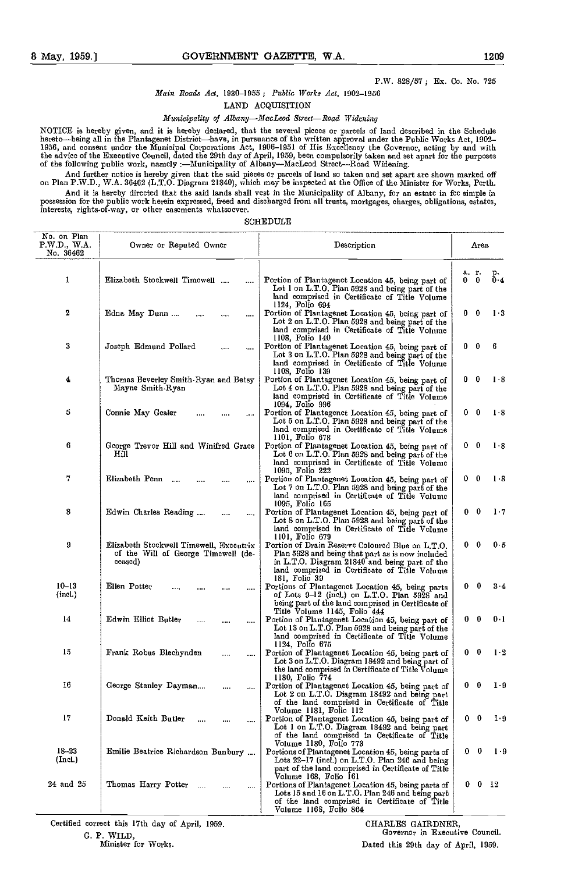## P.W. 828/57; Ex. Co. No. 725

# Main Roads Act, 1930-1955 ; Public lVorks Act, 1902-1956

LAND ACQUISITION

# Municipality of Albany-MacLeod Street-Road Widcning

NOTICE is hereby given, and itis hereby declared, that the several pieces or parcels of land described in the Schedule hereto—being all in the Plantagenet District—have, in pursuance of the written approval under the Public Works Act, 1902–<br>1956, and consent under the Municipal Corporations Act, 1906–1951 of His Excellency the Governor, ac the advice of the Executive council, datcd the 29th day of April, 1959, been compulsorily taken and set apart for the purposes of the following public work, namely -Municipality of Albany-MacLeod Street-Road Widening.

And further notice is hereby given that the said pieces or parcels of land so taken and set apart are shown marked off<br>on Plan P.W.D., W.A. 36462 (L.T.O. Diagranı 21840), which may be inspected at the Office of the Ministe And it is hereby directed that the said lands shall vest in the Municipality of Albany, for an estate in fee simple in

possession for the public work herein expressed, freed and discharged from all trusts, mortgages, charges, obligations, estates,<br>interests, rights-of-way, or other easements whatsoever.

| No. on Plan<br>PWD, WA<br>No. 36462 | Owner or Reputed Owner                                                                    | Description                                                                                                                                                                                                             | Area.                   |                |
|-------------------------------------|-------------------------------------------------------------------------------------------|-------------------------------------------------------------------------------------------------------------------------------------------------------------------------------------------------------------------------|-------------------------|----------------|
| 1                                   | Elizabeth Stockwell Timcwell<br>                                                          | Portion of Plantagenct Location 45, being part of<br>Lot I on L.T.O. Plan 5928 and being part of the<br>land comprised in Certificate of Title Volume                                                                   | a. r.<br>$\bf{0}$<br>0. | p.<br>Ō.4      |
| 2                                   | Edna May Dunn<br>.,.,                                                                     | 1124, Folio 694<br>Portion of Plantagenet Location 45, being part of<br>Lot 2 on L.T.O. Plan 5928 and being part of the<br>land comprised in Certificate of Title Volume<br>1108, Folio 140                             | $\mathbf{0}$<br>0       | $1-3$          |
| 3                                   | Joseph Edmund Pollard                                                                     | Portion of Plantagenet Location 45, being part of<br>Lot 3 on L.T.O. Plan 5928 and being part of the<br>land comprised in Certificate of Title Volume<br>1108, Folio 139                                                | - 0<br>0<br>6           |                |
| 4                                   | Thomas Beverley Smith-Ryan and Betsy<br>Mayne Smith-Ryan                                  | Portion of Plantagenet Location 45, being part of<br>Lot 4 on L.T.O. Plan 5928 and being part of the<br>land comprised in Certificate of Title Volume<br>1094, Folio 996                                                | $0\quad 0$              | $1 - 8$        |
| 5                                   | Connie May Gealer<br>$\cdots$                                                             | Portion of Plantagenct Location 45, being part of<br>Lot 5 on L.T.O. Plan 5928 and being part of the<br>land comprised in Certificate of Title Volume<br>1101, Folio 678                                                | 0<br>- 0                | $1-8$          |
| 6                                   | George Trevor Hill and Winifred Grace<br>Hill                                             | Portion of Plantagenet Location 45, being part of<br>Lot 6 on L.T.O. Plan 5928 and being part of the<br>land comprised in Certificate of Title Volume<br>1095, Folio 222                                                | - 0<br>0                | $1-8$          |
| 7                                   | Elizabeth Penn<br>$\cdots$                                                                | Portion of Plantagenet Location 45, being part of<br>Lot 7 on L.T.O. Plan 5928 and being part of the<br>land comprised in Certificate of Title Volume<br>1095, Folio 165                                                | $0\quad 0$              | $1-8$          |
| 8                                   | Edwin Charles Reading<br>$\cdots$                                                         | Portion of Plantagenet Location 45, being part of<br>Lot 8 on L.T.O. Plan 5928 and being part of the<br>land comprised in Certificate of Title Volume<br>1101, Folio 679                                                | 0<br>- 0                | $1 - 7$        |
| 9                                   | Elizabeth Stockwell Timewell, Exccutrix<br>of the Will of George Timewell (de-<br>ceased) | Portion of Drain Reserve Coloured Blue on L.T.O.<br>Plan 5928 and being that part as is now included<br>in L.T.O. Diagram 21840 and being part of the<br>land comprised in Certificate of Title Volume<br>181, Folio 39 | $0\quad 0$              | 0.5            |
| $10 - 13$<br>(incl.)                | Ellen Potter<br>,,,,                                                                      | Portions of Plantagenct Location 45, being parts<br>of Lots 9–12 (incl.) on L.T.O. Plan 5928 and<br>being part of the land comprised in Certificate of<br>Title Volume 1145, Folio 444                                  | $\mathbf{0}$<br>0       | $3-4$          |
| 14                                  | Edwin Elliot Butler<br>                                                                   | Portion of Plantagenet Location 45, being part of<br>Lot 13 on L.T.O. Plan 5928 and being part of the<br>land comprised in Certificate of Title Volume<br>1124, Folio 675                                               | $\bf{0}$<br>0           | $0 - 1$        |
| 15                                  | Frank Robus Blechynden<br><br>                                                            | Portion of Plantagenet Location 45, being part of<br>Lot 3 on L.T.O. Diagram 18492 and being part of<br>the land comprised in Certificate of Title Volume<br>1180, Folio 774                                            | $0\quad 0$              | 1 <sup>2</sup> |
| 16                                  | George Stanley Dayman<br><br>$\cdots$                                                     | Portion of Plantagenet Location 45, being part of<br>Lot 2 on L.T.O. Diagram 18492 and being part<br>of the land comprised in Certificate of Title<br>Volume 1181, Folio 112                                            | $0\quad 0$              | $1-9$          |
| 17                                  | Donald Keith Butler<br>,,,,                                                               | Portion of Plantagenet Location 45, being part of<br>Lot 1 on L.T.O. Diagram 18492 and being part<br>of the land comprised in Certificate of Title<br>Volume 1180, Folio 773                                            | $0\quad 0$              | I 9            |
| $18 - 23$<br>(Incl.)                | Emilie Beatrice Richardson Bunbury                                                        | Portions of Plantagenet Location 45, being parts of<br>Lots 22–17 (incl.) on L.T.O. Plan 246 and being<br>part of the land comprised in Certificate of Title<br>Volume 168, Folio 161                                   | 0<br>0                  | $1-9$          |
| 24 and 25                           | Thomas Harry Potter<br>$\cdots$<br>$\cdots$                                               | Portions of Plantagenet Location 45, being parts of<br>Lots 15 and 16 on L.T.O. Plan 246 and being part<br>of the land comprised in Certificate of Title<br>Volume 1168, Folio 864                                      | 0 <sub>12</sub><br>0    |                |

Certified correct this 17th day of April, 1959. The CHARLES GAIRDNER,

G. P. WILD, Governor in Executive Council.<br>
Minister for Works. The Council Council Council.<br>
Governor in Executive Council. Dated this 29th day of April, 1959.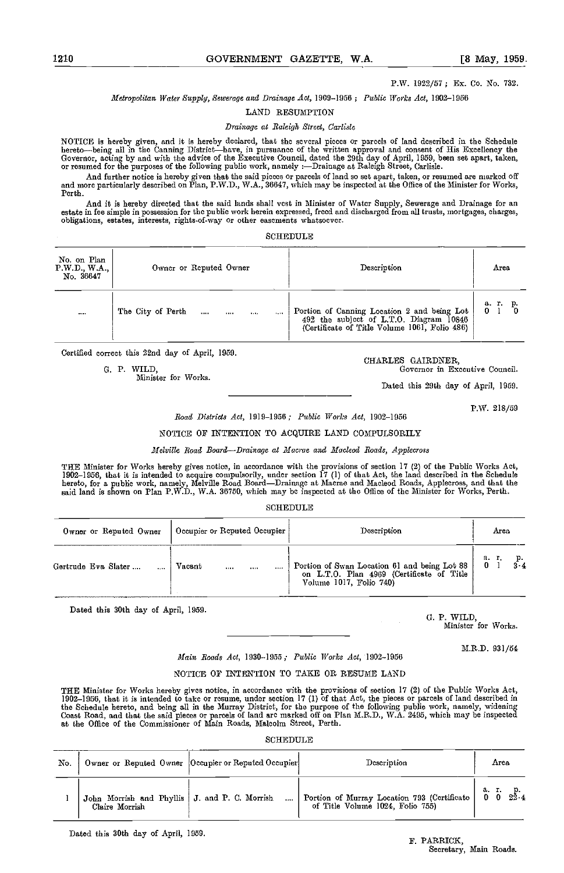P.W. 1922/57; Ex. Co. No. 732.

Metropolitan Water Supply, Sewerage and Drainage Act, 1909-1956; Public Works Act, 1902-1956

#### LAND RESUMPTION

Drainage at Raleigh Street, Carlisle

NOTICE is hereby given, and it is hereby declared, that the several pieces or parcels of land described in the Schedule<br>hereto—being all in the Canning District—have, in pursuance of the written approval and consent of His Governor, acting by and with the advice of the Executive Council, dated the 29th day of April, 1959, been set apart, taken,<br>or resumed for the purposes of the following public work, namely :—Drainage at Raleigh Street, Car

And further notice is hereby given that the said pieces or parcels of land so set apart, taken, or resumed are marked off and more particularly described on Plan, P.W.D., W.A., 36647, which may be inspected at the Office o Perth.

And it is hereby directed that the said lands shall vest in Minister of Water Supply, Sewerage and Drainage for an estate in fee simple in possession for the public work herein expressed, freed and discharged from all trusts, mortgages, charges, obligations, estates, interests, rights-of-way or other easements whatsoever.

| No. on Plan<br>P.W.D., W.A.,<br>No. 36647 | Owner or Reputed Owner                                         | Description                                                                                                                             | Агеа            |
|-------------------------------------------|----------------------------------------------------------------|-----------------------------------------------------------------------------------------------------------------------------------------|-----------------|
| 1.111                                     | The City of Perth<br>$\ddotsc$<br>$\cdots$<br>1.11<br>$\cdots$ | Portion of Canning Location 2 and being Lot<br>492 the subject of L.T.O. Diagram 10846<br>(Certificate of Title Volume 1061, Folio 486) | а т.<br>р.<br>0 |

Certified correct this 22nd day of April, 1959.<br>
G. P. WILD, Governor in Execution of April, 1959.<br>
CHARLES GAIRDNER, Governor in Execution of the Correct of the Correct of the Correct of the Correct of the Correct of the

Minister for Works,

Governor in Executive Council.

Dated this 20th day of April, 1959.

P.W. 218/59

Road Districts Act, 1019-1956; Public Works Act, 1902-1956

NOTICE OF INTENTION TO ACQUIRE LAND COMPULSORILY

Melville Road Board-Drainage at Macrae and Macleod Roads, Applecross

THE Minister for Works hereby gives notice, in accordance with the provisions of section 17 (2) of the Public Works Act,<br>1902–1956, that it is intended to acquire compulsorily, under section 17 (1) of that Act, the land de

SCHEDULE

| Owner or Reputed Owner | $\vert$ Occupier or Reputed Occupier | Description                                                                                                       | Агеа              |
|------------------------|--------------------------------------|-------------------------------------------------------------------------------------------------------------------|-------------------|
| Gertrude Eva Slater    | Vacant<br>$\cdots$<br>$\cdots$       | Portion of Swan Location 61 and being Lot 88 on L.T.O. Plan 4969 (Certificate of Title<br>Volume 1017, Folio 740) | а. г.<br>$\bf{0}$ |

Dated this 30th day of April, 1959. 0. P. WILD, 0. P. WILD, 0. P. WILD,

Minister for Works.

### M.R.D. 031/54

# Maim Roads Act, 1930-1955; Public Works Act, 1902-1956

# NOTICE OF INTENTION TO TAKE OR RESUME LAND

THE Minister for Works hereby gives notice, in accordance with the provisions of section 17 (2) of the Public Works Act,<br>1902–1956, that it is intended to take or resume, under section 17 (1) of that Act, the pieces or par the Schedule hereto, and being all in the Murray District, for the purpose of the following public work, namely, widening<br>Coast Road, and that the said pieces or parcels of land arc marked off on Plan M.R.D., W.A. 2495, wh at the Office of the Commissioner of Main Roads, Malcolm Street, Perth.

## **SCHEDULE**

| No. |                                                                   | Owner or Reputed Owner  Occupier or Reputed Occupier | Description                                                                     | Агеа                      |
|-----|-------------------------------------------------------------------|------------------------------------------------------|---------------------------------------------------------------------------------|---------------------------|
|     | John Morrish and Phyllis   J. and P. C. Morrish<br>Claire Morrish |                                                      | Portion of Murray Location 793 (Certificate<br>of Title Volume 1024, Folio 755) | а г<br>$2\bar{2}$ 4<br>00 |

Dated this 30th day of April, 1959.

# F. PARRICK, Secretary, Main Roads.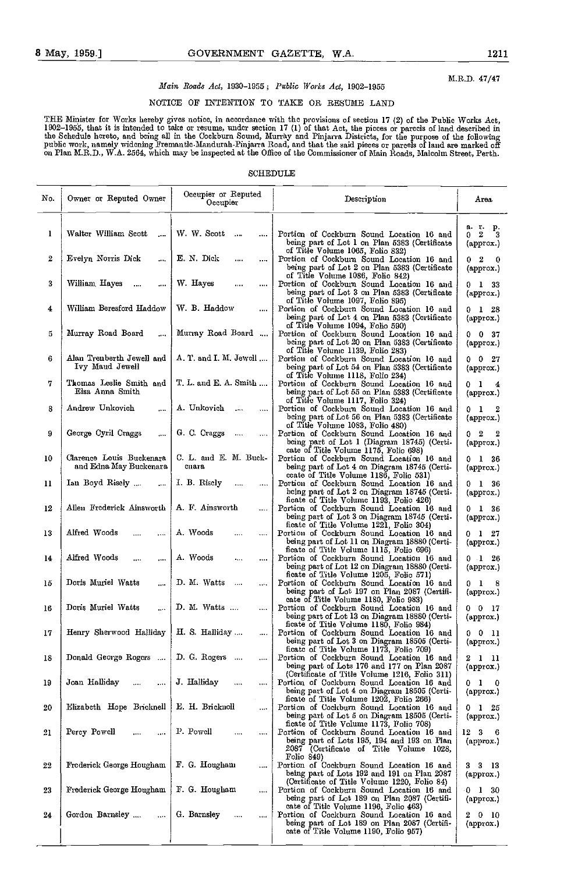M.R.D. 47/47

# Main Roads Act, 1030-1955; Public Works Act, 1902-1955

# NOTICE OF INTENTION TO TAKE OR RESUME LAND

THE Mmister for Works hereby gives notice, in accordance with the provisions of section 17 (2) of the Public Works Act, 1902–1955, that it is intended to take or resume, under section 17 (1) of that Act, the picces or parcels of land described in<br>the Schedule hereto, and being all in the Cockburn Sound, Murray and Pinjarra Districts, for th public work, namely widcning Fremantic Mandurah-Pinjarra Road, and that the said pieces or parcels of land are marked off<br>on Plan M.R.D., W.A. 2564, which may be inspected at the Office of the Commissioner of Main Roads, M

# SCHEDULE

| No. | Owner or Reputed Owner                             | Occupier or Reputed<br>Occupier      | Description                                                                                                                                                         | Агеа                                                                        |
|-----|----------------------------------------------------|--------------------------------------|---------------------------------------------------------------------------------------------------------------------------------------------------------------------|-----------------------------------------------------------------------------|
| ı   | Walter William Scott<br>$\cdots$                   | W. W. Scott<br>$\sim$<br>$\cdots$    | Portion of Cockburn Sound Location 16 and<br>being part of Lot 1 on Plan 5383 (Certificate                                                                          | a r<br>р.<br>$\boldsymbol{2}$<br>3<br>0<br>$\langle \text{approx.} \rangle$ |
| 2   | Evelyn Norris Dick<br>$\cdots$                     | E. N. Dick<br>$\cdots$<br>$\cdots$   | of Title Volume 1065, Folio 832)<br>Portion of Cockburn Sound Location 16 and<br>being part of Lot 2 on Plan 5383 (Certificate                                      | $0\quad 2$<br>- 0<br>(approx.)                                              |
| 3   | William, Hayes<br>$\sim$<br>                       | W. Hayes<br>$\cdots$<br>$\cdots$     | of Title Volume 1086, Folio 842)<br>Portion of Cockburn Sound Location 16 and<br>being part of Lot 3 on Plan 5383 (Certificate                                      | $0$ 1 33<br>(approx.)                                                       |
| 4   | William Beresford Haddow                           | W. B. Haddow                         | of Title Volume 1097, Folio 895)<br>Portion of Cockburn Sound Location 16 and<br>being part of Lot 4 on Plan 5383 (Certificate                                      | $0 \quad 1 \quad 28$<br>(approx.)                                           |
| 5   | Murray Road Board<br>$\cdots$                      | Murray Road Board                    | of Title Volume 1094, Folio 590)<br>Portion of Cockburn Sound Location 16 and<br>being part of Lot 20 on Plan 5383 (Certificate                                     | $0 \t0 \t37$<br>(approx.)                                                   |
| 6   | Alan Trenberth Jewell and<br>Ivy Maud Jewell       | A. T. and I. M. Jewell               | of Title Volume 1139, Folio 283)<br>Portion of Cockburn Sound Location 16 and<br>being part of Lot 54 on Plan 5383 (Certificate                                     | $0 \t 0 \t 27$<br>(approx.)                                                 |
| 7   | Thomas Leslie Smith and<br>Elsa Anna Smith         | T. L. and E. A. Smith                | of Title Volume 1118, Folio 234)<br>Portion of Cockburn Sound Location 16 and<br>being part of Lot 55 on Plan 5383 (Certificate                                     | 0 <sub>1</sub><br>$\frac{4}{3}$<br>(approx.)                                |
| 8   | Andrew Unkovich                                    | A. Unkovich                          | of Title Volume 1117, Folio 324)<br>Portion of Cockburn Sound Location 16 and<br>being part of Lot 56 on Plan 5383 (Certificate<br>of Title Volume 1083, Folio 480) | 01<br>$\overline{\mathbf{2}}$<br>(approx.)                                  |
| 9   | George Cyril Craggs<br>$\cdots$                    | G. C. Craggs<br>$\cdots$<br>$\cdots$ | Portion of Cockburn Sound Location 16 and<br>being part of Lot 1 (Diagram 18745) (Certi-<br>cate of Title Volume 1175, Folio 698)                                   | $0\quad 2$<br>- 2<br>(approx.)                                              |
| 10  | Clarence Louis Buckenara<br>and Edna May Buckenara | C. L. and E. M. Buck-<br>enara       | Portion of Cockburn Sound Location 16 and<br>being part of Lot 4 on Diagram 18745 (Certi-<br>ccate of Title Volume 1186, Folio 531)                                 | $0\quad 1\quad 36$<br>(approx.)                                             |
| 11  | Ian Boyd Risely<br>$\cdots$                        | I. B. Riselv<br>$\cdots$<br>$\cdots$ | Portion of Cockburn Sound Location 16 and<br>being part of Lot 2 on Diagram 18745 (Certi-<br>ficate of Title Volume 1193, Folio 426)                                | $0\quad 1\quad 36$<br>(approx.)                                             |
| 12  | Allen Frederick Ainsworth                          | A. F. Ainsworth                      | Portion of Cockburn Sound Location 16 and<br>being part of Lot 3 on Diagram 18745 (Certi-<br>ficate of Title Volume 1221, Folio 304)                                | $0\quad 1\quad 36$<br>(approx.)                                             |
| 13  | Alfred Woods<br>                                   | A. Woods<br>$\cdots$                 | Portion of Cockburn Sound Location 16 and<br>being part of Lot 11 on Diagram 18880 (Certi-<br>ficate of Title Volume 1115, Folio 696)                               | $0 \quad 1 \quad 27$<br>(approx.)                                           |
| 14  | Alfred Woods<br><br>$\cdots$                       | A. Woods<br>$\ldots$<br>$\cdots$     | Portion of Cockburn Sound Location 16 and<br>being part of Lot 12 on Diagram 18880 (Certi-<br>ficate of Title Volume 1205, Folio 571)                               | $0\quad 1\quad 26$<br>(approx.)                                             |
| 15  | Doris Muriel Watts<br>$\cdots$                     | D. M. Watts<br>$\cdots$<br>          | Portion of Cockburn Sound Location 16 and<br>being part of Lot 197 on Plan 2087 (Certifi-<br>cate of Title Volume 1180, Folio 983)                                  | 0 <sub>1</sub><br>- 8<br>(approx.)                                          |
| 16  | Doris Muriel Watts<br>$\cdots$                     | D. M. Watts<br>                      | Portion of Cockburn Sound Location 16 and<br>being part of Lot 13 on Diagram 18880 (Certi-<br>ficate of Title Volume 1180, Folio 984)                               | $0\quad 0\quad 17$<br>(approx.)                                             |
| 17  | Henry Sherwood Halliday                            | H. S. Halliday<br>$\cdots$           | Portion of Cockburn Sound Location 16 and<br>being part of Lot 3 on Diagram 18505 (Certi-<br>ficate of Title Volume 1173, Folio 709)                                | 0011<br>(approx.)                                                           |
| 18  | Donald George Rogers                               | D. G. Rogers                         | Portion of Cockburn Sound Location 16 and<br>being part of Lots 176 and 177 on Plan 2087<br>(Certificate of Title Volume 1216, Folio 311)                           | 2 1 11<br>(approx.)                                                         |
| 19  | Joan Halliday<br>                                  | J. Halliday<br><br>                  | Portion of Cockburn Sound Location 16 and<br>being part of Lot 4 on Diagram 18505 (Certi-<br>ficate of Title Volume 1202, Folio 266)                                | 0 <sub>1</sub><br>$\mathbf{0}$<br>(approx.)                                 |
| 20  | Elizabeth Hope Bricknell                           | E. H. Bricknoll                      | Portion of Cockburn Sound Location 16 and<br>being part of Lot 5 on Diagram 18505 (Certi-<br>ficate of Title Volume 1173, Folio 708)                                | $0$ 1 $25$<br>(approx.)                                                     |
| 21  | Percy Powell<br>.<br>$\cdots$                      | P. Powell<br>$\cdots$<br>$\cdots$    | Portion of Cockburn Sound Location 16 and<br>being part of Lots 195, 194 and 193 on Plan<br>2087 (Certificate of Title Volume 1028,<br>Folio $849$                  | 12 3<br>- 6<br>(approx.)                                                    |
| 22  | <b>Frederick George Hougham</b>                    | F. G. Hougham<br>$\cdots$            | Portion of Cockburn Sound Location 16 and<br>being part of Lots 192 and 191 on Plan 2087<br>(Certificate of Title Volume 1220, Folio 84)                            | 3313<br>(approx.)                                                           |
| 23  | Frederick George Hougham                           | F. G. Hougham<br>$\cdots$            | Portion of Cockburn Sound Location 16 and<br>being part of Lot 189 on Plan 2087 (Certifi-<br>cate of Title Volume 1196, Folio 463)                                  | 0 1 30<br>(approx.)                                                         |
| 24  | Gordon Barnsley<br>$\cdots$                        | G. Barnsley<br>$\cdots$<br>          | Portion of Cockburn Sound Location 16 and<br>being part of Lot 189 on Plan 2087 (Certifi-<br>cate of Title Volume 1190, Folio 957)                                  | $2\quad 0\quad 10$<br>(approx.)                                             |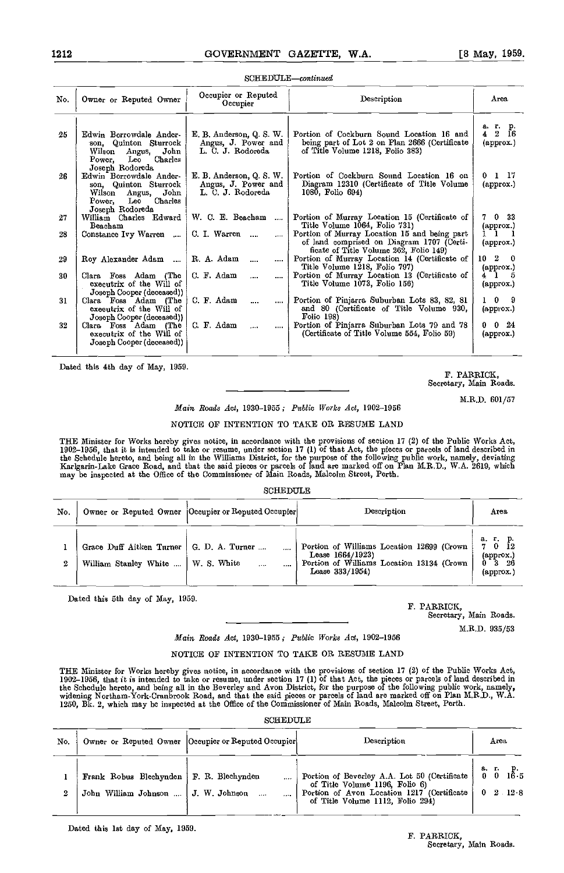# $SCHEDULE$ -continued

| No. | Owner or Reputed Owner                                                                                                   | Occupier or Reputed<br>Occupier                                      | Description                                                                                                                         | Area                                                      |
|-----|--------------------------------------------------------------------------------------------------------------------------|----------------------------------------------------------------------|-------------------------------------------------------------------------------------------------------------------------------------|-----------------------------------------------------------|
| 25  | Edwin Borrowdale Ander-<br>son, Quinton Sturrock<br>John<br>Wilson Angus,<br>Charles<br>Power.<br>Leo<br>Joseph Rodoreda | E. B. Anderson, Q. S. W.<br>Angus, J. Power and<br>L. C. J. Rodoreda | Portion of Cockburn Sound Location 16 and<br>being part of Lot 2 on Plan 2666 (Certificate<br>of Title Volume 1218, Folio 383)      | а г. р.<br>$4\quad 2\quad \bar{16}$<br>$(\text{approx.})$ |
| 26. | Edwin Borrowdale Ander-<br>son, Quinton Sturrock<br>Angus, John<br>Wilson<br>Leo<br>Charles<br>Power.<br>Joseph Rodoreda | E. B. Anderson, Q. S. W.<br>Angus, J. Power and<br>L. C. J. Rodoreda | Portion of Cockburn Sound Location 16 on<br>Diagram 12310 (Certificate of Title Volume<br>1080, Folio 694)                          | 0117<br>$(\text{approx})$                                 |
| 27  | William Charles Edward<br>Beacham                                                                                        | W. C. E. Beacham<br>$\cdots$                                         | Portion of Murray Location 15 (Certificate of<br>Title Volume 1064, Folio 731)                                                      | 7 0 33<br>(арргох.)                                       |
| 28  | Constance Ivy Warren    C. I. Warren                                                                                     | $\cdots$                                                             | Portion of Murray Location 15 and being part<br>of land comprised on Diagram 1707 (Certi-<br>ficate of Title Volume 262, Folio 149) | 11<br>(approx.)                                           |
| 29  | Roy Alexander Adam                                                                                                       | R. A. Adam<br>$\cdots$<br>$\cdots$                                   | Portion of Murray Location 14 (Certificate of<br>Title Volume 1218, Folio 797)                                                      | 10 <sub>2</sub><br>- 0<br>$\alpha$ (approx.)              |
| 30  | Clara Foss Adam (The<br>executrix of the Will of<br>Joseph Cooper (deceased))                                            | C. F. Adam<br>$\cdots$<br>$\cdots$                                   | Portion of Murray Location 13 (Certificate of<br>Title Volume 1073, Folio 156)                                                      | $4\quad1$<br>-5<br>$(\text{approx.})$                     |
| 31  | Clara Foss Adam (The<br>executrix of the Will of<br>Joseph Cooper (deceased))                                            | C. F. Adam<br>$\cdots$<br>$\cdots$                                   | Portion of Pinjarra Suburban Lots 83, 82, 81<br>and 80 (Certificate of Title Volume 930,<br>Folio 198)                              | $1 \quad 0$<br>- 9<br>(approx.)                           |
| 32  | Clara Foss Adam (The<br>executrix of the Will of<br>Joseph Cooper (deceased))                                            | C. F. Adam<br>$\cdots$<br>                                           | Portion of Pinjarra Suburban Lots 79 and 78<br>(Certificate of Title Volume 554, Folio 59)                                          | $0 \t 0 \t 24$<br>$\left($ approx. $\right)$              |

Dated this 4th day of May. 1959

# F. PARRICK, Secretary, Main Roads.

Main Roads Act, 1930-1955; Public Works Act, 1902-1956

# NOTICE OF INTENTION TO TAKE OR RESUME LAND

THE Minister for Works hereby gives notice, in accordance with the provisions of section 17 (2) of the Public Works Act, 1902–1956, that it is intended to take or resume, under section 17 (1) of that Act, the pieces or parcels of land described in<br>the Schedule hereto, and being all in the Williams District, for the purpose of the following p Karlgarin-Lake Grace Road, and that the said pieces or parcels of land are marked off on Plan M.R.D., W.A. 2619, which<br>may be inspected at the Office of the Commissioner of Main Roads, Malcolm Street, Perth.

SCHEDULE

| No. |                                                                                    | Owner or Reputed Owner [Occupier or Reputed Occupier] | Description                                                                                                                    | Агеа                                                                   |
|-----|------------------------------------------------------------------------------------|-------------------------------------------------------|--------------------------------------------------------------------------------------------------------------------------------|------------------------------------------------------------------------|
| 2   | Grace Duff Aitken Turner   G. D. A. Turner<br>William Stanley White    W. S. White | $\cdots$<br>$\cdots$                                  | Portion of Williams Location 12699 (Crown<br>Lease $1664/1923$<br>Portion of Williams Location 13134 (Crown<br>Lease 333/1954) | а. г. р.<br>Ī2<br>70<br>$\left($ approx. $\right)$<br>-26<br>(approx.) |

Dated this 5th day of May, 1959. F. PARRICK,

Secretary, Main Roads.

M.R.D. 035/53

Main Roads Act, 1930-1955; Public Works Act, 1902-1956

# NOTICE OF INTENTION TO TAKE OR RESUME LAND

THE Mmister for Works hereby gives notice, in nocordance with the provisions of section 17 (2) of the Public Works Act, 1902–1956, that it is intended to take or resume, under section 17 (1) of that Act, the pieces or parcels of land described in<br>the Schedule hereto, and being all in the Beverley and Avon District, for the purpose of the fo 1250, Bk. 2, which may be inspected at the Office of the Commissioner of Main Roads, Malcolm Street, Perth.

| No. |                                       | Owner or Reputed Owner   Occupier or Reputed Occupier | Description                                                                      | Агеа                      |
|-----|---------------------------------------|-------------------------------------------------------|----------------------------------------------------------------------------------|---------------------------|
|     | Frank Robus Blechynden                | F. R. Blechynden<br>                                  | Portion of Beverley A.A. Lot 50 (Certificate<br>of Title Volume 1196, Folio 6)   | 9. г.<br>$0 \t2 \t12 \t8$ |
| 2   | John William Johnson    J. W. Johnson |                                                       | Portion of Avon Location 1217 (Certificate )<br>of Title Volume 1112, Folio 294) |                           |

Dated this 1st day of May. 1959.

M.R.D. 601/57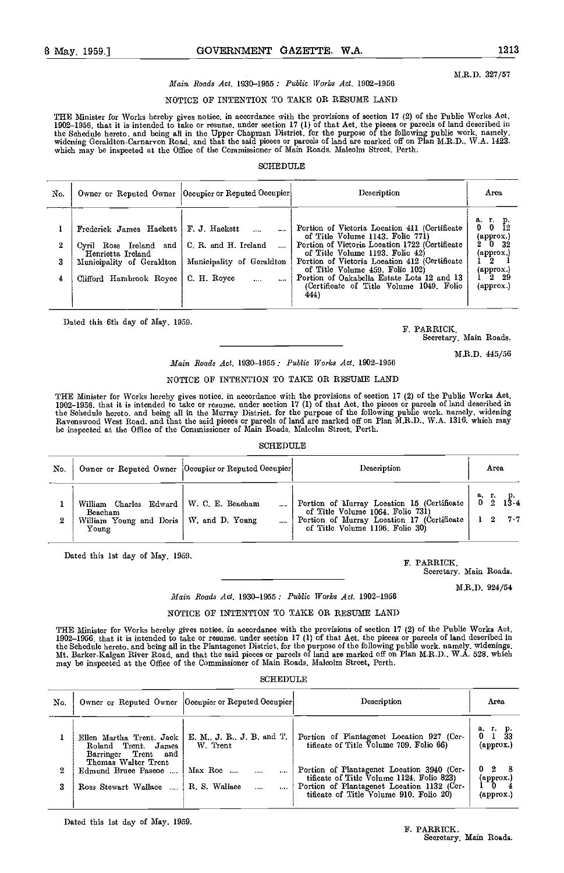M.R.D. 327/57

# Main Roads Act, 1930-1955; Public lVorks Act, 1902-1956

# NOTICE OF INTENTION TO TAKE OR RESUME LAND

THE Minister for Works hereby gives notice, in accordance with the provisions of section 17 (2) of the Public Works Act, 1902–1956, that it is intended to take or resume, under section 17 (1) of that Aet, the pieces or pareels of land described in<br>the Schedule hereto, and being all in the Upper Chapman District, for the purpose of the follow which may be inspected at the Office of the Commissioner of Main Roads. Malcolm Street, Perth.

# **SCHEDULE**

| No.         |                                                                                                                                | Owner or Reputed Owner   Oeeupier or Reputed Oeeupier                                                 | Description                                                                                                                                                                                                                                                                                                                                                  | Area                                                                                                                                                                          |
|-------------|--------------------------------------------------------------------------------------------------------------------------------|-------------------------------------------------------------------------------------------------------|--------------------------------------------------------------------------------------------------------------------------------------------------------------------------------------------------------------------------------------------------------------------------------------------------------------------------------------------------------------|-------------------------------------------------------------------------------------------------------------------------------------------------------------------------------|
| 2<br>3<br>4 | Frederick James Hackett<br>Cyril Ross Ireland and<br>Henrietta Ireland<br>Municipality of Geraldton<br>Clifford Hambrook Royee | F. J. Hackett<br>C. R. and H. Ireland<br>Municipality of Geraldton<br>C. H. Royee<br>$\cdots$<br>1.11 | Portion of Vietoria Location 411 (Certificate<br>of Title Volume 1143, Folio 771)<br>Portion of Victoria Location 1722 (Certificate<br>of Title Volume 1193, Folio 42)<br>Portion of Vietoria Location 412 (Certificate<br>of Title Volume 459, Folio 102)<br>Portion of Oakabella Estate Lots 12 and 13<br>(Certificate of Title Volume 1049, Folio<br>444) | аг. р.<br>$0\quad 0$<br>12<br>(approx.)<br>$2^{\circ}$ 0 $32^{\circ}$<br>$(\text{approx.})$<br>l 2<br>${\rm (approx.)}$<br>$1\,$ $2\,$ $29$<br>$\left( \text{approx.}\right)$ |

Dated this 6th day of May, 1959. F. PARRICK,

Secretary, Main Roads.

M.R.D. 445/56

# Main Roads Act, 1930-1955; Public Works Act, 1902-1956

# NOTICE OF INTENTION TO TAKE OR RESUME LAND

THE Ninister for Works hereby gives notice, in accordance with the provisions of section 17 (2) of the Public Works Act, 1902–1956, that it is intended to take or resume, under section 17 (1) of that Aet, the pieces or pareels of land deseribed in<br>the Schedule hereto, and being all in the Murray Distriet. for the purpose of the following pub be inspected at the Office of the Commissioner of Main Roads, Malcolm Street, Perth.

#### **SCHEDULE**

| No.                                                                                                        | Owner or Reputed Owner  Oeeupier or Reputed Oeeupier | Description                                                                                                                                                       | Агеа         |
|------------------------------------------------------------------------------------------------------------|------------------------------------------------------|-------------------------------------------------------------------------------------------------------------------------------------------------------------------|--------------|
| William Charles Edward   W. C. E. Beacham<br>Beacham<br>William Young and Doris   W. and D. Young<br>Young |                                                      | Portion of Murray Location 15 (Certificate<br>of Title Volume 1064, Folio 731)<br>Portion of Murray Location 17 (Certificate )<br>of Title Volume 1196, Folio 30) | а г.<br>-7.7 |

Dated this 1st day of May, 1959. F. PARRICK,

Secretary, Main Roads.

M.R.D. 924/54

# Main Roads Act, 1930-1955; PubLic IVorks Act, 1902-1956

NOTICE OF INTENTION TO TAKE OR RESUME LAND

THE Minister for Works hereby gives notice, in accordance with the provisions of section 17 (2) of the Public Works Act, 1902–1956, that it is intended to take or resume. under section 17 (1) of that Act, the pieces or parcels of land described in<br>the Sehedule hereto, and being all in the Plantagenet District, for the purpose of the followin may be inspected at the Office of the Commissioner of Main Roads, Malcolm Street, Perth.

# SCHEDULE

| No. |                                                                                        | Owner or Reputed Owner   Occupier or Reputed Occupier | <b>Deseription</b>                                                                                                                                                               | Area                                          |
|-----|----------------------------------------------------------------------------------------|-------------------------------------------------------|----------------------------------------------------------------------------------------------------------------------------------------------------------------------------------|-----------------------------------------------|
|     | Ellen Martha Trent. Jack  <br>Roland Trent. James<br>${\bf Trent}$<br>Barringer<br>and | E. M., J. R., J. B. and T.<br>W. Trent                | Portion of Plantagenet Location 927 (Cer-<br>tificate of Title Volume 709. Folio 66)                                                                                             | а.<br>г. р.<br>0.<br>33<br>$(\text{approx.})$ |
| 2   | Thomas Walter Trent<br>Edmund Bruee Paseoe<br>$\cdots$<br>Ross Stewart Wallace         | Max Roe<br><br>R. S. Wallace                          | Portion of Plantagenet Location 3940 (Cer-<br>tificate of Title Volume 1124, Folio 823)<br>Portion of Plantagenet Location 1132 (Cer-<br>tificate of Title Volume 910. Folio 20) | 0.<br>2<br>8<br>(approx.)<br>0<br>(арргох.)   |

Dated this 1st day of May, 1969.

F. PARRICK, Secretary, Main Roads.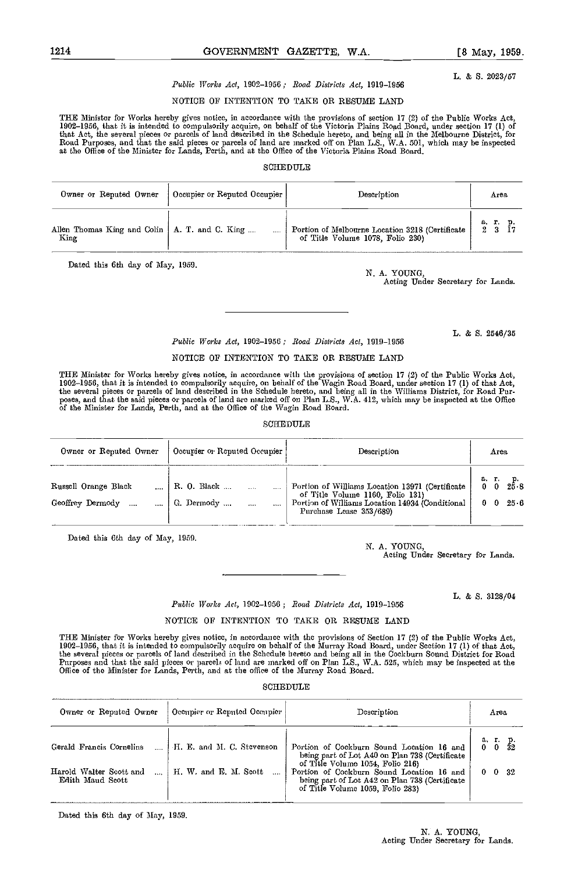L. & S. 2023/57

# Public lVorks Act, 1902-1956; Road Districts Act, 1919-1956

# NOTIOE OP INTENTION TO TAKE OR RESUME LAND

TUE Minister for Works hereby gives notice, in accordance with the provisions of section 17 (2) of the Public Works Act, 1902–1956, that it is intended to compulsorily acquire, on behalf of the Victoria Plains Road Board, under section 17 (1) of<br>that Act, the several pieces or parcels of land described in the Schedule hereto, and being all i Road Purposes, and that the said pieces or parcels of land are marked off on Plan L.S., W.A. 501, which may be inspected at the Office of the Minister for Lands, Perth, and at tho Office of the Victoria Plains Road Board.

# **SCHEDULE**

| Owner or Reputed Owner                          | Occupier or Reputed Occupier | Description                                     | Area     |  |
|-------------------------------------------------|------------------------------|-------------------------------------------------|----------|--|
| Allen Thomas King and Colin   A. T. and C. King | $\cdots$                     | Portion of Melbourne Location 3218 (Certificate | а. г. р. |  |
| King                                            |                              | of Title Volume 1078, Folio 230)                | 2, 3, 17 |  |

Dated this 6th day of May, 1959.

N. A. YOUNG,

Acting Under Secretary for Lands.

Public Works Act, 1902-1956 ; Road Districts Act, 1919-1956

#### NOTICE OP INTENTION TO TAKE OR RESUME LAND

THE Minister for Works hereby gives notice, in accordance with the provisions of section 17 (2) of the Public Works Act,<br>1902–1956, that it is intended to compulsorily acquire, on behalf of the Wagin Road Board, under sect the several pieces or parcels of land described in the Schedule hereto, and being all in the Williams District, for Road Pur-<br>poses, and that the said pieces or parcels of land are marked off on Plan L.S., W.A. 412, which of the Minister for Lands, Perth, and at the Office of the Wagin Road Board.

# SCHEDULE

| Owner or Reputed Owner                   | Occupier or Reputed Occupier                      | Description                                                                                                                                                       | Агеа                           |
|------------------------------------------|---------------------------------------------------|-------------------------------------------------------------------------------------------------------------------------------------------------------------------|--------------------------------|
| Russell Orange Black<br>Geoffrey Dermody | R. O. Black<br>$\cdots$<br>G. Dermody<br>$\cdots$ | Portion of Williams Location 13971 (Certificate<br>of Title Volume 1160, Folio 131)<br>Portion of Williams Location 14934 (Conditional<br>Purchase Lease 353/689) | $2\overline{5}\cdot 8$<br>25 6 |

Doted this 6th day of May, 1959.

N. A. YOUNG, Acting Under Secretary for Lands.

L. & S. 3128/04

## Public Works Act, 1902-1956; Road Districts Act, 1919-1956

# NOTICE OF INTENTION TO TAKE OR RESUME LAND

THE Minister for Works hereby gives notice, in accordance with the provisions of Section 17 (2) of the Public Works Act, 1902–1956, that it is intended to compulsorily acquire on behalf of the Murray Road Board, under Scction 17 (1) of that Act,<br>the several pieces or parcels of land described in the Schedule hereto and being all in the Cockb Purposes and that the said pieces or parcels of land are marked off on Plan LS., WA. 525, which may be inspected at the Office of the Minister for Lands, Perth, and at the office of the Murray Road Board.

#### SCHEDULE

| Owner or Reputed Owner                      | Occupier or Reputed Occupier | Description                                                                                                                                                         | Агеа               |
|---------------------------------------------|------------------------------|---------------------------------------------------------------------------------------------------------------------------------------------------------------------|--------------------|
| Gerald Francis Cornelius                    | H. E. and M. C. Stevenson    | Portion of Cockburn Sound Location 16 and<br>being part of Lot A40 on Plan 738 (Certificate                                                                         | a, r. p.<br>0 0 32 |
| Harold Walter Scott and<br>Edith Maud Scott | H. W. and E. M. Scott        | of Title Volume 1054, Folio 216)<br>Portion of Cockburn Sound Location 16 and<br>being part of Lot A42 on Plan 738 (Certificate<br>of Title Volume 1059, Folio 283) | $0 \t 0 \t 32$     |

Dated this 6th day of May, 1959.

N. A. YOUNG, Acting Under Secretary for Lands.

L. & S. 2546/35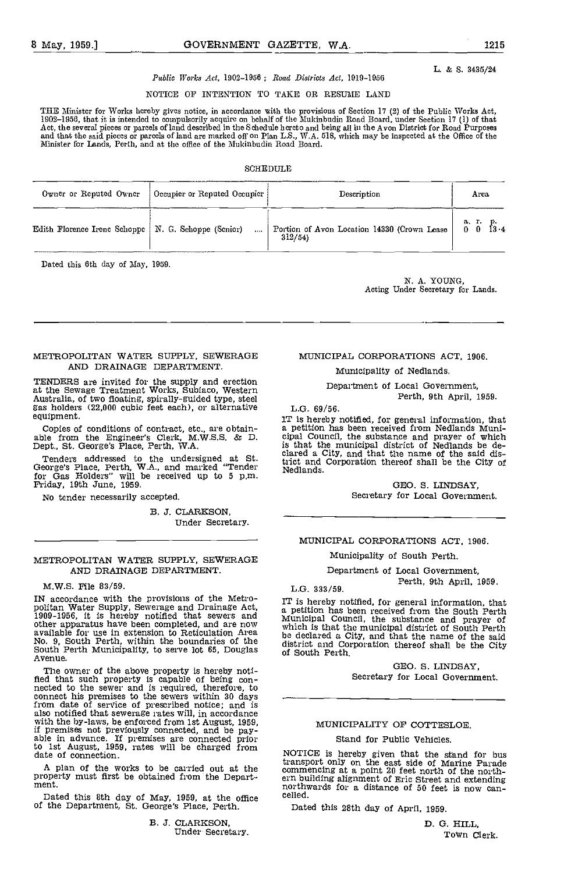# L. & S. 3435/24

# Public Works Act, 1902-1956; Road Districts Act, 1919-1956

NOTICE OF iNTENTION TO TAKE OR RESUME LAND

THE Minister for Works hereby gives notice, in accordance with the provisions of Section 17 (2) of the Public Works Act,<br>1902–1956, that it is intended to compulsorily acquire on behalf of the Mukinbudin Road Board, under Act, the several pieces or parcels of land described in the Schedule hcrcto and being all in the Avon District for Road Purposes<br>and that the said pieces or parcels of land are marked off on Plan L.S., W.A. 518, which may

# SCHEDULE

| Owner or Reputed Owner                                | Cocupier or Reputed Occupier | Description                                           | Area                 |
|-------------------------------------------------------|------------------------------|-------------------------------------------------------|----------------------|
| Edith Florence Irenc Schoppe   N. G. Schoppe (Senior) | $\cdots$                     | Portion of Avon Location 14330 (Crown Lease<br>312/54 | a. r. p.<br>0 0 13 4 |

Dated this 6th day of May, 1959.

N. A. YOUNG,<br>Acting Under Secretary for Lands.

# METROPOLITAN WATER SUPPLY, SEWERAGE AND DRAINAGE DEPARTMENT.

TENDERS are invited for the supply and erection at the Sewage Treatment Works, Subiaco, Western Australia, of two floating, spirally-guided type, steel gas holders (22,000 cubic feet each), or alternative gas holders (22,000 cubic feet each), or alternative equipment.

Tenders addressed to the undersigned at St. George's Place, Perth, W.A., and marked "Tender for Gas Holders" will be received up to 5 p.m. N.<br>Friday, 19th June, 1959.

No tender necessarily accepted.

B. J. CLARKSON, Under Secretary.

# METROPOLITAN WATER SUPPLY, SEWERAGE AND DRAINAGE DEPARTMENT.

#### M.W.S. File 83/59.

M.W.S. File 83/59.<br>
IN accordance with the provisions of the Metro-<br>
politan Water Supply, Sewerage and Drainage Act,<br>
1909-1956, it is hereby notified that sewers and<br>
Municipal Council, the substance and prayer of other apparatus have been completed, and are now which is the available for use in extension to Reticulation Area<br>No. 9, South Perth, within the boundaries of the South Perth Municipality, to serve lot 65, Douglas of So<br>Avenue.

The owner of the above property is hereby noti-<br>fied that such property is capable of being con-<br>nected to the sewer and is required, therefore, to<br>connect his premises to the sewers within 30 days<br>from date of service of to 1st August, 1959, rates will be charged from date of connection.

Dated this 8th day of May, 1959, at the office of the Department, St. George's Place, Perth,

B. J. GLARKSON, Under Secretary.

# MUNICIPAL CORPORATIONS ACT, 1906.

Municipality of Nedlands.

Department of Local Government, Perth, 9th April, 1959.

#### L.G. 69/56.

equipment. IT is hereby notified, for general information, that<br>Copies of conditions of contract, etc., are obtain-<br>able from the Engineer's Clerk, M.W.S.S. & D. cipal Council, the substance and prayer of which<br>Dept., St. iT is hereby notified, for general information, that a petition has been received from Nedlands Muni- cipal Council, the substanoe and prayer of which is that the municipal district of Nedlands be de- clared a City, and that the name of the said district and Corporation thereof shall be the City of Nedlands.

> GEO. S. LINDSAY, Secretary for Local Government.

#### MUNICIPAL CORPORATIONS ACT, 1906.

Municipality of South Perth.

Department of Local Government, Perth, 9th April, 1959.

Municipal Council, the substance and prayer of<br>which is that the municipal district of South Perth<br>be declared a City, and that the name of the said district and Corporation thereof shall be the City of South Perth.

> GEO. S. LINDSAY, Secretary for Local Government.

# MUNICIPALITY OF COTTESLOE.

## Stand for Public Vehicles.

A plan of the works to be carried out at the commencing at a point 20 feet north of the north-<br>property must first be obtained from the Depart-<br>ment.<br>northwards for a distance of 50 feet is now can-NOTICE is hereby given that the stand for bus transport only on the east side of Marine Parade commencing at a point 20 feet north of the north- ern building alignment of Eric Street and extending northwards for a distance of 50 feet is now cancelled.

Dated this 28th day of April, 1959.

B. 0. HILL Town Clerk.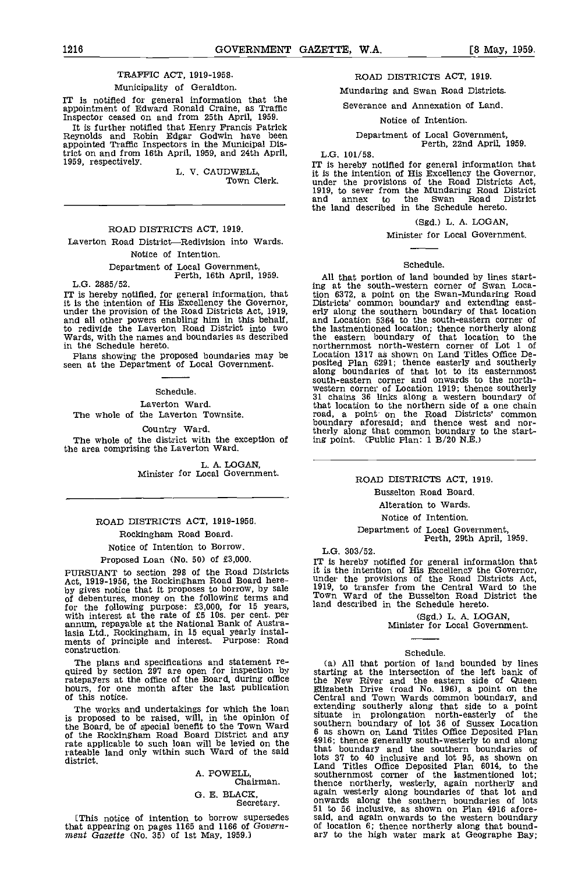# TRAFFIC ACT, 1919-1958.

# Municipality of Geraldton.

IT is notified for general information that the appointment of Edward Ronald Craine, as Traffic Inspector ceased on and from 25th April, 1959.

It is further notified that henry Francis Patrick Reynolds and Robin Edgar Godwin have been appointed Traffic Inspectors in the Municipal District on and from 16th April, 1959, and 24th AprIl, 1959, respectively.

> L. V. CAUDWELL, Town Clerk.

## ROAD DISTRICTS ACT, 1919.

Laverton Road District-Redivision into Wards. Notice of Intention.

# Department of Local Government. Perth, 16th April, 1959. L.G. 2885/52.

IT is hereby notified, for general information, that it is the intention of His Excellency the Governor, unistrict under the provision of the Road Districts Act, 1919, and Lot and all other powers enabling him in this behalf, and Lot redivide the Laverton Road District into to redivide the Laverton Road District into two<br>Wards, with the names and boundaries as described in the Schedule hereto.

Plans showing the proposed boundaries may be seen at the Department of Local Government.

# Schedule.

Laverton Ward.

The whole of the Laverton Townsite.

Country Ward.

The whole of the district with the exception of in the area comprising the Laverton Ward.

L. A. LOGAN,<br>Minister for Local Government.

# ROAD DISTRICTS ACT, 1919-1956. Rockingham Road Board.

Notice of Intention to Borrow.

# Proposed Loan (No. 50) of £3,000.

PURSUANT to section 298 of the Road Districts Act, 1919-1956, the Rockingham Road Board here-<br>by gives notice that it proposes to borrow, by sale  $\frac{1919}{1919}$ , of debentures, money on the following terms and  $\frac{10000}{1000}$ for the following purpose: £3,000, for 15 years, with interest at the rate of £5 los. per cent, per annum, repayable at the National Bank of Australasia Ltd., Rockingham, in 15 equal yearly instal- ments of principle and interest. Purpose: Road construction.

The plans and specifications and statement re-<br>quired by section 297 are open for inspection by<br>ratepayers at the office of the Board, during office hours, for one month after the last publication of this notice.

The works and undertakings for which the loan is proposed to be raised, will, in the opinion of the Board, be of special benefit to the Town Ward souther of the Rockingham Road Board District and any  $\frac{6}{4}$  as so rate applicable to such loan will be levied on the  $\frac{4916}{\text{tho}^2}$ rateable land only within such Ward of the said that i district.

> A. POWELL Chairman.

G. E. BLACK,<br>Secretary.

that appearing on pages 1165 and 1166 of Govern-<br>ment Gazette (No. 35) of 1st May, 1959.) ary to the high water mark at Geographe Bay;

# ROAD DISTRICTS ACT, 1919.

Mundaring and Swan Road Districts.

# Severance and Annexation of Land.

Notice of Intention.

Department of Local Government, Perth, 22nd April, 1959.

L.G. 101/58.

IT is hereby notified for general information that it is the intention of His Excellency the Governor, under the provisions of the Road Districts Act, 1919, to sever from the Mundaring Road District and annex to the Swan Road District the land described in the Schedule hereto.

#### (Sgd.) L. A. LOGAN,

Minister for Local Government.

#### Schedule.

All that portion of land bounded by lines start-ing at the south-western corner of Swan Location 6372, a point on the Swan-Mundaring Road Districts' common boundary and extending east- erly along the southern boundary of that location and Location 5364 to the south-eastern corner of the lastmentioned location; thence northerly along the eastern boundary of that location to the northernmost north-western corner of Lot 1 of Location 1317 as shown on Land Titles Office De-posited Plan 6291; thence easterly and southerly along boundaries of that lot to its easternmost south-eastern corner and onwards to the northwestern corner of Location 1919; thence southerly 31 chains 36 links along a western boundary of that location to the northern side of a one chain road, a point on the Road Districts' common boundary aforesaid; and thence west and northerly along that common boundary to the starting point. (Public Plan: 1 B/20 N.E.)

# ROAD DISTRICTS ACT, 1919.

Busselton Road Board. Alteration to Wards.

Notice of Intention.

Department of Local Government, Perth, 29th April, 1959.

L.G. 303/52.

IT is hereby notified for general information that it is the intention of His Excellency the Governor, under the provisions of the Road Districts Act, 1919, to transfer from the Central Ward to the Town Ward of the Busselton Road District the land described in the Schedule hereto.

(Sgd.) L. A. LOGAN, Minister for Local Government.

# Schedule.

[This notice of intention to borrow supersedes said, and again onwards to the western boundary at appearing on pages 1165 and 1166 of Govern- of location 6; thence northerly along that bound-(a) All that portion of land bounded by lines starting at the intersection of the left bank of the New River and the eastern side of Queen Elizabeth Drive (road No. 196), a point on the Central and Town Wards common boundary, and extending southerly along that side to a point situate in prolongation north-easterly of the southern boundary of lot 36 of Sussex Location 8 as shown on Land Titles office Deposited Plan 4916; thence generally south-westerly to and along that boundary and the southern boundaries of lots 37 to 40 inclusive and lot 95, as shown on Land Titles Office Deposited Plan 6014, to the southernmost corner of the lastmentioned lot; thence northerly, westerly, again northerly and again westerly along boundaries of that lot and<br>onwards along the southern boundaries of lots<br>51 to 56 inclusive, as shown on Plan 4916 afore-<br>said, and again onwards to the western boundary<br>of location 6; thence northerly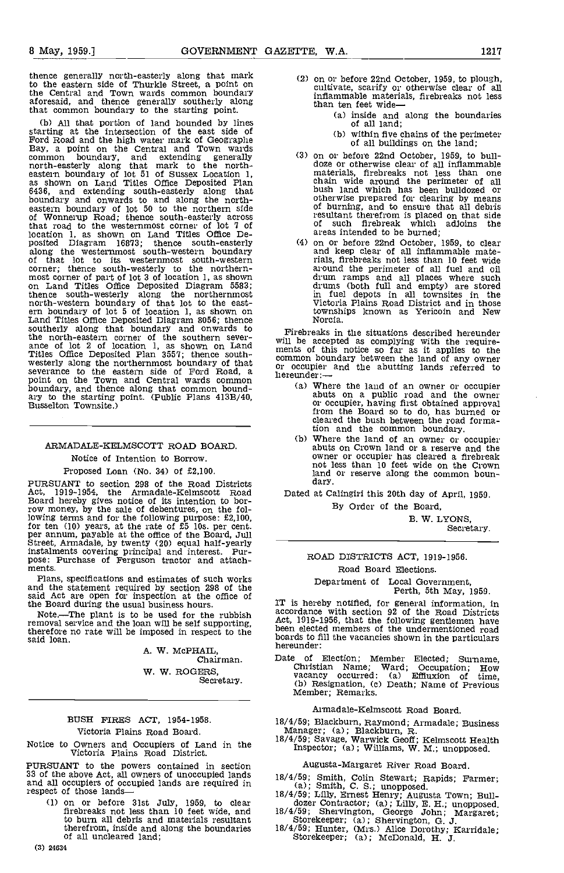thence generally north-easterly along that mark to the eastern side of Thurkle Street, a point on the Central and Town wards common boundary aforesaid, and thence generally southerly along that common boundary to the starting point.

(b) All that portion of land bounded by lines starting at the intersection of the east side of Ford Road and the high water mark of Geographe Bay, a point on the Central and Town wards common boundary, and extending generally north-easterly along that mark to the north-<br>eastern boundary of lot 51 of Sussex Location 1, as shown on Land Titles Office Deposited Plan 6436, and extending south-easterly along that boundary and onwards to and along the north- eastern boundary of lot 50 to the northern side of Wonnerup Road; thence south-easterly across that road to the westernmost corner of lot 7 of location 1, as shown on Land Titles Office De- posited Diagram 16873; thence south-easterly along the westernmost south-western boundary of that lot to its westernmost south-western<br>corner; thence south-westerly to the northern-<br>most corner of part of lot 3 of location 1, as shown<br>on Land Titles Office Deposited Diagram 5583; thence south-westerly along the northernmost<br>north-western boundary of that lot to the east-<br>ern boundary of lot 5 of location 1, as shown on<br>Land Titles Office Deposited Diagram 8056; thence Land Titles Office Deposited Diagram 8056; thence southerly along that boundary and onwards to the north-eastern corner of the southern severance of lot 2 of location 1, as shown on Land ments Titles Office Deposited Plan 3557; thence south-<br>westerly along the northernmost boundary of that severance to the eastern side of Ford Road, a point on the Town and Central wards common boundary, and thence along that common bound- ary to the starting point. (Public Plans 4l3B/40, Busselton Townsite.)

# ARMADALE-KELMSCOTT ROAD BOARD.

# Notice of Intention to Borrow.

Proposed Loan (No. 34) of £2,100.

PURSUANT to section 298 of the Road Districts<br>Act. 1919-1954, the Armadale-Kelmscott Road Act, 1919-1954, the Armadale-Kelmscott Road Board hereby gives notice of its intention to borrow money, by the sale of debentures, on the following terms and for the following purpose: £2,100,<br>for ten  $(10)$  years, at the rate of £5 10s. per cent.<br>per annum, payable at the office of the Board, Jull<br>Street, Armadale, by twenty  $(20)$  equal half-yearly<br>instalmen

Plans, specifications and estimates of such works<br>and the statement required by section 298 of the<br>said Act are open for inspection at the office of

the Board during the usual business hours. NoteThe plant is to be used for the rubbish Note.—The plant is to be used for the rubbish removal service and the loan will be self supporting, therefore no rate will be imposed in respect to the said loan.

> A. W. McPHAIL, Chairman. W. W. ROGERS, Secretary.

# BUSH FIRES ACT, 1954-1958.

# Victoria Plains Road Board.

Notice to Owners and Occupiers of Land in the Victoria Plains Road District.

PURSUANT to the powers contained in section 33 of the above Act, all owners of unoccupied lands and all occupiers of occupied lands are required in respect of those lands—

(1) on or before 31st July, 1959, to clear firebreaks not less than 10 feet wide, and to burn all debris and materials resultant therefrom, inside and along the boundaries of all uncleared land;

(2) on or before 22nd October, 1959, to plough, cultivate, scarify or otherwise clear of all inflammable materials, firebreaks not less<br>than ten feet wide—

- than ten feet wide—<br>(a) inside and along the boundaries<br>of all land;
- (b) within five chains of the perimeter<br>of all buildings on the land;<br>(3) on or before 22nd October, 1959, to bull-
- (3) on or before 22nd October, 1959, to bull- doze or otherwise clear of all inflammable materials, firebreaks not less than one chain wide around the perimeter of all bush land which has been bulldozed or otherwise prepared for clearing by means of burning, and to ensure that all debris resultant therefrom is placed on that side of such firebreak which adjoins the areas intended to be burned;
- (4) on or before 22nd October, 1959, to clear and keep clear of all inflammable materials, firebreaks not less than 10 feet wide around the perimeter of all fuel and oil drum ramps and all places where such drums (both full and empty) are stored in fuel depots in all tewnsites in the Victoria Plains Road District and in those townships known as Yericoin and New Norcia.

Firebreaks in the situations described hereunder will be accepted as complying with the require-<br>ments of this notice so far as it applies to the common boundary between the land of any owner or occupier and the abutting lands referred to hereunder:—

- Where the land of an owner or occupier abuts on a public road and the owner or occupier, having first obtained approval from the Board so to do, has burned or cleared the bush between the road formation and the common boundary.
- Where the land of an owner or occupier abuts on Crown land or a reserve and the owner or occupier has cleared a firebreak not less than 10 feet wide on the Crown land or reserve along the common boun-<br>dary.

Dated at Calingiri this 20th day of April, 1950.

By Order of the Board, B. W. LYONS,

Secretary.

# ROAD DISTRICTS ACT, 1919-1956.

Road Board Elections.

Department of Local Government, Perth, 5th May, 1959.

IT is hereby notified, for general information, in accordance with section 92 of the Road Districts Act, 1919-1956, that the following gentlemen have been elected members of the undermentioned road boards to fill the vacancies shown in the particulars hereunder:

Date of Election; Member Elected; Surname, Christian Name; Ward; Occupation; How vacancy occurred: (a) Effiuxion of time, (b) Resignation, (c) Death; Name of Previous Member; Remarks.

# Armadale-Kelmscott Road Board.

18/4/59; Blackburn, Raymond; Armadale; Business<br>- Manager; (a); Blackburn, R.<br>18/4/59; Savage, Warwick Geoff; Kelmscott Health

Inspector; (a); Williams, W. M.; unopposed.

#### Augusta-Margaret River Road Board.

- 
- 18/4/59; Smith, Colin Stewart; Rapids; Farmer;<br>
(a); Smith, C. S.; unopposed.<br>
18/4/59; Lilly, Ernest Henry; Augusta Town; Bull-<br>
dozer Contractor; (a); Lilly, E. H.; unopposed.<br>
18/4/59; Shervington, George John; Margaret
- 
-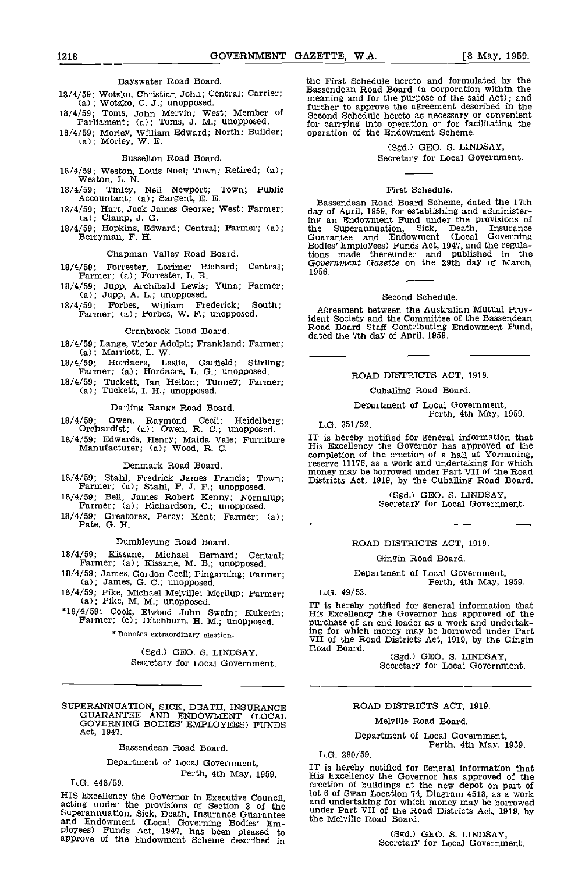# Bayswater Road Board.

- 
- 18/4/59; Morley, William Edward; North; Builder; (a); Morley, W. E.

# Busselton Road Board.

- 18/4/59; Weston, Louis Noel; Town; Retired; (a); Weston, L. N.
- 18/4/59; Tinley, Neil Newport; Town; Public<br>Accountant; (a); Sargent, E. E.
- 18/4/59; Hart, Jack James George; West; Farmer; (a); Clamp, J. G.
- 18/4/59; Hopkins, Edward; Central; Farmer; (a); Berryman, F. H.

# Chapman Valley Road Board.

18/4/59; Forrester, Lorimer Richard; Central; Farmer; (a) ; Forrester, L. R.

- 18/4/59; Jupp, Archibald Lewis; Yuna; Farmer; (a); Jupp, A. L.; unopposed.
- 18/4/59; Forbes, William Frederick; South; Farmer; (a); Forbes, W. F.; unopposed.

# Cranbrook Road Board.

- 18/4/59; Lange, Victor Adolph; Frankland; Farmer; (a); Marriott, L. W.
- 18/4/59; Hordacre, Leslie, Garfield; Stirling;<br>Farmer; (a); Hordacre, L. G.; unopposed.
- 18/4/59; Tuckett, Ian Helton; Tunney; Farmer; (a); Tuckett, I. H.; unopposed.

## Darling Range Road Board.

- 18/4/59; Owen, Raymond Cecil; Heidelberg;  $L.G. 351/52$ .<br>
Orchardist; (a); Owen, R. C.; unopposed.<br>
18/4/59; Edwards Henry; Maids Vale; Eurniture IT is hereby notified for general information that
- 18/4/59; Edwards, Henry; Maida Vale; Furniture Manufacturer; (a); Wood, R. C.

## Denmark Road Board.

- 
- 18/4/59; Bell, James Robert Kenny; Nornalup; Farmer; (a); Richardson, C.; unopposed.
- 18/4/59; Greatorex, Percy; Rent; Farmer; (a); Pate, G. H.

## Dumbleyung Road Board.

18/4/59; Kissane, Michael Bernard; Central; Farmer; (a); Kissane, M B.; unopposed.

- 
- 18/4/59; James, Gordon Cecil; Pingarning; Farmer; (a); James, G. C.; unopposed.<br>18/4/59; Pike, Michael Melville; Merilup; Farmer; (a); Pike, M. M.; unopposed.
	-

# \* Denotes extraordinary election.

(Sgd,) GEO. S. LINDSAY, Secretary for Local Government.

SUPERANNUATION, SICK, DEATH, INSURANCE GUARANTEE AND ENDOWMENT (LOCAL GOVERNING BODIES' EMPLOYEES) FUNDS Act, 1947.

#### Bassendean Road Board.

# Department of Local Government, Perth, 4th May, 1959.

L.G. 448/59.

HIS Excellency the Governor in Executive Council,  $10000$  and under studies under the provisions of Section 3 of the under Superannuation, Sick, Death, Insurance Guarantee the Me and Endowment (Local Governing Bodies' Emp

18/4/59; Wotzko, Christian John; Central; Carrier; Fassendean Road Board (a corporation within the meaning and for the purpose of the said Act); and further to approve the agreement described in the 18/4/59; Toms, John Mer the First Schedule hereto and formulated by the Bassendean Road Board (a corporation within the meaning and for the purpose of the said Act); and for carrying into operation or for facilitating the operation of the Endowment Scheme.

# (Sgd.) GEO. S. LINDSAY, Secretary for Local Government.

# First Schedule.

Bassendean Road Board Scheme, dated the 17th day of April, 1959, for establishing and administer-ing an Endowment Fund under the provisions of the Superannuation, Sick, Death, Insurance Guarantee and Endowment (Local Governing Bodies' Employees) Funds Act, 1947, and the regulations made thereunder and published in the Government Gazette on the 29th day of March, 1956.

# Second Schedule.

Agreement between the Australian Mutual Provident Society and the Committee of the Bassendean Road Board Staff Contributing Endowment Fund dated the 7th day of April, 1959.

# ROAD DISTRICTS ACT, 1919.

Cuballing Road Board.

# Department of Local Government, Perth, 4th May, 1959.

L.G. 351/52.

18/4/59; Stahl, Fredrick James Francis; Town; money may be borrowed under Part VII of the Road<br>Farmer; (a); Stahl, F. J. F.; unopposed. IT is hereby notified for general information that His Excellency the Governor has approved of the completion of the erection of a hall at Yornaning, reserve 11176, as a work and undertaking for which

(Sgd.) GEO. S. LINDSAY, Secretary for Local Government.

# ROAD DISTRICTS ACT, 1919.

#### Gingin Road Board.

# Department of Local Government, Perth, 4th May, 1959.

 $L.G. 49/53.$ 

18/4/59; Cook, Elwood John Swain; Kukerin; Farmer; Cook, Elwood John Swain; Kukerin; Farmer; (c); Ditchburn, H. M.; unopposed. Farmer; (c); Ditchburn, H. M.; unopposed. purchase of an end loader as a work and undertak-His Excellency the Governor has approved of the ing for which money may be borrowed under Part VII of the Road Districts Act, 1919, by the Gingin Road Board.

Secretary for Local Government.

# ROAD DISTRICTS ACT, 1919.

# Melville Road Board.

Department of Local Government, Perth, 4th May, 1959.

L.G. 280/59.

IT is hereby notified for general information that His Excellency the Governor has approved of the erection of buildings at the new depot on part of lot 6 of Swan Location 74, Diagram 4518, as a work and undertaking for which money may be borrowed under Part VII of the Road Districts Act, 1919, by the Melville Road Board.

(Sgd.) GEO. S. LINDSAY, Secretary for Local Government.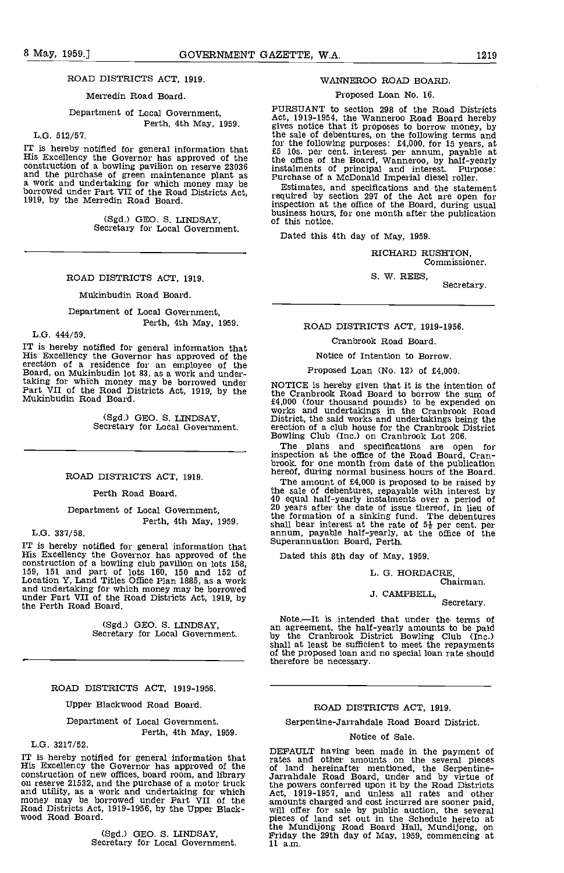# ROAD DISTRICTS ACT, 1919.

# Merredin Road Board.

# Department of Local Government, Perth, 4th May, 1959.

# L.G. 512/57.

IT is hereby notified for general information that  $\begin{array}{cc} 10 & 11 \\ 25 & 10 \\ 16 & 0 \end{array}$ <br>His Excellency the Governor has approved of the  $\begin{array}{cc} 16 & 16 \\ 16 & 0 \end{array}$ <br>construction of a bowling pavilion on reserve 23036 inst and the purchase of green maintenance plant as a work and undertaking for which money may be borrowed under Part VII of the Road Districts Act, 1919, by the Merredin Road Board.

(Sgd.) GEO. S. LINDSAY, Secretary for Local Government.

# ROAD DISTRICTS ACT, 1919.

Mukinbudin Road Board.

Department of Local Government, Perth, 4th May, 1959.

L.G. 444/59.

IT is hereby notified for general information that His Excellency the Governor has approved of the erection of a residence for an employee of the erection of a residence for an employee of the Board, on Mukinbudin lot 83, as a work and under-<br>taking for which money may be borrowed under<br>Part VII of the Road Districts Act, 1919, by the<br>Mukinbudin Road Board.

(Sgd.) GEO. S. LINDSAY, Secretary for Local Government.

## ROAD DISTRICTS ACT, 1919.

Perth Road Board.

Department of Local Government, Perth, 4th May, 1959.

L.G. 337/58.

IT is hereby notified for general information that bupe<br>His Excellency the Governor has approved of the Da construction of a bowling club pavilion on lots 158, 159, 151 and part of lots 160, 150 and 152 of Location Y, Land Titles Office Plan 1885, as a work and undertaking for which money may be borrowed under Part VII of the Road Districts Act, 1919, by the Perth Road Board.

(Sgd.) GEO. S. LINDSAY, Secretary for Local Government.

# ROAD DISTRICTS ACT, 1919-1956.

Upper Blackwood Road Board.

Department of Local Government.

# Perth, 4th May, 1959.

L.G. 3217/52.

IT is hereby notified for general information that  $\frac{1}{16}$  rates His Excellency the Governor has approved of the  $\frac{1}{16}$ construction of new offices, board room, and library Jarra on reserve 21532, and the purchase of a motor truck and utility, as a work and undertaking for which money may be borrowed under Part VII of the Road Districts Act, 1919-1956, by the Upper Black- wood Road Board.

(Sgd,) GEO. S. LINDSAY, Secretary for Local Government.

# WANNEROO ROAD BOARD.

# Proposed Loan No. 16.

PURSUANT to section 298 of the Road Districts Act, 1919-1954, the Wanneroo Road Board hereby gives notice that it proposes to borrow money, by the sale of debentures, on the following terms and for the following purposes: £4,000, for 15 years, at £5 los, per cent. interest per annum, payable at the office of the Board, Wanneroo, by half-yearly instalments of principal and interest. Purpose: Purchase of a McDonald Imperial diesel roller.

Estimates, and specifications and the statement required by section 297 of the Act are open for inspection at the office of the Board, during usual business hours, for one month after the publication of this notice.

Dated this 4th day of May, 1959.

RICHARD RUSHTON, Commissioner.

S. W. REES,

Secretary.

# ROAD DISTRICTS ACT, 1919-1956.

## Cranbrook Road Board.

Notice of Intention to Borrow.

# Proposed Loan (No. 12) of £4,000.

NOTICE is hereby given that it is the intention of the Cranbrook Road Board to borrow the sum of<br>f4,000 (four thousand pounds) to be expended on<br>works and undertakings in the Cranbrook Road<br>District, the said works and undertakings being the erection of a club house for the Cranbrook District Bowling Club (Inc.) on Cranbrook Lot 206.

The plans and specifications are open for inspection at the office of the Road Board, Cran- brook, for one month from date of the publication hereof, during normal business hours of the Board.

The amount of £4,000 is proposed to be raised by the sale of debentures, repayable with interest by 40 equal half-yearly instalments over a period of 20 years after the date of issue thereof, in lieu of the formation of a sinking fund. The debentures shall bear interest at the rate of  $5\frac{1}{2}$  per cent. per annum, payable half-yearly, at the office of the Superannuation Board, Perth.

Dated this 8th day of May, 1959.

L. G. HORDACRE,

Chairman.

# .1. CAMPBELL, Secretary.

Note.—It is intended that under the terms of an agreement, the half-yearly amounts to be paid by the Cranbrook District Bowling Club (Inc.) shall at least be sufficient to meet the repayments of the proposed loan and no special loan rate should of the proposed loan and no special loan rate should<br>therefore be necessary.

### ROAD DISTRICTS ACT, 1919.

# Serpentine-Jarrandale Road Board District.

#### Notice of Sale.

DEFAULT having been made in the payment of rates and other amounts on the several pieces of land hereinafter mentioned, the Serpentine- Jarrandale Road Board under and by virtue of the powers conferred upon it by the Road Districts<br>Act, 1919-1957, and unless all rates and other<br>amounts charged and cost incurred are sooner paid,<br>will offer for sale by public auction, the several<br>pieces of land set out the Mundijong Road Board Hall, Mundijong, on Friday the 29th day of May, 1959, commencing at 11 a.m.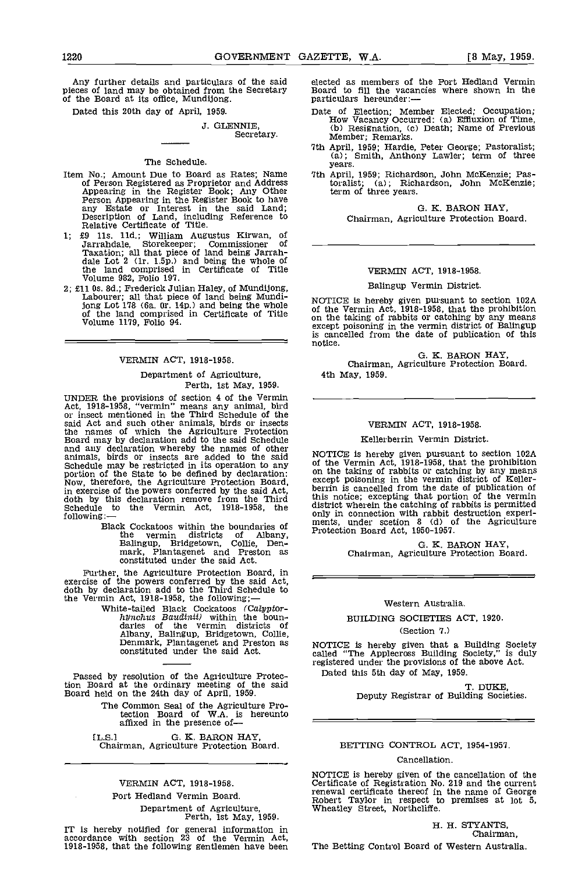Any further details and particulars of the said pieces of land may be obtained from the Secretary Board to fill the vaca-<br>of the Board at its office, Mundijong. particulars hereunder:

Dated this 20th day of April, 1959.

# J. GLENNIE, Secretary.

# The Schedule.

- Item No.; Amount Due to Board as Rates; Name<br>of Person Registered as Proprietor and Address<br>Appearing in the Register Book; Any Other<br>Person Appearing in the Register Book to have<br>any Estate or Interest in the said Land;<br>D
- £9 Us. lid.; William Augustus Kirwan, of Jarrandale, Storekeeper; Commissioner of Taxation; all that piece of land being Jarrah- dale Lot 2 (ir. 1.5p.) and being the whole of the land comprised in Certificate of Title Volume 982, Folio 197.
- £11 Os. 3d.; Frederick Julian Haley, of Mundijong, Labourer; all that piece of land being Mundijong Lot 178 (6a. 0r. 14p.) and being the whole  $\begin{array}{cc} N\text{U1} \\ \text{of} \\ \text{of} \end{array}$  of the land comprised in Certificate of Title  $\begin{array}{cc} N\text{U1} \\ \text{on} \\ \text{or} \\ \text{or} \end{array}$

# VERMIN ACT, 1918-1958.

# Department of Agriculture, Perth, 1st May, 1959.

UNDER the provisions of section 4 of the Vermin Act, 1918-1958, "vermin" means any animal, bird or insect mentioned in the Third Schedule of the said Act and such other animals, birds or insects<br>the names of which the Agriculture Protection<br>Board may by declaration add to the said Schedule<br>and any declaration whereby the names of other<br>animals, birds or insects are Schedule they be resulted in the State to be defined by declaration:<br>Now, therefore, the Agriculture Protection Board,<br>in exercise of the powers conferred by the said Act,<br>doth by this declaration remove from the Third<br>Sch

> Black Cockatoos within the boundaries of the vermin districts of Albany, P1<br>Balingup, Bridgetown, Collie, Denmark, Plantagenet and Preston as constituted under the said Act.

Further, the Agriculture Protection Board, in exercise of the powers conferred by the said Act,<br>doth by declaration add to the Third Schedule to<br>the Vermin Act, 1918-1958, the following;—

White-tailed Black Cockatoos (Calyptorhynchus Baudinii) within the boundaries of the vermin districts of Albany, Balingup, Bridgetown, Collie, Denmark, Plantagenet and Preston as constituted under the said Act.

Passed by resolution of the Agriculture Protection Board at the ordinary meeting of the said Board held on the 24th day of Aprfl, 1959.

> The Common Seal of the Agriculture Pro- tection Board of W.A. is hereunto affixed in the presence of-

[L.S.l G. K. BARON HAY, Chairman, Agriculture Protection Board.

# VERMIN ACT, 1918-1958.

## Fort Hedland Vermin Board.

Department of Agriculture, Perth, 1st May, 1959.

IT is hereby notified for general information in accordance with section 23 of the Vermin Act,<br>1918-1958, that the following gentlemen have been The I

elected as members of the Port Hedland Vermin Board to fill the vacancies where shown in the

- Date of Election; Member Elected; Occupation; How Vacancy Occurred: (a) Effiuxion of Time. (b) Resignation, (c) Death; Name of Previous Member; Remarks.
- 7th April, 1959; Hardie, Peter George; Pastoralist; (a); Smith, Anthony Lawler; term of three years.
- 7th April, 1959; Richardson, John McKenzie; Pas-(a); Richardson, John McKenzie; toralist; (a); Rich<br>term of three years.

0. K. BARON HAY,

# Chairman, Agriculture Protection Board.

# VERMIN ACT, 1918-1958.

# Balingup Vermin District.

NOTICE is hereby given pursuant to section 102A of the Vermin Act, 1918-1958, that the prohibition on the taking of rabbits or catching by any means except poisoning in the vermin district of Balingup except poisoning in the vermin district of Ballingup<br>is cancelled from the date of publication of this<br>notice.

G. K. BARON HAY,<br>Chairman, Agriculture Protection Board. 4th May, 1959.

#### VERMIN ACT, 1918-1958.

#### Kellerberrin Vermin District.

NOTICE is hereby given pursuant to section 102A of the Vermin Act, 1918-1958, that the prohibition on the taking of rabbits or catching by any means except poisoning in the vermin district of Keller- berrin is cancelled from the date of publication of this notice; excepting that portion of the vermin district wherein the catching of rabbits is permitted only in connection with rabbit destruction experi- ments, under scetion 8 (d) of the Agriculture Protection Board Act, 1950-1957.

0. K. BARON HAY, Chairman, Agriculture Protection Board.

# Western Australia.

# BUILDING SOCIETIES ACT, 1920.

### (Section 7.)

NOTICE is hereby given that a Building Society called "The Applecross Building Society," is duly registered under the provisions of the above Act. Dated this 5th day of May, 1959.

T. DUKE,

Deputy Registrar of Building Societies,

# BETTING CONTROL ACT, 1954-1957.

#### Cancellation.

NOTICE is hereby given of the cancellation of the Certificate of Registration No. 219 and the current renewal certificate thereof in the name of George Robert Taylor in respect to premises at lot 5, Wheatley Street, Northc

#### H. H. STYANTS, Chairman,

The Betting Control Board of Western Australia.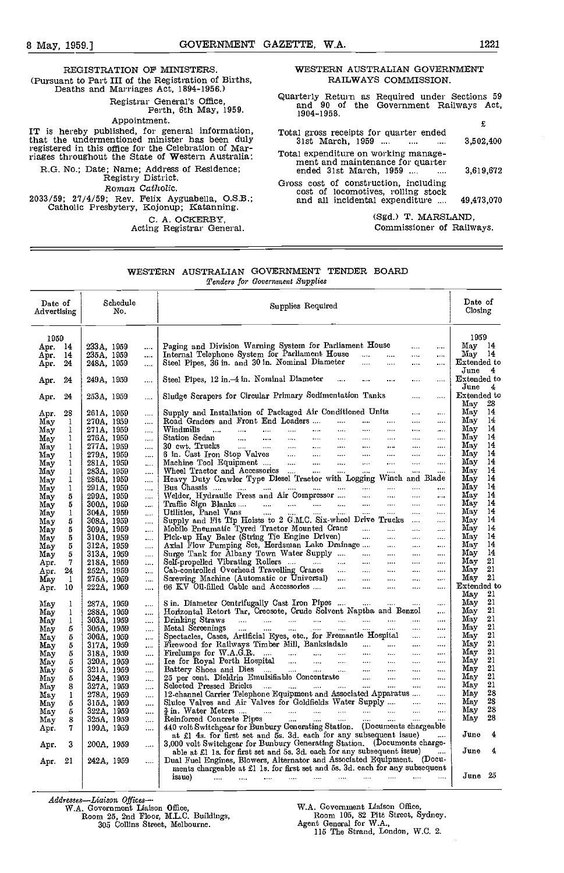REGISTRATION OF MINISTERS. (Pursuant to Part III of the Registration of Births, Deaths and Marriages Act, 1894-1956.) Registrar General's Office, Perth, 6th May, 1959. Appointment.<br>IT is hereby published, for general information, IT is hereby published, for general information,  $Total$  that the undermentioned minister has been duly  $3!$ registered in this office for the Celebration of Mar- riages throughout the State of Western Australia: R.G. No.; Date; Name; Address of Residence; Registry District. Roman Catholic. 2033/59; 27/4/59; Rev. Felix Ayguabella, O.S.B.; Catholic Presbytery, Kojonup; Katanning. C. A. OCKERBY, Acting Registrar General.

# WESTERN AUSTRALIAN GOVERNMENT RAILWAYS COMMISSION.

Quarterly Return as Required under Sections 59 and 90 of the Government Railways Act, 1904-1958.

|                                                                                                               | £          |  |
|---------------------------------------------------------------------------------------------------------------|------------|--|
| Total gross receipts for quarter ended<br>31st March, 1959<br>$\sim$ 100 $\sim$                               | 3,502,400  |  |
| Total expenditure on working manage-<br>ment and maintenance for quarter<br>ended 31st March, 1959            | 3.619.672  |  |
| Gross cost of construction, including<br>cost of locomotives, rolling stock<br>and all incidental expenditure | 49.473.070 |  |
| (Sgd.) T. MARSLAND.                                                                                           |            |  |

# Commissioner of Railways.

# WESTERN AUSTRALIAN GOVERNMENT TENDER BOARD Tenders for Government Supplies

| Date of<br>Advertising | Schedule<br>No.                        | Supplies Required                                                                                                 | Date of<br>Closing       |
|------------------------|----------------------------------------|-------------------------------------------------------------------------------------------------------------------|--------------------------|
| 1959<br>Apr 14         | 233A, 1959<br>$\cdots$                 | Paging and Division Warning System for Parliament House<br>$\cdots$<br>$\cdots$                                   | 1959<br>May 14           |
| Apr.<br>14             | 235A, 1959<br>                         | Internal Telephone System for Parliament House<br>المنتبر<br>$\mathcal{L}_{\text{max}}$ .<br>$\cdots$<br>$\cdots$ | $\text{May}$ 14          |
| 24<br>Apr.             | 248A, 1959<br>                         | Steel Pipes, 36 in. and 30 in. Nominal Diameter<br>$\cdots$<br>$\cdots$<br>$\cdots$                               | Extended to              |
| 24<br>Apr.             | 249A, 1959<br>.                        | Steel Pipes, 12 in 4 in. Nominal Diameter<br>$\cdots$<br>$\cdots$<br>$\cdots$                                     | June 4<br>Extended to    |
|                        |                                        | Sludge Scrapers for Circular Primary Sedimentation Tanks<br>$\cdots$<br>$\cdots$                                  | June<br>4<br>Extended to |
| Apr.<br>24             | 253A, 1959<br>$\ldots$                 |                                                                                                                   | May<br>28                |
| Apr.<br>28             | 261A, 1959<br>$\ldots$                 | Supply and Installation of Packaged Air Conditioned Units<br>$\cdots$<br>$\cdots$                                 | 14<br>May                |
| May<br>1               | 270A, 1959<br>$\cdots$                 | Road Graders and Front End Loaders<br>$\ldots$<br>$\ldots$                                                        | May<br>14<br>May<br>14   |
| May<br>1               | 271A, 1959<br>                         | Windmills<br><b>Continued State</b><br>$\cdots$<br>$\cdots$                                                       | 14                       |
| May<br>1               | 276A, 1959<br>$\ddotsc$                | Station Sedan<br>$\cdots$<br>$\cdots$<br>$\cdots$                                                                 | Mav                      |
| May<br>1               | 277A, 1959<br>$\cdots$                 | 30 cwt. Trucks<br>$\sim 100$ km s $^{-1}$<br>$\sim 10^{-10}$ and $\sim 10^{-10}$<br>$\cdots$<br>$\cdots$          | 14<br>Mav<br>14          |
| May<br>1               | 279A, 1959<br>$\cdots$                 | 6 in. Cast Iron Stop Valves<br>$\cdots$<br>$\cdots$<br>$\cdots$                                                   | May                      |
| May<br>1               | 281A, 1959<br>$\cdots$                 | Machine Tool Equipment<br>Wheel Tractor and Accessories<br>$\cdots$<br>$\cdots$<br>$\cdots$                       | 14<br>May                |
| May<br>1               | 283A, 1959<br>$\cdots$                 | $\ddotsc$<br>$\cdots$<br>$\cdots$                                                                                 | May<br>14                |
| May<br>1               | 286A, 1959<br>$\cdots$                 | Heavy Duty Crawler Type Diesel Tractor with Logging Winch and Blade                                               | May<br>14                |
| May<br>1               | 291A, 1959<br>$\cdots$                 | $\cdots$<br>$\cdots$                                                                                              | May<br>14                |
| May<br>5               | 299A, 1959<br>$\ddotsc$                | Welder, Hydraulic Press and Air Compressor<br>$\cdots$                                                            | May<br>14                |
| May<br>5               | 300A, 1959<br>$\overline{\phantom{a}}$ | Traffic Sign Blanks<br>$\sim$<br>$\dots$<br>$\ldots$                                                              | Мау<br>14                |
| May<br>1               | 304A, 1959<br>$\sim$                   | $\Delta$ and $\Delta$                                                                                             | 14<br>May                |
| May<br>5               | 308A, 1959<br>$\cdots$                 | $\ddotsc$                                                                                                         | May<br>14                |
| May<br>5               | 309A, 1959<br>$\cdots$                 | Mobile Pneumatic Tyred Tractor Mounted Crane<br><b>Sales Control</b><br>$\cdots$<br>$\cdots$                      | May<br>14                |
| May<br>5               | 310A, 1959<br>$\cdots$                 | Pick-up Hay Baler (String Tie Engine Driven)<br>$\cdots$<br>$\cdots$<br>$\cdots$                                  | Mav<br>-14               |
| May<br>5               | 312A, 1959<br>$\cdots$                 | Axial Flow Pumping Sct, Herdsman Lake Drainage<br>$\cdots$<br>$\cdots$<br>$\cdots$                                | May<br>-14               |
| 5<br>May               | 313A, 1959<br>.                        | Surge Tank for Albany Town Water Supply<br>$\cdots$<br><b>Save College</b><br>$\cdots$                            | -14<br>May               |
| 7<br>Apr.              | 218A, 1959<br>$\cdots$                 | $\cdots$ .<br>$\cdots$<br>$\cdots$                                                                                | 21<br>Мау                |
| 24<br>Apr.             | 252A, 1959<br>                         | Cab-controlled Overhead Travelling Cranes<br>المتبدا<br>$\ldots$ .<br>$\cdots$<br>$\cdots$                        | 21<br>Мау                |
| May<br>1               | 275A, 1959<br>                         | Screwing Machine (Automatic or Universal)<br>$\sim$<br>$\ldots$ .<br>$\ldots$                                     | $\text{May}$ 21          |
| Apr.<br>10             | 222A, 1959<br>                         | 66 KV Oil-filled Cable and Accessories<br>$\sim$<br>$\ldots$ .<br>$\sim$                                          | Extended to              |
|                        |                                        |                                                                                                                   | Маγ<br>21                |
| May<br>1               | 287A, 1959<br>                         | $\ldots$                                                                                                          | Ma y<br>21               |
| May<br>1               | 288A, 1959<br>                         | Horizontal Retort Tar, Creosote, Crude Solvent Naptha and Benzol<br>$\cdots$                                      | 21<br>May                |
| May<br>1               | 303A, 1959<br>                         | $\cdots$<br>$\cdots$                                                                                              | $^{21}$<br>May           |
| May<br>5               | 305A, 1959<br>$\cdots$                 | $\sim$ $\sim$<br>$\cdots$<br>$\cdots$                                                                             | 21<br>May                |
| May<br>5               | 306A, 1959<br>$\cdots$                 | Spectacles, Cases, Artificial Eyes, etc., for Fremantle Hospital<br>$\cdots$                                      | 21<br>May                |
| 5<br>May               | 317A, 1959<br>$\cdots$                 | Firewood for Railways Timber Mill, Banksiadale  -<br>$\sim$<br>$\cdots$                                           | $^{21}$<br>May           |
| 5<br>May               | 318A, 1959<br>$\cdots$                 | Fredumps for W.A.G.R.<br>$\sim$                                                                                   | $^{21}$<br>May           |
| 5<br>May               | 320A, 1959<br>$\cdots$                 | $\sim$                                                                                                            | $^{21}$<br>May           |
| May<br>5               | 321A, 1959<br>                         | $\ldots$                                                                                                          | 21<br>May                |
| 5<br>May               | 324A, 1959<br>$\cdots$                 | $\cdots$                                                                                                          | 21<br>May                |
| May<br>8               | 327A, 1959<br>                         | $\cdots$                                                                                                          | 21<br>Мау                |
| May<br>1               | 278A, 1959<br>$\cdots$                 | 12-channel Carrier Telephone Equipment and Associated Apparatus<br>$\cdots$                                       | 28<br>May                |
| May<br>5               | 315A, 1959<br>                         | Sluice Valves and Air Valves for Goldfields Water Supply<br>$\cdots$                                              | 28<br>May                |
| 5<br>May               | 322A, 1959<br>                         |                                                                                                                   | 28<br>May                |
| 8<br>May               | 325A, 1959<br>                         |                                                                                                                   | 28<br>May                |
| 7<br>Apr.              | 199A, 1959<br>                         | 440 volt Switchgear for Bunbury Generating Station. (Documents chargeable)                                        |                          |
|                        |                                        | at £1 4s. for first set and 5s. 3d. each for any subsequent issue)                                                | June<br>4                |
| 3<br>Apr.              | 200A, 1959<br>$\ldots$                 | 3,000 volt Switchgear for Bunbury Generating Station. (Documents charge-                                          |                          |
|                        |                                        | able at £1 1s, for first set and 5s, 3d, each for any subsequent issue) $\ldots$                                  | June<br>4                |
| 21<br>Apr              | 242A, 1959<br>.                        | Dual Fuel Engines, Blowers, Alternator and Associated Equipment. (Docu-                                           |                          |
|                        |                                        | ments chargeable at £1 1s. for first set and 5s. 3d. each for any subsequent                                      |                          |
|                        |                                        | للمنادي المنتقل المنتقل المتقدر المنتقل المتقدر المنتقل المنتقل المنتقل المنتقل<br>issue)                         | June 25                  |
|                        |                                        |                                                                                                                   |                          |

Addresses-Liaison Offices-<br>W.A. Government Liaison Office,<br>Room 25, 2nd Floor, M.L.C. Buildings,

305 Collins Street, Melbourne.

WA. Government Liaison Office, Room 105, 82 Pitt Street, Sydney. Agent General for W.A., 115 The Strand, London, W.C. 2.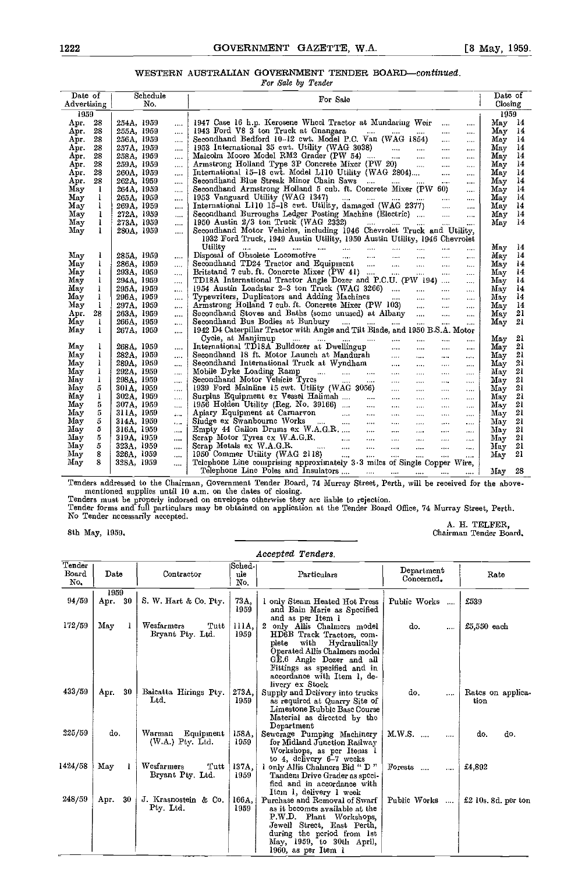# WESTERN AUSTRALIAN GOVERNMENT TENDER BOARD-continued.

|                          |                          | For Sale by Tender                                                                                                                                                                                                                                       |                       |
|--------------------------|--------------------------|----------------------------------------------------------------------------------------------------------------------------------------------------------------------------------------------------------------------------------------------------------|-----------------------|
| Date of                  | Schedule                 | For Sale                                                                                                                                                                                                                                                 | Date of               |
| $\mathtt{Adverting}\mid$ | No.                      |                                                                                                                                                                                                                                                          | Closing               |
| 1959                     |                          |                                                                                                                                                                                                                                                          | 1959                  |
| - 28<br>Арг.             | 254A, 1959<br>$\cdots$   | 1947 Case 16 h.p. Kerosene Wheel Tractor at Mundaring Weir<br>$\cdots$<br>$\cdots$                                                                                                                                                                       | May 14                |
| 28                       | 255A, 1959               | 1943 Ford V8 3 ton Truck at Gnangara                                                                                                                                                                                                                     | $\text{Mav}$ 14       |
| Apr.                     | $\cdots$                 | $\cdots$                                                                                                                                                                                                                                                 |                       |
| 28                       | 256A, 1959               | Secondhand Bedford 10-12 cwt. Model P.C. Van (WAG 1854)                                                                                                                                                                                                  | May 14                |
| Apr.                     | $\cdots$                 | $\cdots$                                                                                                                                                                                                                                                 |                       |
| 28                       | 257A, 1959               | 1953 International 35 cwt. Utility (WAG 3038)                                                                                                                                                                                                            | - 14                  |
| Арг.                     |                          | $\cdots$                                                                                                                                                                                                                                                 | May                   |
| 28<br>Арг.               | <br>258A, 1959           | Malcolm Moore Model RM2 Grader (PW 54)                                                                                                                                                                                                                   | May 14                |
| 28                       | $\cdots$                 | $\cdots$                                                                                                                                                                                                                                                 | May                   |
| Арг.                     | 259A, 1959               | Armstrong Holland Type 3P Concrete Mixer (PW 20)                                                                                                                                                                                                         | - 14                  |
| 28                       | $\cdots$<br>260A, 1959   | $\cdots$                                                                                                                                                                                                                                                 | $\frac{14}{2}$<br>May |
| Apr.                     | $\ldots$                 | International 15-18 cwt. Model L110 Utility (WAG 2804)  Secondhand Blue Streak Minor Chain Saws<br>$\cdots$                                                                                                                                              |                       |
| Apr.<br>28               | 262A, 1959<br>           | $\cdots$                                                                                                                                                                                                                                                 | $M_{\text{av}}$ 14    |
| May                      | 264A, 1959               | Secondhand Armstrong Holland 5 cub. ft. Concrete Mixer (PW 60)                                                                                                                                                                                           | May                   |
| 1                        | $\overline{\phantom{a}}$ | $\cdots$                                                                                                                                                                                                                                                 | - 14                  |
| May                      | 265A, 1959               |                                                                                                                                                                                                                                                          | May 14                |
| 1                        | $\cdots$                 | $\ddotsc$                                                                                                                                                                                                                                                |                       |
| May                      | 269A, 1959               | $\cdots$                                                                                                                                                                                                                                                 | May                   |
| 1                        | $\cdots$                 |                                                                                                                                                                                                                                                          | - 14                  |
| May                      | 272A, 1959               | Secondhand Burroughs Ledger Posting Machine (Electric)                                                                                                                                                                                                   | May 14                |
| 1                        |                          | $\cdots$                                                                                                                                                                                                                                                 |                       |
| May<br>1                 | 273A, 1959<br>$\cdots$   | 1950 Austin 2/3 ton Truck (WAG 2332)<br>المنتقل المتنبئ المقتاد المتنادر<br>$\cdots$                                                                                                                                                                     | $\frac{14}{2}$<br>May |
| May<br>1                 | 280A, 1959<br>$\cdots$   | Secondhand Motor Vehicles, including 1946 Chevrolet Truck and Utility,                                                                                                                                                                                   |                       |
|                          |                          | 1932 Ford Truck, 1949 Austin Utility, 1950 Austin Utility, 1946 Chevrolet                                                                                                                                                                                |                       |
|                          |                          | Utility<br>$\cdots$                                                                                                                                                                                                                                      | Мау<br>- 14           |
| May                      | 285A, 1959               |                                                                                                                                                                                                                                                          | May                   |
| 1                        | $\cdots$                 | $\ldots$ .                                                                                                                                                                                                                                               | - 14                  |
| May                      | 286A, 1959               | Secondhand TD24 Tractor and Equipment                                                                                                                                                                                                                    | May 14                |
| 1                        |                          | $\ldots$                                                                                                                                                                                                                                                 |                       |
| May                      | 293A, 1959               | Britstand 7 cub. ft. Concrete Mixer (PW 41)                                                                                                                                                                                                              | May 14                |
| 1                        | $\cdots$                 | $\sim$                                                                                                                                                                                                                                                   |                       |
| Max                      | 294A, 1959               | TD18A International Tractor Angle Dozer and P.C.U. (PW 194)                                                                                                                                                                                              | May 14                |
| 1                        |                          | $\cdots$                                                                                                                                                                                                                                                 |                       |
| May                      | 295A, 1959               | 1954 Austin Loadstar 2-3 ton Truck (WAG 3266)                                                                                                                                                                                                            | May 14                |
| 1                        |                          | $\cdots$                                                                                                                                                                                                                                                 |                       |
| May                      | 296A, 1959               | $\cdots$                                                                                                                                                                                                                                                 | $\overline{14}$       |
| 1                        |                          |                                                                                                                                                                                                                                                          | Мау                   |
| 1<br>May                 | 297A, 1959               |                                                                                                                                                                                                                                                          | May 14                |
| Apr.<br>28               | $\cdots$<br>263A, 1959   | $\cdots$<br>$\cdots$                                                                                                                                                                                                                                     | 21<br>May             |
| May                      | $\cdots$                 | Secondhand Bus Bodies at Bunbury                                                                                                                                                                                                                         | 21                    |
| 1                        | 266A, 1959               |                                                                                                                                                                                                                                                          | May                   |
|                          | $\cdots$                 | $\ddotsc$<br>1942 D4 Caterpillar Tractor with Angle and Tilt Blade, and 1950 B.S.A. Motor                                                                                                                                                                |                       |
| May<br>1                 | 267A, 1959<br>           |                                                                                                                                                                                                                                                          |                       |
|                          |                          | $\cdots$                                                                                                                                                                                                                                                 | 21<br>May             |
| May                      | 268A, 1959               | $\sim 1.44\,$ km $^{-1}$                                                                                                                                                                                                                                 | May 21                |
| 1                        | $\cdots$                 | $\ldots$ .                                                                                                                                                                                                                                               |                       |
| May                      | 282A, 1959               | $\ldots$ .                                                                                                                                                                                                                                               | 21                    |
| 1                        |                          |                                                                                                                                                                                                                                                          | Мау                   |
| May                      | 289A, 1959               |                                                                                                                                                                                                                                                          | May 21                |
| 1                        |                          | $\cdots$                                                                                                                                                                                                                                                 |                       |
| $\text{May}$             | 292A, 1959               | $\cdots$                                                                                                                                                                                                                                                 | 21                    |
| 1                        |                          |                                                                                                                                                                                                                                                          | May                   |
| 1<br>May                 | 298A, 1959<br>           | Secondhand Motor Velucle Tyrcs<br>1939 Ford Mainline 15 cwt. Utility (WAG 3056)<br>$\cdots$<br>$\cdots$                                                                                                                                                  | May 21                |
| May                      | 301A, 1959               | $\cdots$                                                                                                                                                                                                                                                 | May 21                |
| 5                        | .                        | $\cdots$                                                                                                                                                                                                                                                 |                       |
| May<br>1                 | 302A, 1959<br>           | Surplus Equipment ex Vessel Halimah<br>$\cdots$<br>$\cdots$                                                                                                                                                                                              | 21<br>May             |
| May                      | 307A, 1959               | 1956 Holden Utility (Reg. No. 39166)                                                                                                                                                                                                                     | May 21                |
| 5.                       |                          | $\ldots$                                                                                                                                                                                                                                                 |                       |
| May                      | 311A, 1959               | $\cdots$                                                                                                                                                                                                                                                 | - 21                  |
| 5                        | $\mathbf{r}$             | $\cdots$                                                                                                                                                                                                                                                 | Мау                   |
| May<br>5                 | 314A, 1959<br>$\cdots$   | Apiary Equipment at Carnarvon (Communication Communication Communication Communication Communication Communication Communication Communication Communication Communication Communication Communication Communication Communica<br>$\sim 100$<br>$\ldots$ | May 21                |
| May                      | 316A, 1959               | $\sim 100$                                                                                                                                                                                                                                               | 21                    |
| 5                        | $\cdots$                 | $\ldots$ .                                                                                                                                                                                                                                               | May                   |
| 5                        | 319A, 1959               | $\cdots$                                                                                                                                                                                                                                                 | 21                    |
| May                      |                          |                                                                                                                                                                                                                                                          | May                   |
| 5                        | 323A, 1959               |                                                                                                                                                                                                                                                          | 21                    |
| May                      |                          | $\cdots$                                                                                                                                                                                                                                                 | May                   |
| 8                        | 326A, 1959               | 1950 Commer Utility (WAG 2118)                                                                                                                                                                                                                           | -21                   |
| May                      | $\cdots$                 |                                                                                                                                                                                                                                                          | May                   |
| 8<br>May                 | 328A, 1959               | $\cdots$<br>Telephone Line comprising approximately 3.3 miles of Single Copper Wire,                                                                                                                                                                     |                       |
|                          | $\cdots$                 | Telephone Line Poles and Insulators                                                                                                                                                                                                                      | May 28                |
|                          |                          | $\cdots$                                                                                                                                                                                                                                                 |                       |

Tenders addressed to the Chairman, Government Tender Board, 74 Murray Street, Perth, will be received for the above. mentioned supplies until 10 a.m. on the dates of closing.

Tenders must be properly indorsed on envelopes otherwise they are liable to rejection.<br>Tender forms and full particulars may be obtained on application at the Tender Board Office, 74 Murray Street, Perth. No Tender necessarily accepted.

8th May, 1959.

A. H. TELFER,<br>Chairman Tender Board.

# Accepted Tenders.

| Tender       |              |     |                                           | Sched-        |                                                                                                                                                                                                                                       |                          |                           |
|--------------|--------------|-----|-------------------------------------------|---------------|---------------------------------------------------------------------------------------------------------------------------------------------------------------------------------------------------------------------------------------|--------------------------|---------------------------|
| Board<br>No. | Date         |     | Contractor                                | ule           | Particulars                                                                                                                                                                                                                           | Department<br>Concerned. | Rate                      |
|              |              |     |                                           | No.           |                                                                                                                                                                                                                                       |                          |                           |
| 94/59        | 1959<br>Арг. | -30 | S. W. Hart & Co. Pty.                     | 73A,<br>1959  | only Steam Heated Hot Press<br>and Bain Marie as Specified                                                                                                                                                                            | Public Works<br>$\cdots$ | £539                      |
| 172/59       | May          |     | Wesfarmers<br>Tutt<br>Bryant Pty. Ltd.    | 111A.<br>1959 | and as per Item 1<br>2 only Allis Chalmers model<br>HD6B Track Tractors, com-<br>with<br>Hydraulically<br>plete<br>Operated Allis Chalmers model<br>GE.6 Angle Dozer and all                                                          | do.<br>$\cdots$          | $£5,550$ each             |
| 433/59       | Apr.         | 30  | Balcatta Hirings Pty.<br>Ltd.             | 273A.<br>1959 | Fittings as specified and in<br>accordance with Item 1, de-<br>livery ex Stock<br>Supply and Delivery into trucks<br>as required at Quarry Site of<br>Limestone Rubble Base Course<br>Material as directed by the                     | do.<br>                  | Rates on applica-<br>tion |
| 225/59       | do.          |     | Warman<br>Equipment<br>$(W.A.)$ Pty. Ltd. | 158A.<br>1959 | Department<br>Sewerage Pumping Machinery<br>for Midland Junction Railway<br>Workshops, as per Items 1                                                                                                                                 | M.W.S.<br>الممدا<br>     | do.<br>do.                |
| 1424/58      | May          |     | Wesfarmers<br>Tutt<br>Bryant Pty. Ltd.    | 137A.<br>1959 | to 4, delivery 6-7 weeks<br>1 only Allis Chaliners Bid " D "<br>Tandem Drive Grader as speci-<br>fied and in accordance with                                                                                                          | Forests<br>$\cdots$<br>  | £4.892                    |
| 248/59       | Арг.         | 30  | J. Krasnostein & Co.<br>Pty Ltd.          | 166A.<br>1959 | Item 1, delivery 1 week<br>Purchase and Removal of Swarf<br>as it becomes available at the<br>P.W.D. Plant Workshops,<br>Jewell Strect, East Perth,<br>during the period from 1st<br>May, 1959, to 30th April,<br>1960, as per Item 1 | Public Works<br>$\cdots$ | $£2$ 10s, 8d, per ton     |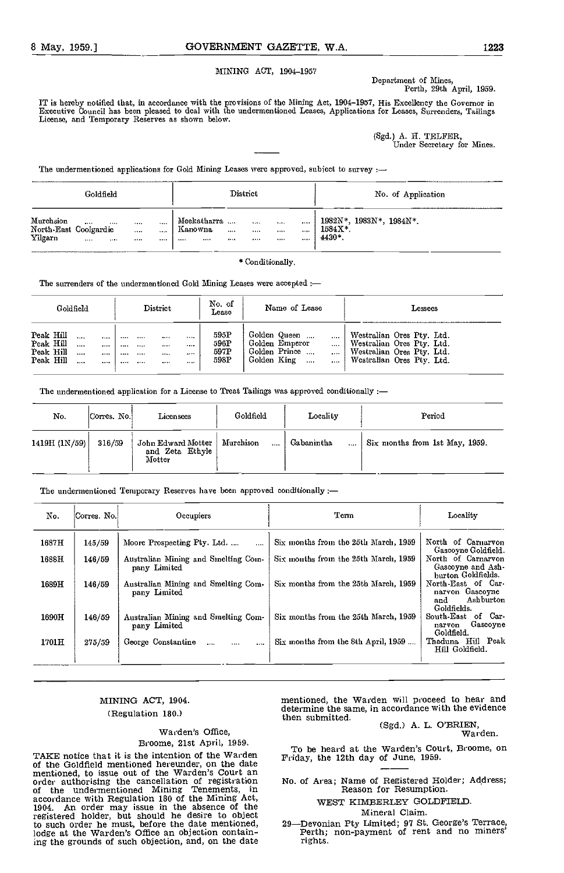# MINING ACT, 1904-1957

Department of Mines, Perth, 29th April, 1959.

IT is hereby notified that, in accordance with the provisions of the Mining Act, 1904-1957, His Excellency the Governor in Executive Council has been pleased to deal with the undermentioned Leases, Applications for Leases, Surrenders, Tailings<br>License, and Temporary Reserves as shown below.

> (Sgd.) A. H. TELFER, Under Secretary for Mines.

The undermentioned applications for Gold Mining Leases were approved, subject to survey :-

|                                               | Goldfield                 |                      |                        |                                       |               | District                  |                  |               | No. of Application                           |
|-----------------------------------------------|---------------------------|----------------------|------------------------|---------------------------------------|---------------|---------------------------|------------------|---------------|----------------------------------------------|
| Murchsion<br>North East Coolgardie<br>Yilgarn | <br><br>$\cdots$<br>1.111 | 5.5.5.5<br><br>1.117 | $\ddotsc$<br>1.1.1<br> | Meekatharra<br>Kanowna<br><br>1.1.1.1 | 1.111<br>1.11 | 5.55.<br>1.11<br>$\cdots$ | <br><br>$\cdots$ | <br>1.111<br> | 1982N*, 1983N*, 1984N*.<br>1584X*.<br>4430*. |

\* Conditionally.

The surrenders of the undermentioned Gold Mining Leases were accepted :-

|                                                  | Goldfield |                  |                      | District     | No. of<br>Lease                              | Name of Lease                                                                               | ${\rm Lessees}$                                                                                                  |
|--------------------------------------------------|-----------|------------------|----------------------|--------------|----------------------------------------------|---------------------------------------------------------------------------------------------|------------------------------------------------------------------------------------------------------------------|
| Peak Hill<br>Peak Hill<br>Peak Hill<br>Peak Hill |           | <br><br><br><br> | <br><br><br><br><br> | <br><br><br> | <br><br><br><br>595P<br>596P<br>597P<br>598P | Golden Queen<br>.<br>Golden Emperor<br><br>Golden Prince<br><br>Golden King<br>$\cdots$<br> | Westralian Ores Pty. Ltd.<br>Westralian Ores Ptv. Ltd.<br>Westralian Ores Pty. Ltd.<br>Westralian Ores Pty, Ltd. |

The undermentioned application for a License to Treat Tailings was approved conditionally :-

| No.           | Corres. No. | Licensees                                       | Goldfield     | Locality               | Period                         |
|---------------|-------------|-------------------------------------------------|---------------|------------------------|--------------------------------|
| 1419H (1N/59) | 316/59      | John Edward Motter<br>and Zeta Ethyle<br>Motter | Murchison<br> | Gabanintha<br>$\cdots$ | Six months from 1st May, 1959. |

The undermentioned Temporary Reserves have been approved conditionally :-

| No.   | Corres. No. | Occupiers                                           | Term                                 | Locality                                                                 |
|-------|-------------|-----------------------------------------------------|--------------------------------------|--------------------------------------------------------------------------|
| 1687H | 145/59      | Moore Prospecting Pty. Ltd.<br>$\cdots$             | Six months from the 25th March, 1959 | North of Carnaryon<br>Gascoyne Goldfield.                                |
| 1688H | 146/59      | Australian Mining and Smelting Com-<br>pany Limited | Six months from the 25th March, 1959 | North of Carnarvon<br>Gascoyne and Ash-<br>burton Goldfields.            |
| 1689H | 146/59      | Australian Mining and Smelting Com-<br>pany Limited | Six months from the 25th March, 1959 | North-East of Car-<br>narvon Gascovne<br>Ashburton<br>and<br>Goldfields. |
| 1690H | 146/59      | Australian Mining and Smelting Com-<br>pany Limited | Six months from the 25th March, 1959 | South-East<br>of Car-<br>Gascoyne<br>narvon<br>Goldfield.                |
| 1701H | 275/59      | George Constantine<br>$\cdots$                      | Six months from the 8th April, 1959  | Thaduna Hill Peak<br>Hill Goldfield.                                     |

# MINING ACT, 1904. (Regulation 180.)

# Warden's Office, Broome, 21st April, 1959.

TAKE notice that it is the intention of the Warden  $\frac{10}{\text{Friday}}$ , the 12th day of June, 1959. of the Goldfield mentioned hereunder, on the date mentioned, to issue out of the Warden's Court an order authorising the cancellation of registration No. of of the undermentioned Mining Tenements, in accordance with Regulation 180 of the Mining Act, 1904. An order may issue in the absence of the registered holder, but should he desire to object to such order he must, before the date mentioned, lodge at the Warden's Office an objection containing the grounds of such objection, and, on the date

mentioned, the Warden will proceed to hear and determine the same, in accordance with the evidence then submitted.

(Sgd.) A. L. O'BRIEN, Warden.

To be heard at the Warden's Court, Broome, on

No. of Area; Name of Registered Holder; Address; Reason for Resumption.

WEST KIMBERLEY GOLDFIELD Mineral Claim.

29-Devonian Pty Limited; 97 St. George's Terrace, Perth; non-payment of rent and no miners'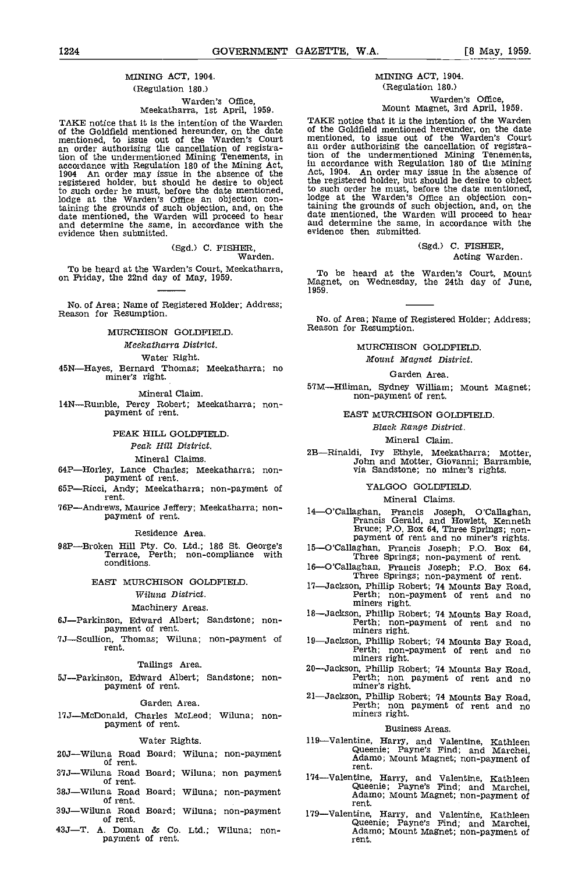# MINING ACT, 1904.

# (Regulation 180.)

# Warden's Office,<br>Meekatharra, 1st April, 1959.

TAKE notice that it is the intention of the Warden of the Goldfield mentioned hereunder, on the date of the Goldfield mentioned hereunder, on the date of the mentioned, to issue out of the Warden's Court mention<br>an order authorising the cancellation of registra- all or<br>tion of the undermentioned Mining Tenements, in tion accordance with Regulation 180 of the Mining Act, in action 1904 An order may issue in the absence of the Act, registered holder, but should he desire to object to such order he must, before the date mentioned, to subset to such order he must, before the date mentioned, to subset taining the grounds of such objection, and, on the taining date mentioned, the Warden will proceed to date mentioned, the Warden will proceed to hear<br>and determine the same, in accordance with the<br>evidence then submitted.

(Sgd.) C. FISHER, Warden.

To be heard at the Warden's Court, Meekatharra, on Friday, the 22nd day of May, 1959.

No. of Area; Name of Registered Holder; Address; Reason for Resumption.

# MURCHISON GOLDFIELD

Meekatharra District.

Water Right.<br>**45N—Hayes, Bernard Thomas; Meekatharra; no miner's right.** 

Mineral Claim.

14N-Rumble, Percy Robert; Meekatharra; non-<br>payment of rent.

# PEAR HILL GOLDFIELD

# Peak Hill District.

# Mineral Claims.

- 64P-Horley, Lance Charles; Meekatharra; non-<br>payment of rent.<br>65P-Ricci, Andy; Meekatharra; non-payment of
- rent.
- 76P—Andrews, Maurice Jeffery; Meekatharra; non- 14—O'Callaghan, payment of rent.

Residence Area.

98P—Broken Hill Pty. Co. Ltd.; 186 St. George's 15—O'Callaghan, Francis Joseph; P.O. Box 64,<br>Terrace, Perth; non-compliance with Three Springs; non-payment of rent. conditions.

# EAST MURCHISON GOLDFIELD.

# Wiluna District.

# Machinery Areas.

6J—Parkinson, Edward Albert; Sandstone; non-<br>payment of rent.<br>7J—Scullion, Thomas; Wiluna; non-payment of

rent.

# Tailings Area.

5J--Parkinson, Edward Albert; Sandstone; non-<br>payment of rent.

## Garden Area.

17JMcflonald, Charles McLeod; Wiluna; non- payment of rent.

#### Water Rights.

- 20J—Wiluna Road Board; Wiluna; non-payment of rent.
- 37J-Wiluna Road Board; Wiluna; non payment of rent.
- 
- 38J—Wiluna Road Board; Wiluna; non-payment of rent.
- 39J—Wiluna Road Board; Wiluna; non-payment of rent.
- 43J—T. A. Doman & Co. Ltd.; Wiluna; non-<br>payment of rent.

# MINING ACT, 1904. (Regulation 180.)

# Warden's Office, Mount Magnet, 3rd April, 1959.

TAKE notice that it is the intention of the Warden of the Goldfleld mentioned hereunder, on the date mentioned, to issue out of the Warden's Court an order authorising the cancellation of registration of the undermentioned Mining Tenements, in accordance with Regulation 180 of the Mining Act, 1904. An order may issue in the absence of the registered holder, but should be desire to object the registered holder, but should he desire to object to such order he must, before the date mentioned, lodge at the Warden's Office an objection containing the grounds of such objection, and, on the date mentioned, the Warden will proceed to hear and determine the same, in accordance with the

> (Sgd.) C. FISHER, Acting Warden.

To be heard at the Warden's Court, Mount Magnet, on Wednesday, the 24th day of June, 1959.

evidence then submitted.

No. of Area; Name of Registered Holder; Address; Reason for Resumption.

MURCHISON GOLDFIELD

Mount Magnet District.

# Garden Area.

57M—Hiliman, Sydney William; Mount Magnet;<br>non-payment of rent.

EAST MURCHISON GOLDFIELD

### Black Range District.

Mineral Claim.

2B—Rinaldi, Ivy Ethyle, Meekatharra; Motter, John and Motter, Giovanni; Barrambie, via Sandstone; no miner's rights.

#### YALGOO GOLOFIELD

# Mineral Claims.

- 14-O'Callaghan, Francis Joseph, O'Callaghan, Francis Gerald, and Howlett, Kenneth<br>Bruce; P.O. Box 64, Three Springs; non-<br>nayment of rent and no miner's rights.<br>15-O'Callaghan, Francis Joseph; P.O. Box 64,<br>Three Springs;
- 
- Three Springs; non-payment of rent.
- 17—Jackson, Phillip Robert; 74 Mounts Bay Road,<br>Perth; non-payment of rent and no<br>miners right.
- 18-Jackson, Phillip Robert; 74 Mounts Bay Road,<br>Perth; non-payment of rent and no miners right.
- 19—Jackson, Phillip Robert; 74 Mounts Bay Road,<br>Perth; non-payment of rent and no<br>miners right.
- 20—Jackson, Phillip Robert; 74 Mounts Bay Road,<br>Perth; non payment of rent and no<br>miner's right.
- 21—Jackson, Phillip Robert; 74 Mounts Bay Road,<br>Perth; non payment of rent and no<br>miners right.

# Business Areas.

- 119—Valentine, Harry, and Valentine, Kathleen<br>
Queenie; Payne's Find; and Marchei,<br>
Adamo; Mount Magnet; non-payment of<br>
rent.
- 174—Valentine, Harry, and Valentine, Kathleen Queenie; Payne's Find; and Marchei, Adamo; Mount Magnet; non-payment of rent.
- 179—Valentine, Harry, and Valentine, Kathleen Queenie; Payne's Find; and Marchei, Adamo; Mount Magnet; non-payment of rent.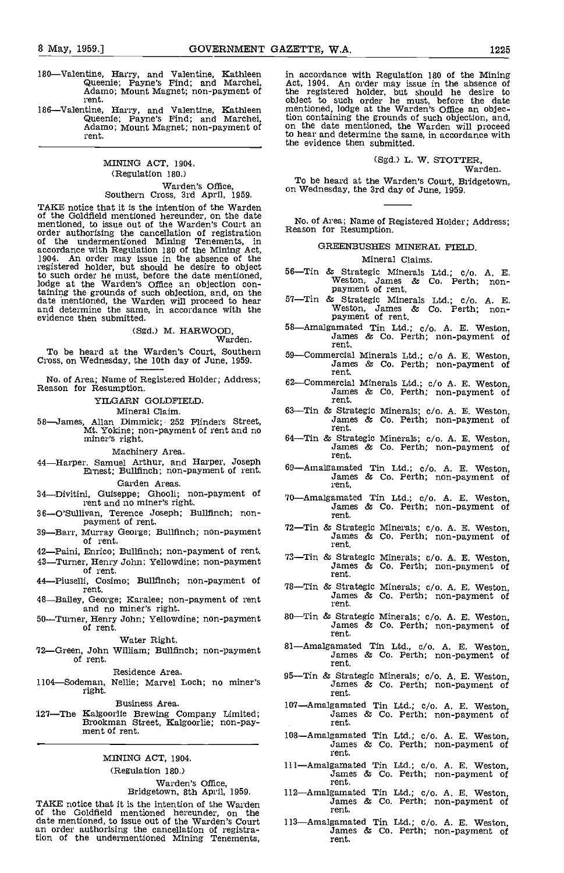- 180—Valentine, Harry, and Valentine, Kathleen in accomposition is expresented; Payne's Find; and Marchei, Act, 19<br>Adamo; Mount Magnet; non-payment of the re rent.
- 186–Valentine, Harry, and Valentine, Kathleen Queenie; Payne's Find; and Marchei, Adamo; Mount Magnet; non-payment of rent.

# MINING ACT, 1904. (Regulation 180.) Warden's Office,<br>Southern Cross, 3rd April, 1959.

TAKE notice that it is the intention of the Warden of the Goldfield mentioned hereunder, on the date<br>of the Goldfield mentioned hereunder, on the date<br>mentioned, to issue out of the Warden's Court an order authorising the cancellation of registration. of the undermentioned Mining Tenements, in accordance with Regulation 180 of the Mining Act, 1904. An order may issue in the absence of the registered holder, but should he desire to object  $\frac{1}{5}$ to such order he must, before the date mentioned, lodge at the Warden's Office an objection containing the grounds of such objection, and, on the date mentioned, the Warden will proceed to hear 57—7 and determine the same, in accordance with the evidence then submitted.

(Sgd.) M. HARWOOD, Warden.

To be heard at the Warden's Court, Southern Cross, on Wednesday, the 10th day of June, 1959.

No. of Area; Name of Registered Holder; Address; Reason for Resumption.

YILGARN GOLDFIELD

Mineral Claim.

58—James, Allan Dimmick; 252 Flinders Street,<br>Mt. Yokine; non-payment of rent and no<br>miner's right.

Machinery Area.<br>44—Harper. Samuel Arthur, and Harper, Joseph<br>Ernest; Bullfinch; non-payment of rent.

Garden Areas.

- 34-Divitini, Guiseppe; Ghooli; non-payment of rent and no miner's right.
- 36-O'Sullivan, Terence Joseph; Bullfinch; non-<br>payment of rent.
- 39-Barr, Murray George; Bullfinch; non-payment of rent.
- 42-Paini, Enrico; Bullfinch; non-payment of rent.
- 43—Turner, Henry John; Yellowdine; non-payment<br>of rent.
- 44-Piuselli, Cosimo; Bullfinch; non-payment of rent.
- 48-Bailey, George; Karalee; non-payment of rent and no miner's right.
- 50-Turner, Henry John; Yellowdine; non-payment of rent.

Water Right.

72-Green, John William; Bullfinch; non-payment of rent.

Residence Area.

1104-Sodeman, Nellie; Marvel Loch; no miner's right.

Business Area.

:L27The Kalgoorlie Brewing Company Limited; Brookman Street, Kalgoorlie; non-pay- ment of rent.

# MINING ACT, 1904.

#### (Regulation 180.)

# Warden's Office, Bridgetown, 8th April, 1959.

TAKE notice that it is the intention of the Warden of the Goldfield mentioned hereunder, on the date mentioned, to issue out of the Warden's Court 113—<br>an order authorising the cancellation of registration of the undermentioned Mining Tenements,

in accordance with Regulation 180 of the Mining Act, 1904. An order may issue in the absence of the registered holder, but should he desire to object to such order he must, before the date mentioned, lodge at the Warden's Office an objection containing the grounds of such objection, and, on the date mentioned, the Warden will proceed to hear and determine the same, in accordance with the evidence then submitted.

# (Sgd.) L. W. STOTTER, Warden.

To be heard at the Warden's Court, Bridgetown, on Wednesday, the 3rd day of June, 1959.

No. of Area; Name of Registered Holder; Address;

#### GREENBUSHES MINERAL FIELD

### Mineral Claims.

- 56—Tin & Strategic Minerals Ltd.; c/o. A. E.<br>Weston, James & Co. Perth; non-<br>payment of rent.
- 57—Tin & Strategic Minerals Ltd.; c/o. A. E.<br>Weston, James & Co. Perth; non-<br>payment of rent.
- 58—Amalgamated Tin Ltd.; c/o. A. E. Weston,<br>James & Co. Perth; non-payment of<br>rent.
- 59-Commercial Minerals Ltd.; c/o A. E. Weston, James & Co. Perth; non-payment of rent.
- 62—Commercial Minerals Ltd.; c/o A. E. Weston,<br>James & Co. Perth; non-payment of<br>rent.
- 63-Tin & Strategic Minerals; c/o. A. E. Weston, James & Co. Perth; non-payment of rent.
- 64—Tin & Strategic Minerals; c/o. A. E. Weston,<br>James & Co. Perth; non-payment of<br>rent.
- 69-Amalgamated Tin Ltd.; c/o. A. E. Weston, James & Co. Perth; non-payment of rent.
- 70-Amalgamated Tin Ltd.; c/o. A. E. Weston, James & Co. Perth; non-payment of rent.
- 72—Tin & Strategic Minerals;  $c/o$ . A. E. Weston, James & Co. Perth; non-payment of rent.
- 73—Tin & Strategic Minerals; c/o. A. E. Weston,<br>James & Co. Perth; non-payment of<br>rent.
- 78—Tin & Strategic Minerals; c/o. A. E. Weston,<br>James & Co. Perth; non-payment of<br>rent. James & Co. Perth; non-payment of
- 80—Tin & Strategic Minerals; c/o. A. E. Weston, James & Co. Perth; non-payment of rent.
- 81—Amalgamated Tin Ltd., c/o. A. E. Weston, James & Co. Perth; non-payment of rent.
- 95—Tin & Strategic Minerals; c/o. A. E. Weston, James & Co. Perth; non-payment of rent.
- 107—Amalgamated Tin Ltd.; c/o. A. E. Weston,<br>James & Co. Perth; non-payment of<br>rent.
- 108—Amalgamated Tin Ltd.; c/o. A. E. Weston,<br>James & Co. Perth; non-payment of<br>rent.
- 111—Amalgamated Tin Ltd.; c/o. A. E. Weston,<br>James & Co. Perth; non-payment of rent.
- 112—Amalgamated Tin Ltd.; c/o. A. E. Weston, James & Co. Perth; non-payment of rent.
- 113—Amalgamated Tin Ltd.; c/o. A. E. Weston, James & Co. Perth; non-payment of rent.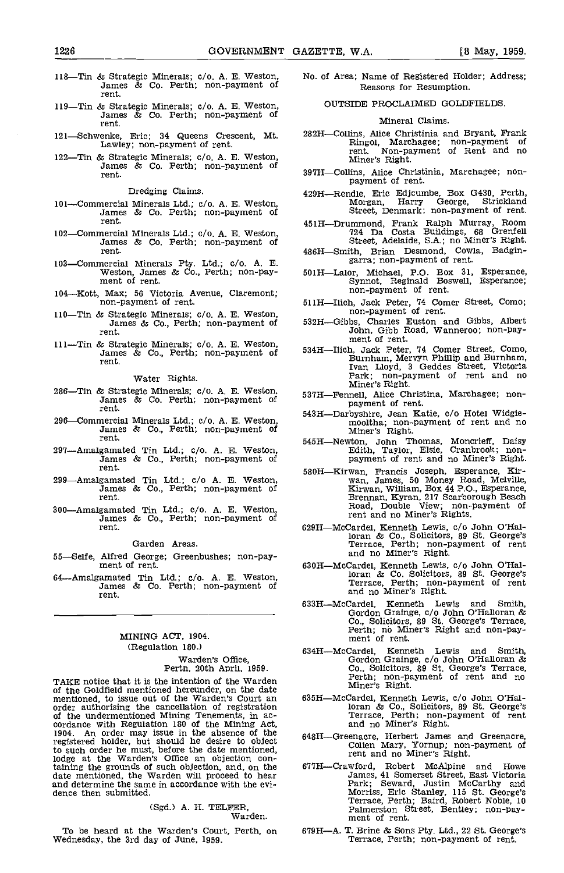- 118—Tin & Strategic Minerals; c/o. A. E. Weston, James & Co. Perth; non-payment of rent.
- 119—Tin & Strategic Minerals; c/o. A. E. Weston,<br>James & Co. Perth; non-payment of<br>rent.
- 121—Schwenke, Eric; 34 Queens Crescent, Mt.<br>Lawley; non-payment of rent.
- 122—Tin & Strategic Minerals; c/o. A. E. Weston, James & Co. Perth; non-payment of rent.

Dredging Claims.

- 101-Commercial Minerals Ltd.; c/o. A. E. Weston, James & Co. Perth; non-payment of rent.
- 102-Commercial Minerals Ltd.; c/o. A. E. Weston, James & Co. Perth; non-payment of rent.
- 103—Commercial Minerals Pty. Ltd.; c/o. A. E. Weston, James & Co., Perth; non-pay- ment of rent.
- 
- 110—Tin & Strategic Minerals; c/o. A. E. Weston, James & Co., Perth; non-payment of rent.
- 111-Tin & Strategic Minerals; c/o. A. E. Weston, James & Co., Perth; non-payment of rent.

Water Rights.

- 286-Tin & Strategic Minerals; c/o. A. E. Weston, James & Co. Perth; non-payment of rent.
- 296—Commercial Minerals Ltd.; c/o. A. E. Weston,<br>James & Co., Perth; non-payment of<br>rent.
- 291Amalgamated Tin Ltd.; e/o. A. E. Weston, James & Co. Perth; non-payment of rent.
- 299Amalgamated Tin Ltd.; c/o A, E. Weston. James & Co. Perth; non-payment of rent.
- 300Amalgamated Tin Ltd.; c/o. A. E. Weston, James & Co., Perth; non-payment of rent.

Garden Areas.

- 55-Selfe, Alfred George; Greenbushes; non-pay-<br>ment of rent.
- 64Amalgamated Tin Ltd.; c/o. A. B. Weston, James & Co. Perth; non-payment of rent.

# MINING ACT, 1904. (Regulation 180.)

Warden's Office, Perth, 20th April, 1959.

TAKE notice that it is the intention of the Warden of the Goldfield mentioned hereunder, on the date mentioned, to issue out of the Warden's Court an of the undermentioned Mining Tenements, in ac- cordance with Regulation 180 of the Mining Act, 1904. An order may issue in the absence of the 648H. registered holder, but should he desire to object to such order he must, before the date mentioned, lodge at the Warden's Office an objection containing the grounds of such objection, and, on the 677H<br>date mentioned, the Warden will proceed to hear<br>and determine the same in accordance with the evidence then submitted.

(Sgd.) A. H. TELFER, Warden.

To be heard at the Warden's Court, Perth, on Wednesday, the 3rd day of June, 1959.

- No. of Area; Name of Registered Holder; Address; Reasons for Resumption.
	- OUTSIDE PROCLAIMED GOLDFIELDS.

#### Mineral Claims.

- 282H-Collins, Alice Christinia and Bryant, Frank rent. Non-payment of Rent and no<br>rent. Non-payment of Rent and no<br>Miner's Right.
- 39711Collins, Alice Christinia, Marchagee; non- payment of rent.
- 42911Rendle, Eric Edjcumbe, Box G430, Perth, Morgan, Harry George, Strickland Street, Denmark; non-payment of rent.
- 451H-Drummond, Frank Ralph Murray, Room 724 IDa Costa Buildings, 68 Grenfell Street, Adelaide, S.A.; no Miner's Right.
- 486H-Smith, Brian Desmond, Cowla, Badgingarra; non-payment of rent.
- 501HLalor, Michael, P.O. Box 31, Esperance, Synnot, Reginald Boswell, Esperance; non-payment of rent.
- 104–Kott, Max; 56 Victoria Avenue, Claremont;<br>
non-payment of rent.<br>
110–Tin & Strategic Minerals: c/o A E Weston.<br>
110–Tin & Strategic Minerals: c/o A E Weston.<br>
110–Tin & Strategic Minerals: c/o A E Weston.
	- 532H-Gibbs, Charles Euston and Gibbs, Albert<br>John, Gibb Road, Wanneroo; non-pay-<br>ment of rent.
	- 534H—Ilich, Jack Peter, 74 Comer Street, Como, Burnham, Mervyn Phillip and Burnham, Ivan Lloyd, 3 Geddes Street, Victoria Park; non-payment of rent and no Miner's Right.
	-
	- 537H—Fennell, Alice Christina, Marchagee; non-<br>payment of rent.<br>543H—Darbyshire, Jean Katie, c/o Hotel Widgie-<br>mooltha; non-payment of rent and no<br>Miner's Right.
	- 545H-Newton, John Thomas, Moncrieff, Daisy<br>Edith, Taylor, Elsie, Cranbrook; non-<br>payment of rent and no Miner's Right.
	- 580H—Kirwan, Francis Joseph, Esperance, Kir-<br>wan, James, 50 Money Road, Melville,<br>Kirwan, William, Box 44 P.O., Esperance,<br>Brennan, Kyran, 217 Scarborough Beach<br>Road, Double View; non-payment of rent and no Miner's Rights.
	- 629H—McCardel, Kenneth Lewis, c/o John O'Hal-<br>
	loran & Co., Solicitors, 89 St. George's<br>
	Terrace, Perth; non-payment of rent<br>
	and no Miner's Right.
	- 630H-McCardel, Kenneth Lewis, c/o John O'Halloran & Co. Solicitors, 89 St. George's Terrace, Perth' non-payment of rent and no Miner's Right.
	- 633H—McCardel, Kenneth Lewis and Smith,<br>Gordon-Grainge, c/o John O'Halloran & Co., Solicitors, 89 St. George's Terrace, Perth; no Miner's Right and non-pay- ment of rent.
	- 634HMcCardel, Kenneth Lewis and Smith, Gordon Grainge, c/o John O'Halloran & Co., Solicitors, 89 St. George's Terrace, Perth; non-payment of rent and no Miner's Right.
	- 63511McCardel, Kenneth Lewis, c/o John O'Hal-. loran & Co., Solicitors, 89 St. George's Terrace, Perth; non-payment of rent and no Miner's Right.
	- 648H–Greenacre, Herbert James and Greenacre, Colien Mary, Yornup; non-payment of rent and no Miner's Right.
	- 677H--Crawford, Robert McAlpine and Howe<br>James, 41 Somerset Street, East Victoria<br>Park; Seward, Justin McCarthy and James, 41 Somerset Street, East Victoria Park; Seward, Justin McCarthy and Morriss, Eric Stanley, 115 St. George's Terrace, Perth; Baird, Robert Noble, 10 Palmerston Street, Bentley; non-pay- ment of rent.
	- 67911A. T. Brine & Sons Pty. Ltd., 22 St. George's Terrace, Perth; non-payment of rent.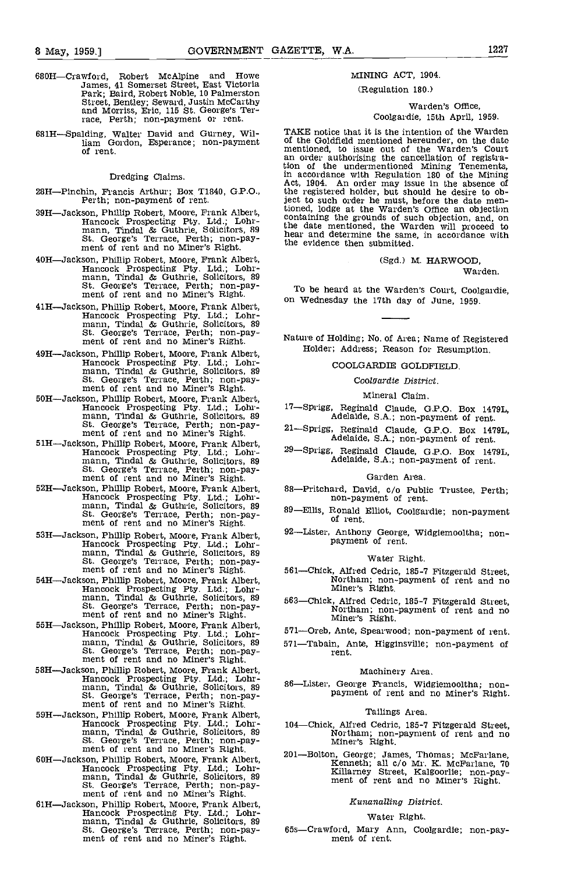- 680H—Crawford, Robert McAlpine and Howe James, 41 Somerset Street, East Victoria Park; Baird, Robert Noble, 10 Palmerston Street, Bentley; Seward, Justin McCarthy and Morriss, Eric, 115 St. George's Ter- race, Perth; non-payment or rent.
- 681H-Spalding, Walter David and Gurney, William Gordon, Esperance; non-payment of rent.<br>of rent. the rent of rent.

#### Dredging Claims.

- 28H-Pinchin, Francis Arthur; Box T1840, G.P.O., Perth; non-payment of rent.
- 39H-Jackson, Phillip Robert, Moore, Frank Albert, Hancock Prospecting Pty. Ltd.; Lohr-<br>mann, Tindal & Guthrie, Solicitors, 89<br>St. George's Terrace, Perth; non-pay-<br>ment of rent and no Miner's Right.
- 40H-Jackson, Phillip Robert, Moore, Frank Albert, Hancock Prospecting Pty. Ltd.; Lohr-<br>mann, Tindal & Guthrie, Solicitors, 89<br>St. George's Terrace, Perth; non-pay-<br>ment of rent and no Miner's Right.
- 41H-Jackson, Phillip Robert, Moore, Frank Albert, mancock Prospecting Pty, Ltd.; Lohr-<br>mann, Tindal & Guthrie, Solicitors, 89<br>St. George's Terrace, Perth; non-pay-<br>ment of rent and no Miner's Right.
- 49H-Jackson, Phillip Robert, Moore, Frank Albert, mann, Tindal & Guthrie, Solicitors, 89<br>St. George's Terrace, Perth; non-pay-<br>ment of rent and no Miner's Right.<br>50H—Jackson, Phillip Robert, Moore, Frank Albert,
- $H$ ancock Prospecting Pty. Ltd.; Lohr- 17-Sprigg, mann, Tindal & Guthrie, Solicitors, 89 St. George's Terrace, Perth; non-pay- 21-Sprigg, ment of rent and no Miner's Right.
- 51H—Jackson, Phillip Robert, Moore, Frank Albert, Hancock Prospecting Pty. Ltd.; Lohr-<br>mann, Tindal & Guthrie, Solicitors, 89<br>St. George's Terrace, Perth; non-pay-<br>ment of rent and no Miner's Right.<br>52H—Jackson, Phillip Ro
- 52HJackson, Phillip Robert, Moore, Frank Albert, Hancock Prospecting Pty. Ltd.; Lohr- mann, Tindal & Guthrie, Solicitors, 89 St. George's Terrace, Perth non-pay- ment of rent and no Miner's Right.
- 53H—Jackson, Phillip Robert, Moore, Frank Albert, Hancock Prospecting Pty. Ltd.; Lohrmann, Tindal & Guthrie, Solicitors, 89<br>St. George's Terrace, Perth; non-pay-<br>ment of rent and no Miner's Right. 561—0
- 54H—Jackson, Phillip Robert, Moore, Frank Albert, Hancock Prospecting Pty. Ltd.; Lohr-<br>
mann, Tindal & Guthrie, Solicitors, 89<br>
St. George's Terrace, Perth; non-pay-<br>
ment of rent and no Miner's Right.<br>
55H—Jackson, Philli
- 5511Jackson, Phillip Robert, Moore, Frank Albert, Hancock Prospecting Pty. Ltd.; Lohr- mann, Tindal & Guthrie, Solicitors, 89 St. George's Terrace, Perth; non-pay- ment of rent and no Miner's Right.
- 58H—Jackson, Phillip Robert, Moore, Frank Albert,<br>Hancock Prospecting Pty. Ltd.; Lohrmann, Tindal & Guthrie, Solicitors, 89 86—Li<br>St. George's Terrace, Perth; non-pay-<br>ment of rent and no Miner's Right.
- 59H—Jackson, Phillip Robert, Moore, Frank Albert, Tailings Area.<br>
Hancock Prospecting Pty. Ltd.; Lohr- 104—Chick, Alfred Cedric, 185-7 Fitzgerald Street,<br>
mann, Tindal & Guthrie, Solicitors, 89<br>
St. George's Terrace, Perth
- Son, Phillip Robert, Moore, Frank Albert, Hancock Prospecting Pty. Ltd.; Lohr-<br>mann, Tindal & Guthrie, Solicitors, 89<br>St. George's Terrace, Perth; non-pay-<br>ment of rent and no Miner's Right.
- 61H-Jackson, Phillip Robert. Moore, Frank Albert, Hancock Prospecting Pty. Ltd.; Lohr-<br>mann, Tindal & Guthrie, Solicitors, 89<br>St. George's Terrace, Perth; non-pay-<br>ment of rent and no Miner's Right.

# MINING ACT, 1904.

# (Regulation 180.)

# Warden's Office, Coolgardie, 15th April, 1959.

TAKE notice that it is the intention of the Warden I ARE Goldfleld mentioned hereunder, on the date of the Goldfleld mentioned, to issue out of the Warden's Court an order authorising the cancellation of registration of the undermentioned Mining Tenements, tion of the undermentioned Mining Tenements, in accordance with Regulation 180 of the Mining Act, 1904. An order may issue in the absence of the registered holder, but should he desire to object to such order he must, before the date mentioned, lodge at the Warden's Office an objection containing the grounds of such objection, and, on the date mentioned, the Warden will proceed to hear and determine the same, in accordance with the evidence then submitted.

> (Sgd,) M. HARWOOD, Warden.

To be heard at the Warden's Court, Coolgardie, on Wednesday the 17th day of June, 1959.

Nature of Holding; No. of Area; Name of Registered Holder; Address; Reason for Resumption.

COOLGARDIE GOLDREELD.

Coolgardie District.

Mineral Claim.

- l7Sprigg, Reginald Claude, G.P.O. Box 1479L, Adelaide, 5.A.; non-payment of rent.
- , Reginald Claude, G.P.O. Box 1479L,<br>Adelaide, S.A.; non-payment of rent.
- 29—Sprigg, Reginald Claude, G.P.O. Box 1479L,<br>Adelaide, S.A.; non-payment of rent.

# Garden Area.

- 88-Pritchard, David, c/o Public Trustee, Perth;<br>non-payment of rent.
- 89-Ellis, Ronald Elliot, Coolgardie; non-payment of rent.
- 92—Lister, Anthony George, Widgiemooltha; non-<br>payment of rent.

#### Water Right.

- 561—Chick, Alfred Cedric, 185-7 Fitzgerald Street,<br>Northam; non-payment of rent and no<br>Miner's Right.
- 563Chick, Alfred Cedric, 185-7 Fitzgerald Street, Northam; non-payment of rent and no Miner's Right.
- 571-Oreb, Ante, Spearwood; non-payment of rent.
- 571-Tabain, Ante, Higginsville; non-payment of rent.

## Machinery Area.

86—Lister, George Francis, Widgiemooltha; non-<br>payment of rent and no Miner's Right.

## Tailings Area.

- Northam; non-payment of rent and no<br>Miner's Right.
- 201Bolton, George; James, Thomas, McFarlane, Kenneth; all c/o Mr. K. McFarlane, 70 Killarney Street, Kalgoorlie; non-pay- ment of rent and no Miner's Right.

# Kunanalling District.

#### Water Right.

65s-Crawford, Mary Ann, Coolgardie; non-pay-<br>ment of rent.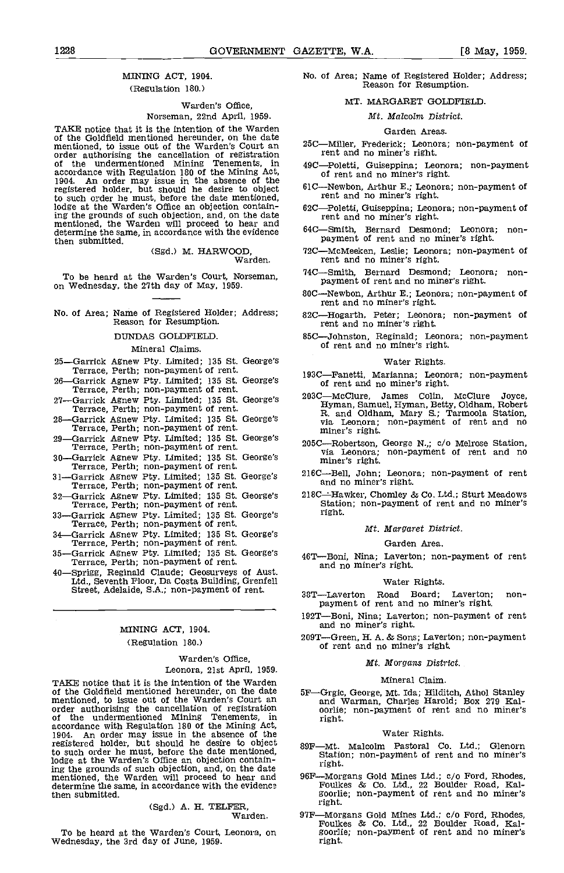# MINING ACT, 1904.

# (Regulation 180.)

# Warden's Office, Norseman, 22nd April, 1959.

TAKE notice that it is the intention of the Warden of the Goldfield mentioned hereunder, on the date<br>mentioned, to issue out of the Warden's Court an order authorising the cancellation of registration registration of the undermentioned Mining Tenements, in 49Caccordance with Regulation 180 of the Mining Act,  $\frac{100}{1904}$ . An order may issue in the absence of the registered holder, but should he desire to object 6. to such order he must, before the date mentioned, lodge at the Warden's Office an objection containing the grounds of such objection, and, on the date mentioned, the Warden will proceed to hear and the Computer of the Tennes of Tennes determine the same, in accordance with the evidence then submitted.

(Sgd.) M. HARWOOD, Warden

To be heard at the Warden's Court, Norseman, on Wednesday, the 27th day of May, 1959.

# No. of Area; Name of Registered Holder; Address;  $82C$ <br>Reason for Resumption.

# DUNDAS GOLDFIELD

# Mineral Claims.

| випстат скишь.                                                                                      |       |
|-----------------------------------------------------------------------------------------------------|-------|
| 25—Garrick Agnew Pty. Limited; 135 St. George's<br>Terrace, Perth; non-payment of rent.             | 1930  |
| 26—Garrick Agnew Pty. Limited: 135 St. George's<br>Terrace, Perth; non-payment of rent.             |       |
| 27—Garrick Agnew Pty. Limited: 135 St. George's<br>Terrace, Perth: non-payment of rent.             | 2030  |
| 28—Garrick Agnew Pty. Limited: 135 St. George's<br>Terrace, Perth: non-payment of rent.             |       |
| 29-Garrick Agnew Pty. Limited: 135 St. George's<br>Terrace, Perth: non-payment of rent.             | 2050  |
| 30-Garrick Agnew Pty. Limited: 135 St. George's<br>Terrace, Perth: non-payment of rent.             | 2160  |
| 31—Garrick Agnew Pty, Limited: 135 St. George's<br>Terrace, Perth: non-payment of rent.             |       |
| 32—Garrick Agnew Pty. Limited: 135 St. George's<br>Terrace, Perth; non-payment of rent.             | 2180  |
| 33—Garrick Agnew Pty. Limited: 135 St. George's<br>Terrace, Perth: non-payment of rent.             |       |
| 34 Garrick Agnew Pty. Limited; 135 St. George's<br>Terrace, Perth; non-payment of rent.             |       |
| 35-Garrick Agnew Pty. Limited; 135 St. George's<br>Terrace, Perth; non-payment of rent.             | 46 T- |
| 40 Sprigg, Reginald Claude: Geosurveys of Aust.<br>Ltd., Seventh Floor, Da Costa Building, Grenfell |       |
| Street, Adelaide, S.A.; non-payment of rent.                                                        | 38T-  |
|                                                                                                     | 1927  |
| MINING ACT 1904.                                                                                    | 2097  |
| (Regulation 180.)                                                                                   |       |
| Warden's Office.                                                                                    |       |
| Leonora, 21st April, 1959.                                                                          |       |

TAKE notice that it is the intention of the Warden<br>of the Goldfield mentioned hereunder, on the date<br>mentioned, to issue out of the Warden's Court an  $\frac{1}{2}$ <br>order authorising the cancellation of registration  $\frac{1}{2}$ of the undermentioned Mining Tenements, in accordance with Regulation 180 of the Mining Act,<br>1904. An order may issue in the absence of the<br>registered holder, but should he desire to object son to such order he must, before the date mentioned, lodge at the Warden's Office an objection containing the grounds of such objection, and, on the date mentioned, the Warden will proceed to hear and determine the same, in accordance with the evidence then submitted.

(Sgd.) A. H. TELFER, Warden.

No. of Area; Name of Registered Holder; Address; Reason for Resumption.

# MT. MARGARET GOLDFIELD

# Mt. Malcolm District.

## Garden Areas.

- 25C-Miller, Frederick; Leonora; non-payment of rent and no miner's right.
- 49C-Poletti, Guiseppina; Leonora; non-payment of rent and no miner's right.
- 61C-Newbon, Arthur E.; Leonora; non-payment of rent and no miner's right.
- 62C-Poletti, Guiseppina; Leonora; non-payment of
- 64C-Smith, Bernard Desmond; Leonora; nonpayment of rent and no miner's right.
- -McMeeken, Leslie; Leonora; non-payment of rent and no miner's right.
- 74C-Smith, Bernard Desmond; Leonora; nonpayment of rent and no miner's right.
- 80C—Newbon, Arthur E.; Leonora; non-payment of rent and no miner's right.
- -Hogarth, Peter; Leonora; non-payment of rent and no miner's right.
- 85C-Johnston, Reginald; Leonora; non-payment of rent and no miner's right.

#### Water Rights,

- 193C—Fanetti, Marianna; Leonora; non-payment of rent and no miner's right.
- 203C—McClure, James Colin, McClure Joyce, Hyman, Samuel, Hyman, Betty, Oldham, Robert R. and Oldham, Mary S.; Tarmoola Station, via Leonora; non-payment of rent and no miner's right.
- 205C—Robertson, George N.,; c/o Melrose Station, via Leonora; non-payment of rent and no miner's right.
- 216C--Bell, John; Leonora; non-payment of rent and no miner's right.
- 218C--Hawker, Chomley & Co. Ltd.; Sturt Meadows Station; non-payment of rent and no miner's right.
	- Mt. Margaret District.

# Garden Area.

46T-Boni, Nina; Laverton; non-payment of rent and no miner's right.

# Water Rights.

- 38T-Laverton Road Board; Laverton; nonpayment of rent and no miner's right.
- 192T-Boni, Nina; Laverton; non-payment of rent and no miner's right.
- 209T-Green, H. A. & Sons; Laverton; non-payment of rent and no miner's right.

#### Mt. Morgams District.

### Mineral Claim.

5F—Grgic, George, Mt. Ida; Hilditch, Athol Stanley and Warman, Charles Harold; Box 219 Kal- oorlie; non-payment of rent and no miner's oorlie; non-payment of rent and no miner's<br>right.

# Water Rights.

- 89F—Mt. Malcolm Pastoral Co. Ltd.; Glenorn Station' non-payment of rent and no miner's right.
- 96F-Morgans Gold Mines Ltd.; c/o Ford, Rhodes, Foulkes & Co. Ltd., 22 Boulder Road, Kal- goorlie; non-payment of rent and no miner's right.
- To be heard at the Warden's Court, Leonora, on Foulkes & Co. Ltd., 22 Boulder Road, Kal-<br>Wednesday, the 3rd day of June, 1959. The Medinesday, the 3rd day of June, 1959. 97F-Morgans Gold Mines Ltd.; c/o Ford, Rhodes, right.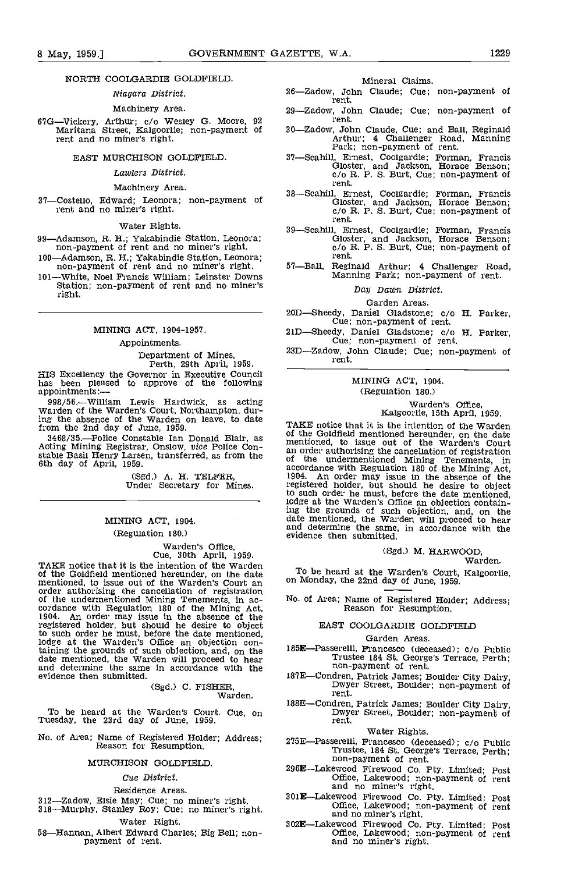# NORTH COOLGARDIE GOLDFIELD

# Niagara District.

# Machinery Area.

67G—Vickery, Arthur; c/o Wesley G. Moore, 92 ment.<br>Maritana Street, Kalgoorlie; non-payment of 30—Zadow, John Claude, Cue; and Ball, Reginald<br>rent and no miner's right.<br>Fark; non-payment of rent.

# EAST MURCHISON GOLDFIELD

# Lawlers District.

#### Machinery Area.

37-Costello, Edward; Leonora; non-payment of rent and no miner's right.

#### Water Rights.

99—Adamson, R. H.; Yakabindie Station, Leonora; non-payment of rent and no miner's right.

100—Adamson, R. H.; Yakabindie Station, Leonora; non-payment of rent and no miner's right.<br>101—White, Noel Francis William; Leinster Downs

Station; non-payment of rent and no miner's right.

# MINING ACT, 1904-1957.

# Appointments.

# Department of Mines, Perth, 29th April, 1959.

HIS Excellency the Governor in Executive Council has been pleased to approve of the following

<sup>998</sup>/56. William Lewis Hardwick, as acting Warden of the Warden's Court, Northampton, during the absence of the Warden on leave, to date

from the 2nd day of June, 1959.<br>3468/35.—Police Constable Ian Donald Blair, as

(Sgd.) A. H. TELFER, Under Secretary for Mines.

# MINING ACT, 1904. (Regulation 180.)

# Warden's Office, Cue, 30th April, 1959.

TAKE notice that it is the intention of the Warden  $T_{\text{max}}$ of the Goldfield mentioned hereunder, on the date mentioned, to issue out of the Warden's Court an order authorising the cancellation of registration of the undermentioned Mining Tenements, in ac-<br>cordance with Regulation 180 of the Mining Act,<br>1904. An order may issue in the absence of the registered holder, but should he desire to object to such order he must, before the date mentioned, lodge at the Warden's Office an objection containing the grounds of such objection, and, on the date mentioned, the Warden will proceed to hear and determine the same in accordance with the evidence then submitted. 187E-

# (Sgd.) C. FISHER, Warden.

To be heard at the Warden's Court. Cue, on Tuesday, the 23rd day of June, 1959.

No. of Area; Name of Registered Holder; Address; Reason for Resumption.

# MURCHISON GOLDFIELD.

#### Cue District.

## Residence Areas.

- 312—Zadow, Elsie May; Cue; no miner's right.<br>318—Murphy, Stanley Roy; Cue; no miner's right.
- Water Right.

58—Hannan, Albert Edward Charles; Big Bell; non-<br>payment of rent.

### Mineral Claims.

- 26-Zadow, John Claude; Cue; non-payment of rent.
- 29-Zadow, John Claude; Cue; non-payment of rent.
- 
- 37—Scahill, Ernest, Coolgardie; Forman, Francis<br>Gloster, and Jackson, Horace Benson;<br>c/o R. P. S. Burt, Cue; non-payment of rent.
- 38—Scahill, Ernest, Coolgardie; Forman, Francis<br>
Gloster, and Jackson, Horace Benson;<br>
c/o R. P. S. Burt, Cue; non-payment of<br>
rent.
	- 39—Scahill, Ernest, Coolgardie; Forman, Francis Gloster, and Jackson, Horace Benson; c/o R. P. S. Burt, Cue; non-payment of rent.
	- 57—Ball, Reginald Arthur; 4 Challenger Road, Manning Park; non-payment of rent.

# Day Dawn District.

#### Garden Areas.

20DSheedy, Daniel Gladstone; do H. Parker, Cue; non-payment of rent.

- 21D-Sheedy, Daniel Gladstone; c/o H. Parker,<br>Cue; non-payment of rent.<br>23D-Zadow, John Claude; Cue; non-payment of<br>rent.
- 23D-Zadow, John Claude; Cue; non-payment of

# MINING ACT, 1904. (Regulation 180.)

# Warden's Office, ICalgoorlie, 15th April, 1959.

# 3468/35.—Police Constable Ian Donald Blair, as a constable Ian Donald Blair, as Acting Mining Registrar, Onslow, vice Police Con-<br>Acting Mining Registrar, Onslow, vice Police Con-<br>stable Basil Henry Larsen, transferred, as TAKE notice that it is the intention of the Warden of the Goldfield mentioned hereunder, on the date mentioned, to issue out of the Warden's Court an order authorising the cancellation of registration of the undermentioned Mining Tenements, in accordance with Regulation 180 of the Mining Act, 1904. An order may issue in the absence of the registered holder, hut should he desire to object to such order he must, before the date mentioned, lodge at the Warden's Office an objection containing the grounds of such objection, and, on the date mentioned, the Warden will proceed to hear and determine the same, in accordance with the evidence then submitted.

# (Sgd.) M. HARWOOD, Warden.

To be heard at the Warden's Court, Kalgoorlie, on Monday, the 22nd day of June, 1959.

No. of Area; Name of Registered Holder; Address; Reason for Resumption.

# EAST COOLGARDIE GOLDFIELD

# Garden Areas.

- 185E-Passerelli, Francesco (deceased); c/o Public Trustee 184 St. George's Terrace, Perth; non-payment of rent.
- 187E-Condren, Patrick James; Boulder City Dairy, Dwyer Street, Boulder; non-payment of rent.
- 188E-Condren, Patrick James; Boulder City Dairy, Dwyer Street, Boulder; non-payment of rent.

# Water Rights.

- 275E—Passerelli, Francesco (deceased); c/o Public Trustee, 184 St. George's Terrace, Perth; non-payment of rent.
- 296ELakewood Firewood Co. fly. Limited; Post Office, Lakewood; non-payment of rent and no miner's right.
- 301E—Lakewood Firewood Co. Pty. Limited; Post Office, Lakewood; non-payment of rent and no miner's right.
- 302ELakewood Firewood Co. Pty. Limited; Post Office, Lakewood; non-payment of rent and no miner's right.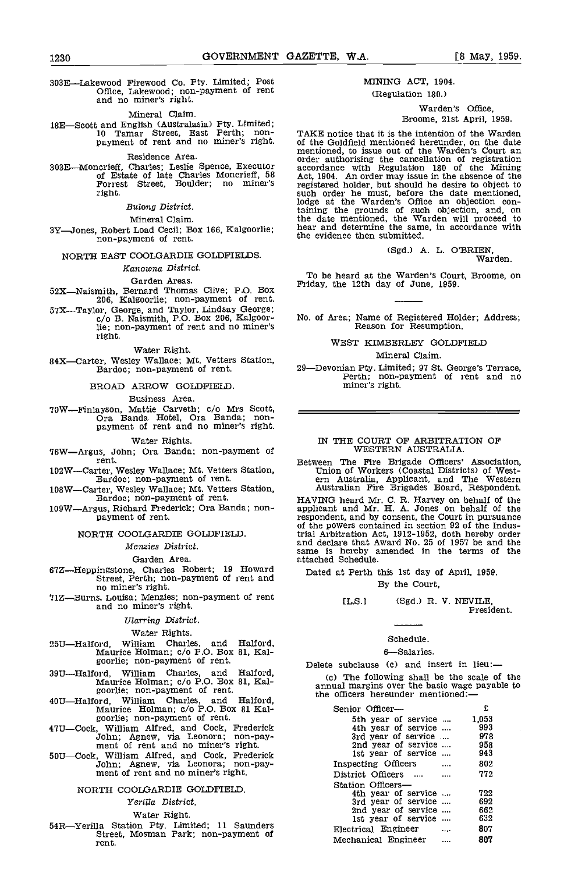303ELakewood Firewood Co. Pty. Limited; Post Office, Lakewood; non-payment of rent and no miner's right.

#### Mineral Claim.

18E—Scott and English (Australasia) Pty. Limited;<br>10 Tamar Street, East Perth; non-<br>payment of rent and no miner's right.

Residence Area.<br>303E-Moncrieff, Charles; Leslie Spence, Executor 303E Moncrieff, Charles; Leslie Spence, Executor according of Estate of late Charles Moncrieff, 58 Act, 19 Forrest Street, Boulder; no miner's regi right.

# Bulong District.

Mineral Claim.

3Y—Jones, Robert Load Cecil; Box 166, Kalgoorlie; hear and determine the sam<br>non-payment of rent. the evidence then submitted.

# NORTH EAST COOLOARDIE GOLDFIELDS.

# Kamowna District.

# Garden Areas.

 $52X$ —Naismith, Bernard Thomas Clive; P.O. Box 206, Kalgoorlie; non-payment of rent.

# STX—Taylor, George, and Taylor, Lindsay George;<br>
0/0 B. Naismith, P.O. Box 206, Kalgoor-

lie; non-payment of rent and no miner's right.

# Water Right.

84X-Carter, Wesley Wallace; Mt. Vetters Station,<br>Bardoc; non-payment of rent.

# BROAD ARROW GOLDFIELD

# Business Area.

'IOWFinlayson, Mattie Carveth; c/a Mrs Scott, Ora Banda Hotel, Ora Banda; non- payment of rent and no miner's right.

# Water Rights.

76W-Argus, John; Ora Banda; non-payment of rent.

- 102W-Carter, Wesley Wallace; Mt. Vetters Station, Bardoc; non-payment of rent.
- 108W—Carter, Wesley Wallace; Mt. Vetters Station, Australian Fire Brigades Board, Respondent.<br>Bardoc; non-payment of rent. HAVING heard Mr. C. R. Harvey on behalf of the
- 109WArgus, Richard Frederick; Ora Banda; non- payment of rent.

# NORTH 000LGARDIE GOLDFIELD

#### Menzies District.

## Garden Area.

- $67Z$ —Heppingstone, Charles Robert; 19 Howard  $_{\text{Date}}$ Street, Perth; non-payment of rent and
- no miner's right.<br>T1Z—Burns, Louisa; Menzies; non-payment of rent<br>and no miner's right.

# Ularring District.

# Water Rights.

- 25UHalford, William Charles, and Halford, Maurice Holman; 0/0 P.O. Box 81, Kal- goorlie; non-payment of rent.
- 39U—Halford, William Charles, and Halford, Maurice Holman; c/o P.O. Box 81, Kal-<br>goorlie; non-payment of rent.
- 40U-Halford, William Charles, and Halford, Maurice Holman; c/o P.O. Box 81 Kal-<br>goorlie; non-payment of rent.
- 47U-Cock, William Alfred, and Cock, Frederick<br>John; Agnew, via Leonora; non-pay-<br>ment of rent and no miner's right.
- 50U—Cock, William Alfred, and Cock, Frederick<br>John; Agnew, via Leonora; non-pay-<br>ment of rent and no miner's right.

# NORTH COOLGARDIE GOLDFIELD

# Yerilla District.

Water Right.<br>54R—Yerilla Station Pty. Limited; 11 Saunders Street, Mosman Park; non-payment of rent.

# MINING ACT, 1904.

# (Regulation 180.)

# Warden's Office,

# Broome, 21st April, 1959.

TAKE notice that it is the intention of the Warden<br>of the Goldfield mentioned hereunder, on the date<br>mentioned, to issue out of the Warden's Court an of the Goldfield mentioned hereunder, on the date<br>mentioned, to issue out of the Warden's Court an<br>order authorising the cancellation of registration<br>accordance with Regulation 180 of the Mining<br>Act, 1904. An order may iss taining the grounds of such objection, and, on the date mentioned, the Warden will proceed to hear and determine the same, in accordance with the evidence then submitted.

(Sgd.) A. L. O'BRIEN, Warden.

To be heard at the Warden's Court, Broome, on Friday, the 12th day of June, 1959.

No. of Area; Name of Registered Holder; Address; Reason for Resumption.

# WEST KIMBERLEY GOLDFIELD

Mineral Claim.

29-Devonian Pty. Limited; 97 St. George's Terrace,<br>Perth; non-payment of rent and no miner's right.

## IN THE COURT OF ARBITRATION OF WESTERN AUSTRALIA.

Between The Fire Brigade Officers' Association, Union of Workers (Coastal Districts) of West- ern Australia, Applicant, and The Western Australian Fire Brigades Board, Respondent.

HAVING heard Mr. C. R. Harvey on behalf of the applicant and Mr. H. A. Jones on behalf of the respondent, and by consent, the Court in pursuance of the powers contained in section 92 of the Industrial Arbitration Act, 1912-1952, doth hereby order and declare that Award No. 25 of 1957 be and the same is hereby amended in the terms of the attached Schedule.

Dated at Perth this 1st day of April, 1959.

# By the Court,

ELS] (Sgd.) R. V. NEVILE, President.

# Schedule.

#### 6-Salaries.

# Delete subclause (c) and insert in lieu:

(c) The following shall be the scale of the annual margins over the basic wage payable to the officers hereunder mentioned:

| Senior Officer-     | £       |
|---------------------|---------|
| 5th year of service | 1,053   |
| 4th year of service | 993     |
| 3rd year of service | 978     |
| 2nd year of service | 958     |
| 1st year of service | 943     |
| Inspecting Officers | 802     |
| District Officers   | 772     |
| Station Officers-   |         |
| 4th year of service | 722     |
| 3rd year of service | 692     |
| 2nd year of service | 662     |
| 1st year of service | 632     |
| Electrical Engineer | 807     |
| Mechanical Engineer | <br>807 |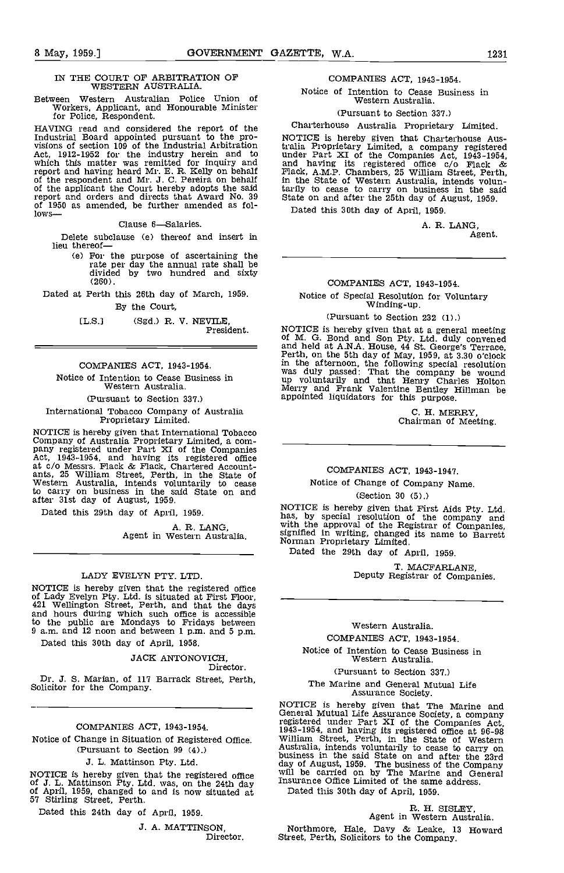# IN THE COURT OF ARBITRATION OF WESTERN AUSTRALIA.

Between Western Australian Police Union of Workers, Applicant, and Honourable Minister for Police, Respondent.

HAVING read and considered the report of the Industrial Board appointed pursuant to the pro- visions of section 109 of the Industrial Arbitration Act, 1912-1952 for the industry herein and to unde which this matter was remitted for inquiry and and h report and having heard Mr. E. R. Kelly on behalf  $\overline{r}$  rack, of the respondent and Mr. J. C. Pereira on behalf  $\overline{r}$  in the of the applicant the Court hereby adopts the said tarily report and orders and directs that Award No. 39 State<br>of 1950 as amended, be further amended as fol-<br>lows—

Clause 6-Salaries.

Delete subclause (e) thereof and insert in lieu thereof

(e) For the purpose of ascertaining the rate per day the annual rate shall be divided by two hundred and sixty (260).

Dated at Perth this 26th day of March, 1959. By the Court,

(L.S.) (Sgd.) R. V. NEVILE, President.

COMPANIES ACT, 1943-1954. Notice of Intention to Cease Business in Western Australia

(Pursuant to Section 337.)

International Tobacco Company of Australia Proprietary Limited.

NOTICE is hereby given that International Tobacco<br>Company of Australia Proprietary Limited, a com-<br>pany registered under Part XI of the Companies<br>Act, 1943-1954, and having its registered office at c/o Messrs. Flack & Flack, Chartered Account-<br>ants, 25 William Street, Perth, in the State of<br>Western Australia, intends voluntarily to cease<br>to carry on business in the said State on and after 31st day of August, 1959.

Dated this 29th day of April, 1959.

A. R. LANG Agent in Western Australia.

## LADY EVELYN PTY. LTD.

NOTICE is hereby given that the registered office of Lady Evelyn Pty. Ltd. is situated at First Floor, 421 Wellington Street, Perth, and that the days to the public are Mondays to Fridays between 9 a.m. and 12 noon and between 1 p.m. and 5 p.m.

Dated this 30th day of April, 1958.

JACK ANTONOVICH, Director.

Dr. J. S. Marian, of 117 Barrack Street, Perth, Solicitor for the Company.

COMPANIES ACT, 1943-1954.

Notice of Change in Situation of Registered Office. (Pursuant to Section 99 (4),)

J. L. Mattinson Pty. L

NOTICE is hereby given that the registered office will be  $J$ . L. Mattinson Pty. Ltd. was, on the 24th day Insura of April, 1959, changed to and is now situated at 57 Stirling Street, Perth.

Dated this 24th day of April, 1959.

J. A. MATTINSON, Director.

# COMPANIES ACT, 1943-1954.

Notice of Intention to Cease Business in Western Australia.

(Pursuant to Section 337.)

#### Charterhouse Australia Proprietary Limited.

NOTICE is hereby given that Charterhouse Australia Proprietary Limited, a company registered under Part XI of the Companies Act, 1943-1954, and having its registered office do Flack & Flack, A.M.P. Chambers, 25 William Street, Perth, in the State of Western Australia, intends voluntarily to cease to carry on business in the said State on and after the 25th day of August, 1959.

Dated this 30th day of April, 1959.

A. R. LANG, Agent.

# COMPANIES ACT, 1943-1954.

Notice of Special Resolution for Voluntary Winding-up.

# (Pursuant to Section 232 (1).)

NOTICE is hereby given that at a general meeting of M. G. Bond and Son Pty. Ltd. duly convened and held at A.N.A. House, 44 St. George's Terrace, Perth, on the 5th day of May, 1959, at 3.30 o'clock in the afternoon, the following special resolution was duly passed: That the company be wound up voluntarily and that Henry Charles Holton Merry and Frank Valentine Bentley Hillman be appointed liquidatcrs for this purpose.

> C. H. MERRY, Chairman of Meeting.

# COMPANIES ACT, 1943-1947.

Notice of Change of Company Name.

(Section 30 (5).)

NOTICE is hereby given that First Aids Pty. Ltd. has, by special resolution of the company and with the approval of the Registrar of Companies, signified in writing, changed its name to Barrett Norman Proprietary Limited.

Dated the 29th day of April, 1959.

T. MACFARLANE, Deputy Registrar of Companies.

# Western Australia.

COMPANIES ACT, 1943-1954.

Notice of Intention to Cease Business in Western Australia.

# (Pursuant to Section 337.)

The Marine and General Mutual Life Assurance Society.

NOTICE is hereby given that The Marine and General Mutual Life Assurance Society, a company registered under Part XI of the Companies Act, 1943-1954, and having its registered office at 96-98 registered under Part XI of the Companies Act,<br>1943-1954, and having its registered office at 96-98<br>William Street, Perth, in the State of Western<br>Australia, intends voluntarily to cease to carry on<br>business in the said St day of August, 1959. The business of the Company will be carried on by The Marine and General Insurance Office Limited of the same address.

Dated this 30th day of April, 1959.

# R. H. SISLEY, Agent in Western Australia.

Northmore, Hale, Davy & Leake, 13 Howard Street. Perth, Solicitors to the Company.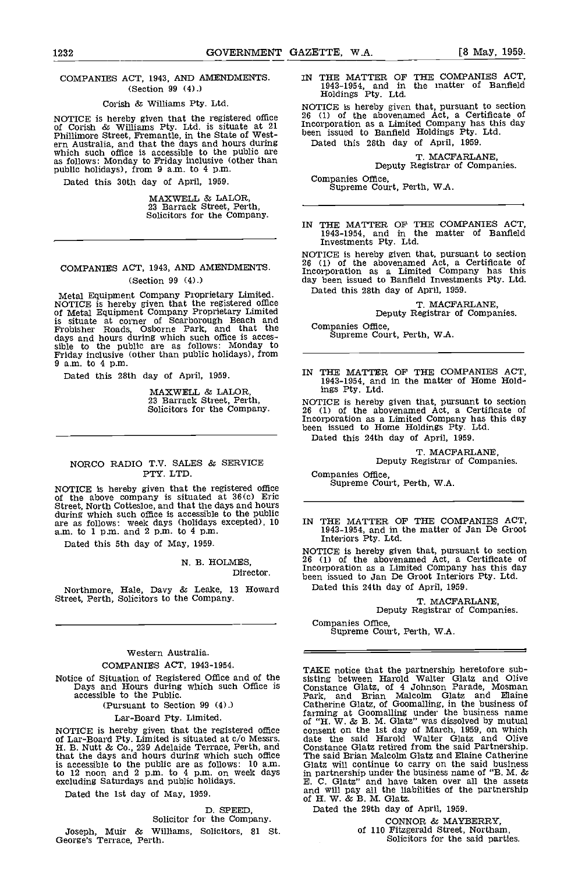# COMPANIES ACT, 1943, AND AMENDMENTS (Section 99 (4).)

# Corish & Williams Pty. Ltd.

NOTICE is hereby given that the registered office  $26$  (1) of Corish & Williams Pty. Ltd. is situate at 21 Incorportillimore Street, Fremantle, in the State of West-<br>ern Australia, and that the days and hours during Date as follows: Monday to Friday inclusive (other than public holidays), from 9 a.m. to 4 p.m.

Dated this 30th day of April, 1959.

MAXWELL & LALOR, 23 Barrack Street, Perth, Solicitors for the Company.

# COMPANIES ACT, 1943, AND AMENDMENTS. (Section 99 (4).)

Metal Equipment Company Proprietary Limited.<br>NOTICE is hereby given that the registered office of Metal Equipment Company Proprietary Limited is situate at corner of Scarborough Beach and Frobisher Roads, Osborne Park, and that the days and hours during which such office is acces-<br>sible to the public are as follows: Monday to<br>Friday inclusive (other than public holidays), from Friday inclusive (other than public holidays), from 9 a.m. to 4 p.m.

Dated this 28th day of April, 1959.

MAXWELL & LALOR, 23 Barrack Street, Perth, Solicitors for the Company.

# NORCO RADIO T.V. SALES & SERVICE PTY. LTD.

NOTICE is hereby given that the registered office<br>of the above company is situated at  $36(c)$  Eric<br>Street, North Cottesloe, and that the days and hours<br>during which such office is accessible to the public<br>are as follows: w during which such office is accessible to the public<br>are as follows: week days (holidays excepted), 10<br>a.m. to 1 p.m. and 2 p.m. to 4 p.m.

Dated this 5th day of May, 1959.

N. B. HOLMES, Director.

Northmore, Hale, Davy & Leake, 13 Howard Dated this 24th day of April, 1959<br>Street, Perth, Solicitors to the Company. The Company of  $M = 50^{\circ}$ 

# Western Australia. COMPANIES ACT, 1943-1954.

Notice of Situation of Registered Office and of the Days and Hours during which such Office is accessible to the Public.

(Pursuant to Section 99 (4).)

# Lar-Board Pty. Limited.

NOTICE is hereby given that the registered office of Lar-Board Pty. Limited is situated at c/c Messrs. H. B. Nutt & Co., 239 Adelaide Terrace, Perth, and that the days and hours during which such office The sis accessible to the public are as follows: 10 a.m. Glatz<br>to 12 noon and 2 p.m. to 4 p.m. on week days in pa<br>excluding Saturdays and public holidays. E. C.

Dated the 1st day of May, 1959.

D. SPEED,<br>Solicitor for the Company.

Joseph, Muir & Williams, Solicitors, 81 St. George's Terrace, Perth.

IN THE MATTER OF THE COMPANIES ACT, 1943-1954, and in the matter of Banfield Holdings Pty. Ltd.

NOTICE is hereby given that, pursuant to section <sup>26</sup> (1) of the abovenamed Act, a Certificate of Incorporation as a Limited Company has this day been issued to Banfield Holdings Pty. Ltd. Dated this 28th day of April, 1959.

T. MACFARLANE, Deputy Registrar of Companies.

Companies Office, Supreme Court, Perth, WA.

IN THE MATTER OF THE COMPANIES ACT,<br>1943-1954, and in the matter of Banfield Investments Pty. Ltd.

NOTICE is hereby given that, pursuant to section 26 (1) of the abovenamed Act, a Certificate of Incorporation as a Limited Company has this day been issued to Banfleld Investments Pty. Ltd. Dated this 28th day of April, 1959.

T. MACFARLANE, Deputy Registrar of Companies.

Companies Office, Supreme Court, Perth, WA.

IN THE MATTER OF THE COMPANIES ACT, 1943-1954, and in the matter of Home Holdings Pty. Ltd.

NOTICE is hereby given that, pursuant to section 26 (1) of the abovenamed Act, a Certificate of Incorporation as a Limited Company has this day been issued to Home Holdings Pty. Ltd. Dated this 24th day of April, 1959.

T. MACFARLANE, Deputy Registrar of Companies.

Companies Office, Supreme Court, Perth, W.A.

1943-1954, and in the matter of Jan De Groot<br>Interiors Pty. Ltd.

NOTICE is hereby given that, pursuant to section 26 (1) of the abovenamed Act, a Certificate of Incorporation as a Limited Company has this day been issued to Jan De Groot Interiors Pty. Ltd. Dated this 24th day of April, 1959.

T. MACFARLANE, Deputy Registrar of Companies.

Companies Office,<br>Supreme Court, Perth, W.A.

TAKE notice that the partnership heretofore sub-<br>sisting between Harold Walter Glatz and Olive<br>Constance Glatz, of 4 Johnson Parade, Mosman Park, and Brian Malcolm Glatz and Elaine Catherine Glatz, of Goomalling, in the business of<br>farming at Goomalling under the business name<br>of "H. W. & B. M. Glatz" was dissolved by mutual<br>consent on the 1st day of March, 1959, on which<br>date the said Harold Walter Constance Glatz retired from the said Partnership. The said Brian Malcolm Olatz and Elaine Catherine Glats will continue to carry on the said business in partnership under the business name of "B. M. & E. C. Glat&' and have taken over all the assets and will pay all the liabilities of the partnership of H. W. & B. M. Glatz.

Dated the 29th day of April, 1959.

CONNOR & MAYBERRY, of 110 Fitzgerald Street, Northam, Solicitors for the said parties.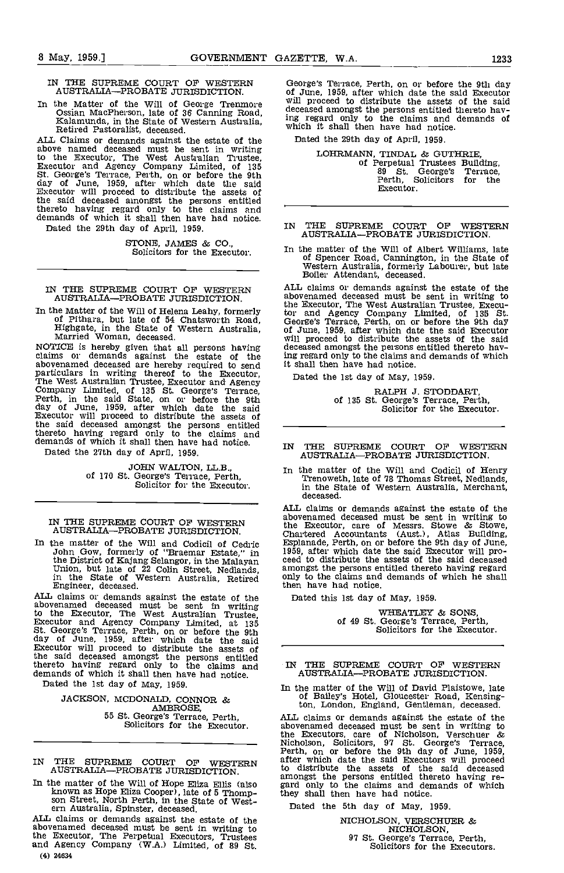IN THE SUPREME COURT OF WESTERN AUSTRALIA—PROBATE JURISDICTION.

In the Matter of the Will of George Trenmore Ossian MacPherson, late of 36 Canning Road, Kalamunda, in the State of Western Australia, Retired Pastoralist, deceased.<br>ALL Claims or demands against the estate of the

ALL Claims or demands against the estate of the above named deceased must be sent in writing to the Executor, The West Australian Trustee,<br>Executor and Agency Company Limited, of 135<br>St. George's Terrace, Perth, on or before the 9th<br>day of June, 1959, after which date the said<br>Executor will proceed to distribute t the said deceased amongst the persons entitled thereto having regard only to the claims and demands of which it shall then have had notice. Dated the 29th day of April, 1959.

STONE, JAMES & CO., Solicitors for the Executor.

IN THE SUPREME COURT OF WESTERN AUSTRALIA-PROBATE JURISDICTION.

In the Matter of the Will of Helena Leahy, formerly of Pithara, but late of 54 Chatsworth Road, Highgate, in the State of Western Australia, Married Woman, deceased.

NOTICE is hereby given that all persons having<br>claims or demands against the estate of the<br>abovenamed deceased are hereby required to send<br>particulars in writing thereof to the Executor,<br>The West Australian Trustee, Execut abovenamed deceased are hereby required to send<br>particulars in writing thereof to the Executor, Dated<br>The West Australian Trustee, Executor and Agency<br>Company Limited, of 135 St. George's Terrace,<br>Company Limited, of 135 S the said deceased amongst the persons entitled thereto having regard only to the claims and demands of which it shall then have had notice.

Dated the 27th day of April, 1959.

JOHN WALTON, LL.B.,<br>of 170 St. George's Terrace, Perth,<br>Solicitor for the Executor.

IN THE SUPREME COURT OF WESTERN AUSTRALIA-PROBATE JURISDICTION.

In the matter of the Will and Codicil of Cedric Esplan John Gow, formerly of "Braemar Estate," in 1959, a the District of Kajang Selangor, in the Malayan ceed to Union, but late of 22 Colin Street, Nedlands, amongs in the State of Western Australia, Retired only to Engineer, deceased.

ALL claims or demands against the estate of the<br>abovenamed deceased must be sent in writing<br>to the Executor, The West Australian Trustee,<br>Executor and Agency Company Limited, at 135<br>St. George's Terrace, Perth, on or befor Executor will proceed to distribute the assets of the said deceased amongst the persons entitled thereto having regard only to the claims and demands of which it shall then have had notice. AU

Dated the 1st day of May, 1959.

JACKSON, MCDONALD, CONNOR & AMBROSE, 55 St. George's Terrace, Perth, Solicitors for the Executor.

IN THE SUPREME COURT OF WESTERN after which AUSTRALIA-PROBATE JURISDICTION.

In the matter of the Will of Hope Eliza Ellis (also<br>known as Hope Eliza Cooper), late of 5 Thompson Street, North Perth, in the State of West-<br>ern Australia, Spinster, deceased.

ALL claims or demands against the estate of the abovenamed deceased must be sent in writing to the Executor, The Perpetual Executors, Trustees and Agency Company (W.A.) Limited, of 89 St. (4) 24634

George's Terrace, Perth, on or before the 9th day of June, 1959, after which date the said Executor will proceed to distribute the assets of the said deceased amongst the persons entitled thereto having regard only to the claims and demands of which it shall then have had notice.

Dated the 29th day of April, 1959.

LOHRMANN, TINDAL & GUTHRIE, of Perpetual Trustees Building, <sup>89</sup> St. George's Terrace, Perth, Solicitors for the Executor.

- IN THE SUPREME COURT OF WESTERN AUSTRALIA—PROBATE JURISDICTION.
- In the matter of the Will of Albert Williams, late of Spencer Road, Cannington, in the State of Western Australia, formerly Labourer, but late Boiler Attendant, deceased.

ALL claims or demands against the estate of the abovenamed deceased must be sent in writing to the Executor, The West Australian Trustee, Execu- tor and Agency Company Limited, of 135 St. George's Terrace, Perth, on or before the 9th day of June, 1959, after which date the said Executor will proceed to distribute the assets of the said deceased amongst the persons entitled thereto having regard only to the claims and demands of which it shall then have had notice.

Dated the 1st day of May, 1959.

RALPH J. STODDART,<br>of 135 St. George's Terrace, Perth,<br>Solicitor for the Executor.

- IN THE SUPREME COURT OF WESTERN AUSTRALIA-PROBATE JURISDICTION.
- In the matter of the Will and Codicil of Henry Trenoweth, late of 78 Thomas Street, Nedlands, in the State of Western Australia, Merchant, deceased.

ALL claims or demands against the estate of the abovenamed deceased must be sent in writing to<br>the Executor, care of Messrs. Stowe & Stowe,<br>Chartered Accountants (Aust.), Atlas Building,<br>Esplanade, Perth, on or before the 9th day of June,<br>1959, after which date the sai amongst the persons entitled thereto having regard only to the claims and demands of which he shall then have had notice.

Dated this 1st day of May, 1959.

WHEATLEY & SONS,<br>of 49 St. George's Terrace, Perth,<br>Solicitors for the Executor.

IN THE SUPREME COURT OF WESTERN AUSTRALIA-PROBATE JURISDICTION.

In the matter of the Will of David Plaistowe, late of Bailey's Hotel, Gloucester Road, Kensington, London, England, Gentleman, deceased.

ALL claims or demands against the estate of the abovenamed deceased must be sent in writing to the Executors, care of Nicholson, Verschuer & Nicholson, Solicitors, 97 St. George's Terrace, Perth, on or before the 9th day of June, 1959, after which date the said Excutors will proceed to distribute the assets of the said deceased amongst the persons entitled ther they shall then have had notice.

Dated the 5th day of May, 1959.

NICHOLSON, VERSCHUER  $\&$ NICHOLSON,<br>97 St. George's Terrace, Perth,<br>Solicitors for the Executors.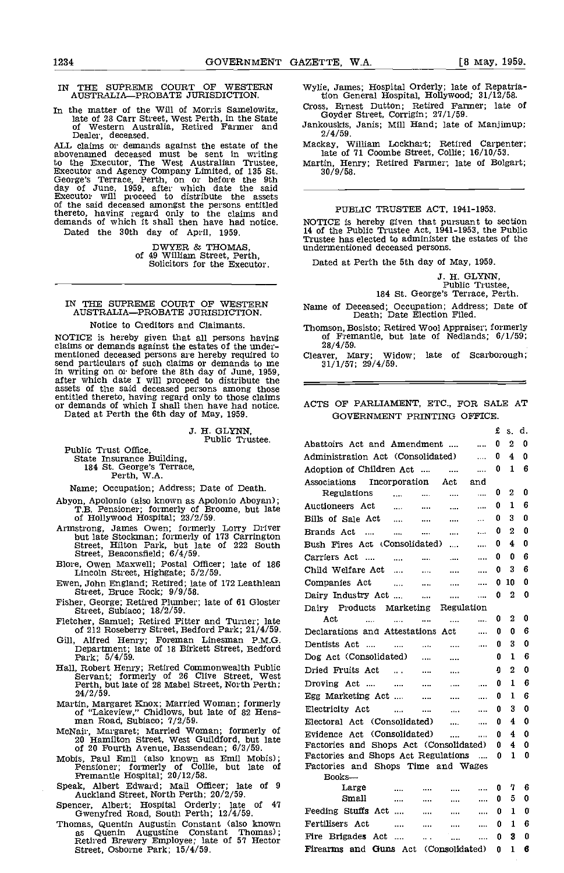# IN THE SUPREME COURT OF WESTERN Wylie, Jan AUSTRALIA—PROBATE JURISDICTION. The tion of

In the matter of the Will of Morris Samelowitz, Cross, Ernest Dutton; Retired Farmer; late of late of 28 Carr Street, West Perth, in the State of Western Australia, Retired Farmer and Jankouskis, Janis; Mill Hand; late of Dealer, deceased.

ALL claims or demands against the estate of the abovenamed deceased must be sent in writing to the Executor, The West Australian Trustee, Martin, Executor and Agency Company Limited, of 135 St. 30/4<br>George's Terrace, Perth, on or before the 9th day of June, 1959, after which date the said Executor will proceed to distribute the assets of the said deceased amongst the persons entitled thereto, having regard only to the claims and demands of which it shall then have had notice.

Dated the 30th day of April, 1959.

DWYER & THOMAS, of 49 William Street, Perth, Solicitors for the Executor.

# IN THE SUPREME COURT OF WESTERN AUSTRALIA-PROBATE JURISDICTION.

#### Notice to Creditors and Claimants.

NOTICE is hereby given that all persons having claims or demands against the estates of the undermentioned deceased persons are hereby required to send particulars of such claims or demands to me<br>in writing on or before the 8th day of June, 1959,<br>after which date I will proceed to distribute the<br>assets of the said deceased persons among those entitled thereto, having regard only to those claims or demands of which I shall then have had notice. AC Dated at Perth the 6th day of May, 1959.

J. H. GLYNN, Public Trustee.

Public Trust Office, State Insurance Building, 184 St. George's Terrace, Perth, WA.

Name; Occupation; Address; Date of Death.

- Abyon, Apolonio. (also known as Apolonio Aboyan); TB. Pensioner; formerly of Broome, but late of Hollywood Hospital; 23/2/59.
- Armstrong, James Owen; formerly Lorry Driver<br>but late Stockman; formerly of 173 Carrington<br>Street, Hilton Park, but late of 222 South<br>Street, Beaconsfield;  $6/4/59$ .
- Blore, Owen Maxwell; Postal Officer; late of 186 Lincoln Street, Highgate; 5/2/59.
- Ewen, John England; Retired; late of 172 Leathlean Street, Bruce Rock; 9/9/58.
- Fisher, George; Retired Plumber; late of 61 Gloster Street, Subiaco; 18/2/59.
- Fletcher, Samuel; Retired Fitter and Turner; late of 212 Roseberry Street, Bedford Park; 21/4/59.
- Gill, Alfred Henry; Foreman Linesman P.M.G. Department; late of 18 Birkett Street, Bedford Park; 5/4/59.
- Hall, Robert Henry; Retired Commonwealth Public Servant; formerly of 26 Clive Street, West Perth, but late of 28 Mabel Street, North Perth; 24/2/59.
- Martin, Margaret Knox; Married Woman; formerly of "Lakeview," Chidlows, but late of 82 Hens-<br>man Road, Subiaco; 7/2/59.<br>McNair, Margaret; Married Woman; formerly of
- 20 Hamilton Street, West Guildford, but late of 20 Fourth Avenue, Bassendean; 6/3/59.
- Mobis, Paul Emil (also known as Emil Mobis); Pensioner; formerly of Collie, but late of Fremantle Hospital; 20/12/58.
- Speak, Albert Edward; Mail Officer; late of 9 Auckland Street, North Perth; 20/2/59.
- Spencer, Albert; Hospital Orderly; late of 47 Gwenyfred Road, South Perth; 12/4/59. Gwenyfred Road, South Perth; 12/4/59. Thomas, Quentin Augustin Constant (also known
- as Quenin Augustine Constant Thomas);<br>Retired Brewery Employee; late of 57 Hector Fi<br>Street, Osborne Park; 15/4/59. Fi

Wylie, James; Hospital Orderly; late of Repatriation General Hospital, Hollywood; 31/12/58. Cross, Ernest Dutton; Retired Farmer; late of

- Goyder Street, Corrigin; 27/1/59. Jankouskis, Janis; Mill Hand; late of Manjimup;
- 2/4/59.

Mackay, William Lockhart; Retired Carpenter; late of 71 Coombe Street, Collie; 16/10/53.

Martin, Henry; Retired Farmer; late of Bolgart; 30/9/58.

#### PUBLIC TRUSTEE ACT, 1941-1953.

NOTICE is hereby given that pursuant to section 14 of the public Trustee Act, 1941-1953, the Public Trustee has elected t0 administer the estates of the Trustee has elected to administer the estates of the undermentioned deceased persons.

Dated at Perth the 5th day of May, 1959.

J. H. GLYNN,<br>Public Trustee,<br>184 St. George's Terrace, Perth.

Name of Deceased; Occupation; Address; Date of Death; Date Election Filed.

Thomson, Bosisto; Retired Wool Appraiser; formerly of Fremantle, but late of Nedlands; 6/1/59;

28/4/59.<br>ver, Mary; Widow; late of Scarborough; Cleaver, Mary; Widow;  $31/1/57$ ;  $29/4/59$ .

# ACTS OF PARLIAMENT, ETC., FOR SALE AT GOVERNMENT PRINTING OFFICE.

|                                                                                                                                                                                                                                                     | £ | S.           | d. |
|-----------------------------------------------------------------------------------------------------------------------------------------------------------------------------------------------------------------------------------------------------|---|--------------|----|
| Abattoirs Act and Amendment<br>                                                                                                                                                                                                                     | 0 | 2            | 0  |
| Administration Act (Consolidated)<br>$\ddotsc$                                                                                                                                                                                                      | 0 | 4            | 0  |
| Adoption of Children Act<br>$\sim$<br>$\cdots$                                                                                                                                                                                                      | 0 | 1            | 6  |
| Associations Incorporation Act and                                                                                                                                                                                                                  |   |              |    |
| Regulations<br><br>and the state of<br>$\cdots$                                                                                                                                                                                                     | 0 | 2            | 0  |
| Auctioneers Act<br>and the state of<br><br>$\cdots$                                                                                                                                                                                                 | 0 | 1            | 6  |
| Bills of Sale Act<br>$\cdots$                                                                                                                                                                                                                       | 0 | 3            | 0  |
| Brands Act<br>$\mathbf{m}(\mathbf{r}) = \mathbf{m}(\mathbf{r})$<br>ana ing k<br>$\cdots$                                                                                                                                                            | 0 | 2            | 0  |
| Bush Fires Act (Consolidated)<br>$\cdots$                                                                                                                                                                                                           | 0 | 4            | 0  |
| Carriers Act<br><br>$\cdots$<br><b>Contractor</b> Contractor<br>and a                                                                                                                                                                               | 0 | 0            | 6  |
| Child Welfare Act<br>$\cdots$<br>$\cdots$<br>                                                                                                                                                                                                       | o | 3            | 6  |
| Companies Act<br>and the contract of the contract of the contract of the contract of the contract of the contract of the contract of the contract of the contract of the contract of the contract of the contract of the contract of the contra<br> | 0 | 10           | 0  |
| Dairy Industry Act<br><b>Contractor</b><br><br>$\ddotsc$                                                                                                                                                                                            | 0 | 2            | 0  |
| Dairy Products Marketing Regulation                                                                                                                                                                                                                 |   |              |    |
| Act<br>$\cdots$<br>$\cdots$<br>$\cdots$<br>$\cdots$<br>$\cdots$                                                                                                                                                                                     | 0 | 2            | 0  |
| Declarations and Attestations Act<br>$\cdots$                                                                                                                                                                                                       | 0 | U            | 6  |
| Dentists Act<br>التبيدات التبين المتبدان<br>$\sim$ 100 $\mu$                                                                                                                                                                                        | 0 | 3            | 0  |
| Dog Act (Consolidated)<br>$\cdots$                                                                                                                                                                                                                  | 0 | 1            | 6  |
| and a strong state<br>Dried Fruits Act<br>$\ldots$                                                                                                                                                                                                  | Ū | 2            | 0  |
| Droving Act<br>$\mathbf{m}_{\mathrm{max}} = \mathbf{m}_{\mathrm{max}}$<br>$\cdots$<br>$\cdots$                                                                                                                                                      | 0 | $\mathbf{1}$ | 6  |
| Egg Marketing Act<br>$\cdots$<br>$\cdots$                                                                                                                                                                                                           | 0 | 1            | 6  |
| Electricity Act<br>and the state of the<br>$\cdots$<br>                                                                                                                                                                                             | 0 | 3            | 0  |
| Electoral Act (Consolidated)<br>and the state<br>$\ddotsc$                                                                                                                                                                                          | 0 | 4            | 0  |
| Evidence Act (Consolidated)<br>$\mathbf{r}$<br>.                                                                                                                                                                                                    | 0 | 4            | 0  |
| Factories and Shops Act (Consolidated)                                                                                                                                                                                                              | 0 | 4            | 0  |
| Factories and Shops Act Regulations<br>$\cdots$                                                                                                                                                                                                     | 0 | 1            | 0  |
| Factories and Shops Time and Wages                                                                                                                                                                                                                  |   |              |    |
| $Books$ —<br>Large<br>$\cdots$<br>$\cdots$<br>                                                                                                                                                                                                      | 0 | 7            | 6  |
| $\mathbf{a}$ , $\mathbf{a}$ , $\mathbf{a}$<br>Small<br><br>$\sim 10^{-10}$<br>$\cdots$                                                                                                                                                              | 0 | 5            | 0  |
| Feeding Stuffs Act<br><br><br>                                                                                                                                                                                                                      | 0 | 1            | O  |
| Fertilisers Act<br><br><br>.                                                                                                                                                                                                                        | 0 | 1            | 6  |
| Fire Brigades Act<br>$\sim 10^{-1}$<br>                                                                                                                                                                                                             | 0 | 3            | 0  |
| Firearms and Guns Act (Consolidated)                                                                                                                                                                                                                | o | 1            | 6  |